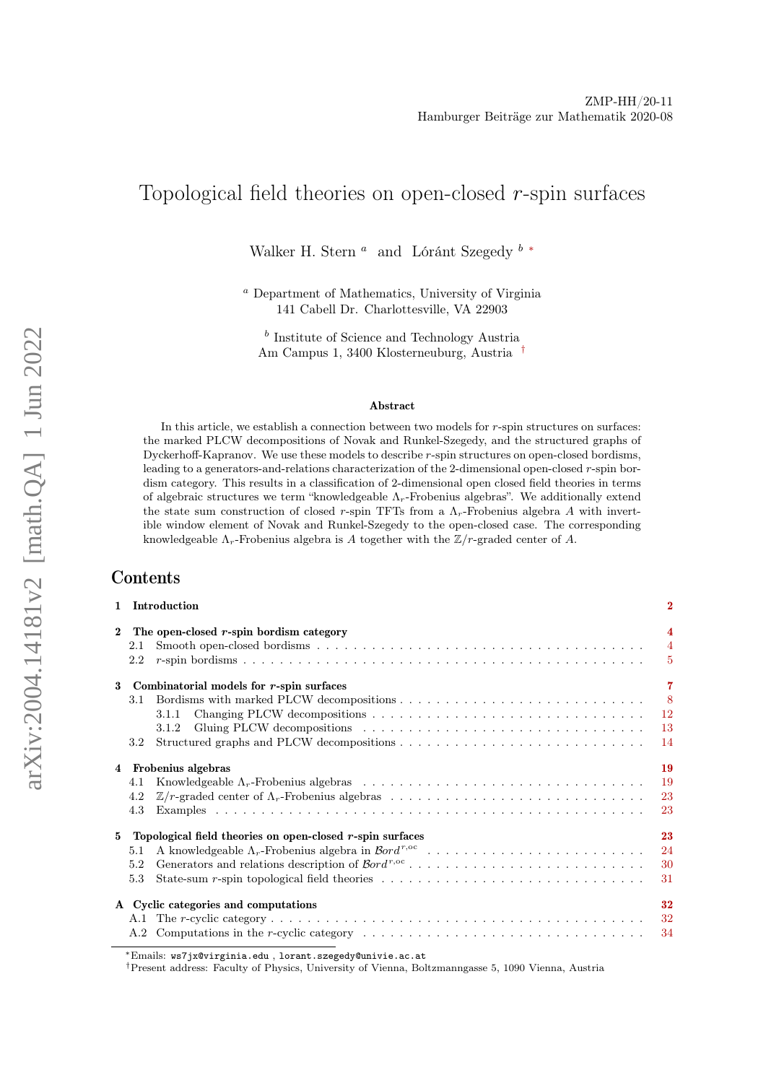# Topological field theories on open-closed  $r$ -spin surfaces

Walker H. Stern $^a$  and Lóránt Szegedy  $^b$   $^\ast$ 

<sup>a</sup> Department of Mathematics, University of Virginia 141 Cabell Dr. Charlottesville, VA 22903

<sup>b</sup> Institute of Science and Technology Austria Am Campus 1, 3400 Klosterneuburg, Austria [†](#page-0-1)

#### Abstract

In this article, we establish a connection between two models for  $r$ -spin structures on surfaces: the marked PLCW decompositions of Novak and Runkel-Szegedy, and the structured graphs of Dyckerhoff-Kapranov. We use these models to describe r-spin structures on open-closed bordisms, leading to a generators-and-relations characterization of the 2-dimensional open-closed r-spin bordism category. This results in a classification of 2-dimensional open closed field theories in terms of algebraic structures we term "knowledgeable  $\Lambda_r$ -Frobenius algebras". We additionally extend the state sum construction of closed r-spin TFTs from a  $\Lambda_r$ -Frobenius algebra A with invertible window element of Novak and Runkel-Szegedy to the open-closed case. The corresponding knowledgeable  $\Lambda_r$ -Frobenius algebra is A together with the  $\mathbb{Z}/r$ -graded center of A.

# Contents

|              | 1 Introduction                                                                                                             | $\bf{2}$                                                 |
|--------------|----------------------------------------------------------------------------------------------------------------------------|----------------------------------------------------------|
| $\mathbf{2}$ | The open-closed r-spin bordism category<br>2.1<br>2.2                                                                      | $\overline{4}$<br>$\overline{4}$<br>$\overline{5}$       |
| 3            | Combinatorial models for r-spin surfaces                                                                                   | $\overline{7}$                                           |
|              | 3.1<br>3.1.1<br>3.1.2<br>3.2 <sub>1</sub>                                                                                  | $\overline{\phantom{0}}8$<br><sup>12</sup><br>-13<br>-14 |
|              | 4 Frobenius algebras                                                                                                       | 19                                                       |
|              | 4.1                                                                                                                        | -19                                                      |
|              | 4.2                                                                                                                        | 23                                                       |
|              | 4.3                                                                                                                        | 23                                                       |
|              | 5 Topological field theories on open-closed r-spin surfaces                                                                | 23                                                       |
|              | 5.1                                                                                                                        | 24                                                       |
|              | 5.2                                                                                                                        | -30                                                      |
|              | State-sum r-spin topological field theories $\ldots \ldots \ldots \ldots \ldots \ldots \ldots \ldots \ldots \ldots$<br>5.3 | 31                                                       |
|              | A Cyclic categories and computations                                                                                       | 32                                                       |
|              |                                                                                                                            |                                                          |
|              |                                                                                                                            |                                                          |

<span id="page-0-1"></span>†Present address: Faculty of Physics, University of Vienna, Boltzmanngasse 5, 1090 Vienna, Austria

<span id="page-0-0"></span><sup>∗</sup>Emails: ws7jx@virginia.edu , lorant.szegedy@univie.ac.at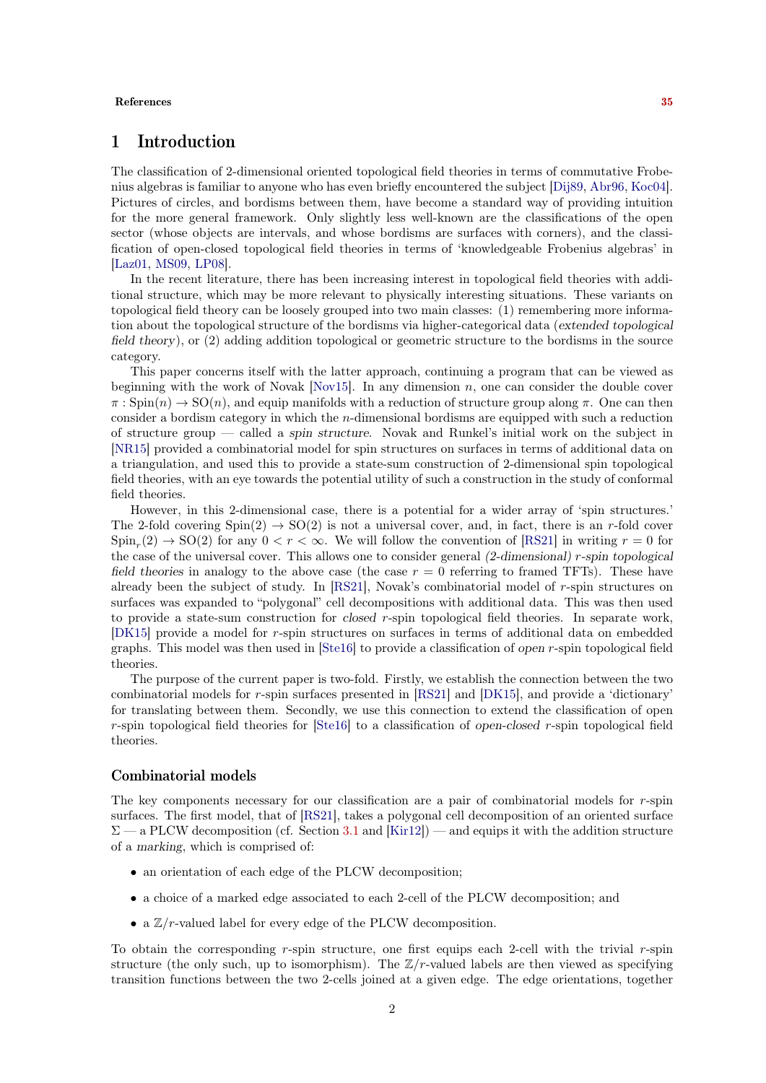#### References [35](#page-34-0)

# <span id="page-1-0"></span>1 Introduction

The classification of 2-dimensional oriented topological field theories in terms of commutative Frobenius algebras is familiar to anyone who has even briefly encountered the subject [\[Dij89,](#page-35-0) [Abr96,](#page-35-1) [Koc04\]](#page-35-2). Pictures of circles, and bordisms between them, have become a standard way of providing intuition for the more general framework. Only slightly less well-known are the classifications of the open sector (whose objects are intervals, and whose bordisms are surfaces with corners), and the classification of open-closed topological field theories in terms of 'knowledgeable Frobenius algebras' in [\[Laz01,](#page-35-3) [MS09,](#page-35-4) [LP08\]](#page-35-5).

In the recent literature, there has been increasing interest in topological field theories with additional structure, which may be more relevant to physically interesting situations. These variants on topological field theory can be loosely grouped into two main classes: (1) remembering more information about the topological structure of the bordisms via higher-categorical data (extended topological field theory), or (2) adding addition topological or geometric structure to the bordisms in the source category.

This paper concerns itself with the latter approach, continuing a program that can be viewed as beginning with the work of Novak  $[Nov15]$ . In any dimension  $n$ , one can consider the double cover  $\pi : \text{Spin}(n) \to \text{SO}(n)$ , and equip manifolds with a reduction of structure group along  $\pi$ . One can then consider a bordism category in which the n-dimensional bordisms are equipped with such a reduction of structure group — called a spin structure. Novak and Runkel's initial work on the subject in [\[NR15\]](#page-35-7) provided a combinatorial model for spin structures on surfaces in terms of additional data on a triangulation, and used this to provide a state-sum construction of 2-dimensional spin topological field theories, with an eye towards the potential utility of such a construction in the study of conformal field theories.

However, in this 2-dimensional case, there is a potential for a wider array of 'spin structures.' The 2-fold covering  $Spin(2) \rightarrow SO(2)$  is not a universal cover, and, in fact, there is an r-fold cover  $\text{Spin}_r(2) \to \text{SO}(2)$  for any  $0 < r < \infty$ . We will follow the convention of [\[RS21\]](#page-35-8) in writing  $r = 0$  for the case of the universal cover. This allows one to consider general (2-dimensional) r-spin topological field theories in analogy to the above case (the case  $r = 0$  referring to framed TFTs). These have already been the subject of study. In [\[RS21\]](#page-35-8), Novak's combinatorial model of r-spin structures on surfaces was expanded to "polygonal" cell decompositions with additional data. This was then used to provide a state-sum construction for closed r-spin topological field theories. In separate work, [\[DK15\]](#page-35-9) provide a model for r-spin structures on surfaces in terms of additional data on embedded graphs. This model was then used in [\[Ste16\]](#page-35-10) to provide a classification of open r-spin topological field theories.

The purpose of the current paper is two-fold. Firstly, we establish the connection between the two combinatorial models for r-spin surfaces presented in [\[RS21\]](#page-35-8) and [\[DK15\]](#page-35-9), and provide a 'dictionary' for translating between them. Secondly, we use this connection to extend the classification of open r-spin topological field theories for [\[Ste16\]](#page-35-10) to a classification of open-closed r-spin topological field theories.

#### Combinatorial models

The key components necessary for our classification are a pair of combinatorial models for  $r$ -spin surfaces. The first model, that of [\[RS21\]](#page-35-8), takes a polygonal cell decomposition of an oriented surface  $\Sigma$  — a PLCW decomposition (cf. Section [3.1](#page-7-0) and [\[Kir12\]](#page-35-11)) — and equips it with the addition structure of a marking, which is comprised of:

- an orientation of each edge of the PLCW decomposition;
- a choice of a marked edge associated to each 2-cell of the PLCW decomposition; and
- a  $\mathbb{Z}/r$ -valued label for every edge of the PLCW decomposition.

To obtain the corresponding r-spin structure, one first equips each 2-cell with the trivial r-spin structure (the only such, up to isomorphism). The  $\mathbb{Z}/r$ -valued labels are then viewed as specifying transition functions between the two 2-cells joined at a given edge. The edge orientations, together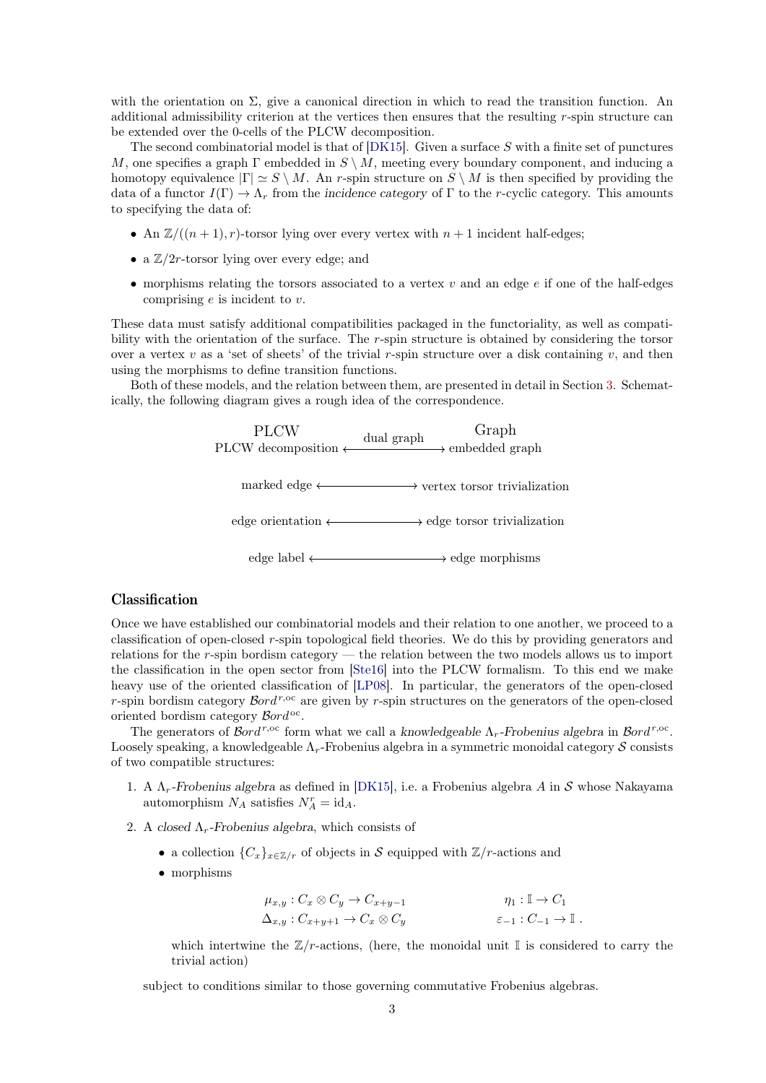with the orientation on  $\Sigma$ , give a canonical direction in which to read the transition function. An additional admissibility criterion at the vertices then ensures that the resulting r-spin structure can be extended over the 0-cells of the PLCW decomposition.

The second combinatorial model is that of  $[DK15]$ . Given a surface S with a finite set of punctures M, one specifies a graph  $\Gamma$  embedded in  $S \setminus M$ , meeting every boundary component, and inducing a homotopy equivalence  $|\Gamma| \simeq S \setminus M$ . An r-spin structure on  $S \setminus M$  is then specified by providing the data of a functor  $I(\Gamma) \to \Lambda_r$  from the incidence category of  $\Gamma$  to the r-cyclic category. This amounts to specifying the data of:

- An  $\mathbb{Z}/((n+1), r)$ -torsor lying over every vertex with  $n+1$  incident half-edges;
- a  $\mathbb{Z}/2r$ -torsor lying over every edge; and
- morphisms relating the torsors associated to a vertex  $v$  and an edge  $e$  if one of the half-edges comprising e is incident to v.

These data must satisfy additional compatibilities packaged in the functoriality, as well as compatibility with the orientation of the surface. The r-spin structure is obtained by considering the torsor over a vertex v as a 'set of sheets' of the trivial r-spin structure over a disk containing v, and then using the morphisms to define transition functions.

Both of these models, and the relation between them, are presented in detail in Section [3.](#page-6-0) Schematically, the following diagram gives a rough idea of the correspondence.



### Classification

Once we have established our combinatorial models and their relation to one another, we proceed to a classification of open-closed r-spin topological field theories. We do this by providing generators and relations for the r-spin bordism category — the relation between the two models allows us to import the classification in the open sector from [\[Ste16\]](#page-35-10) into the PLCW formalism. To this end we make heavy use of the oriented classification of [\[LP08\]](#page-35-5). In particular, the generators of the open-closed r-spin bordism category  $\mathcal{B}ord^{r,\text{oc}}$  are given by r-spin structures on the generators of the open-closed oriented bordism category  $\mathcal{B}ord^{\text{oc}}$ .

The generators of  $\mathcal{B}ord^{r,\text{oc}}$  form what we call a knowledgeable  $\Lambda_r$ -Frobenius algebra in  $\mathcal{B}ord^{r,\text{oc}}$ . Loosely speaking, a knowledgeable  $\Lambda_r$ -Frobenius algebra in a symmetric monoidal category S consists of two compatible structures:

- 1. A  $\Lambda_r$ -Frobenius algebra as defined in [\[DK15\]](#page-35-9), i.e. a Frobenius algebra A in S whose Nakayama automorphism  $N_A$  satisfies  $N_A^r = id_A$ .
- 2. A closed  $\Lambda_r$ -Frobenius algebra, which consists of
	- a collection  ${C_x}_{x \in \mathbb{Z}/r}$  of objects in S equipped with  $\mathbb{Z}/r$ -actions and
	- morphisms

$$
\mu_{x,y} : C_x \otimes C_y \to C_{x+y-1} \qquad \eta_1 : \mathbb{I} \to C_1
$$
  

$$
\Delta_{x,y} : C_{x+y+1} \to C_x \otimes C_y \qquad \varepsilon_{-1} : C_{-1} \to \mathbb{I} .
$$

which intertwine the  $\mathbb{Z}/r$ -actions, (here, the monoidal unit I is considered to carry the trivial action)

subject to conditions similar to those governing commutative Frobenius algebras.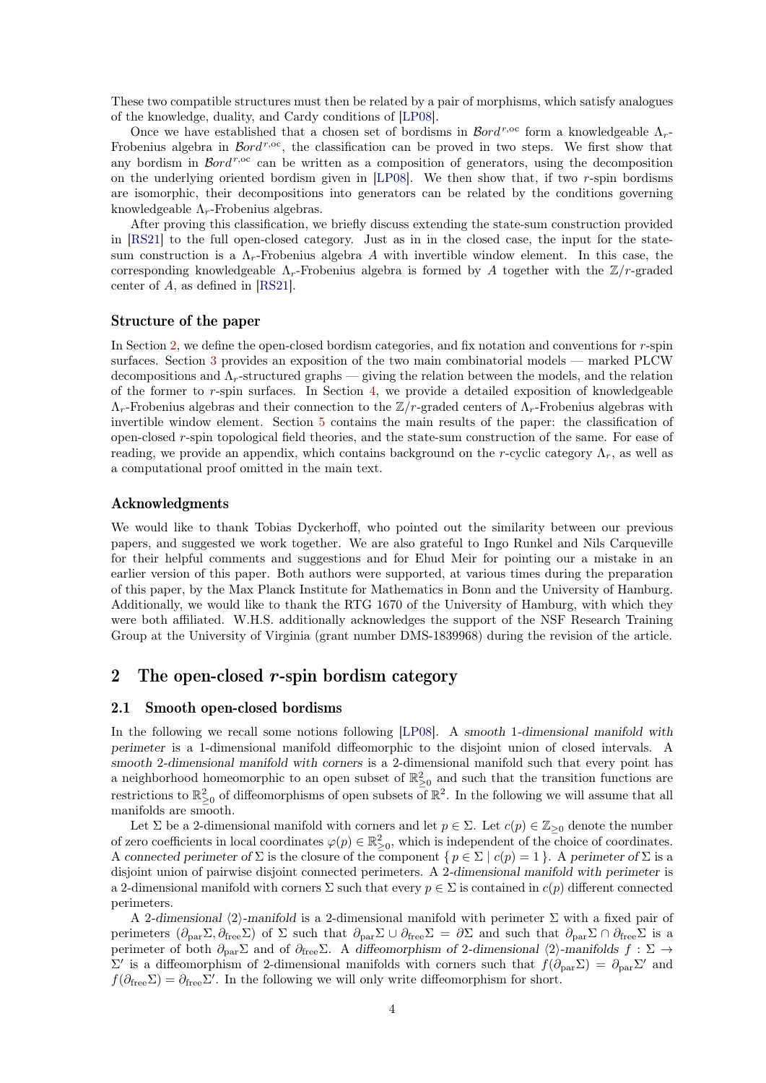These two compatible structures must then be related by a pair of morphisms, which satisfy analogues of the knowledge, duality, and Cardy conditions of [\[LP08\]](#page-35-5).

Once we have established that a chosen set of bordisms in  $\mathcal{B}ord^{r,\text{oc}}$  form a knowledgeable  $\Lambda_r$ -Frobenius algebra in  $\mathcal{B}ord^{r,\mathrm{oc}}$ , the classification can be proved in two steps. We first show that any bordism in  $\mathcal{B}ord^{r,\text{oc}}$  can be written as a composition of generators, using the decomposition on the underlying oriented bordism given in  $[LP08]$ . We then show that, if two r-spin bordisms are isomorphic, their decompositions into generators can be related by the conditions governing knowledgeable  $\Lambda_r$ -Frobenius algebras.

After proving this classification, we briefly discuss extending the state-sum construction provided in [\[RS21\]](#page-35-8) to the full open-closed category. Just as in in the closed case, the input for the statesum construction is a  $\Lambda_r$ -Frobenius algebra A with invertible window element. In this case, the corresponding knowledgeable  $\Lambda_r$ -Frobenius algebra is formed by A together with the  $\mathbb{Z}/r$ -graded center of A, as defined in [\[RS21\]](#page-35-8).

### Structure of the paper

In Section [2,](#page-3-0) we define the open-closed bordism categories, and fix notation and conventions for r-spin surfaces. Section [3](#page-6-0) provides an exposition of the two main combinatorial models — marked PLCW decompositions and  $\Lambda_r$ -structured graphs — giving the relation between the models, and the relation of the former to r-spin surfaces. In Section [4,](#page-18-0) we provide a detailed exposition of knowledgeable  $\Lambda_r$ -Frobenius algebras and their connection to the Z/r-graded centers of  $\Lambda_r$ -Frobenius algebras with invertible window element. Section [5](#page-22-2) contains the main results of the paper: the classification of open-closed r-spin topological field theories, and the state-sum construction of the same. For ease of reading, we provide an appendix, which contains background on the r-cyclic category  $\Lambda_r$ , as well as a computational proof omitted in the main text.

### Acknowledgments

We would like to thank Tobias Dyckerhoff, who pointed out the similarity between our previous papers, and suggested we work together. We are also grateful to Ingo Runkel and Nils Carqueville for their helpful comments and suggestions and for Ehud Meir for pointing our a mistake in an earlier version of this paper. Both authors were supported, at various times during the preparation of this paper, by the Max Planck Institute for Mathematics in Bonn and the University of Hamburg. Additionally, we would like to thank the RTG 1670 of the University of Hamburg, with which they were both affiliated. W.H.S. additionally acknowledges the support of the NSF Research Training Group at the University of Virginia (grant number DMS-1839968) during the revision of the article.

# <span id="page-3-0"></span>2 The open-closed  $r$ -spin bordism category

### <span id="page-3-1"></span>2.1 Smooth open-closed bordisms

In the following we recall some notions following [\[LP08\]](#page-35-5). A smooth 1-dimensional manifold with perimeter is a 1-dimensional manifold diffeomorphic to the disjoint union of closed intervals. A smooth 2-dimensional manifold with corners is a 2-dimensional manifold such that every point has a neighborhood homeomorphic to an open subset of  $\mathbb{R}^2_{\geq 0}$  and such that the transition functions are restrictions to  $\mathbb{R}^2_{\geq 0}$  of diffeomorphisms of open subsets of  $\mathbb{R}^2$ . In the following we will assume that all manifolds are smooth.

Let  $\Sigma$  be a 2-dimensional manifold with corners and let  $p \in \Sigma$ . Let  $c(p) \in \mathbb{Z}_{\geq 0}$  denote the number of zero coefficients in local coordinates  $\varphi(p) \in \mathbb{R}^2_{\geq 0}$ , which is independent of the choice of coordinates. A connected perimeter of  $\Sigma$  is the closure of the component  $\{p \in \Sigma \mid c(p) = 1\}$ . A perimeter of  $\Sigma$  is a disjoint union of pairwise disjoint connected perimeters. A 2-dimensional manifold with perimeter is a 2-dimensional manifold with corners  $\Sigma$  such that every  $p \in \Sigma$  is contained in  $c(p)$  different connected perimeters.

A 2-dimensional  $\langle 2 \rangle$ -manifold is a 2-dimensional manifold with perimeter  $\Sigma$  with a fixed pair of perimeters  $(\partial_{\text{par}}\Sigma, \partial_{\text{free}}\Sigma)$  of  $\Sigma$  such that  $\partial_{\text{par}}\Sigma \cup \partial_{\text{free}}\Sigma = \partial \Sigma$  and such that  $\partial_{\text{par}}\Sigma \cap \partial_{\text{free}}\Sigma$  is a perimeter of both  $\partial_{par}\Sigma$  and of  $\partial_{free}\Sigma$ . A diffeomorphism of 2-dimensional  $\langle 2 \rangle$ -manifolds  $f : \Sigma \rightarrow$  $\Sigma'$  is a diffeomorphism of 2-dimensional manifolds with corners such that  $f(\partial_{\text{par}}\Sigma) = \partial_{\text{par}}\Sigma'$  and  $f(\partial_{\text{free}}\Sigma) = \partial_{\text{free}}\Sigma'$ . In the following we will only write diffeomorphism for short.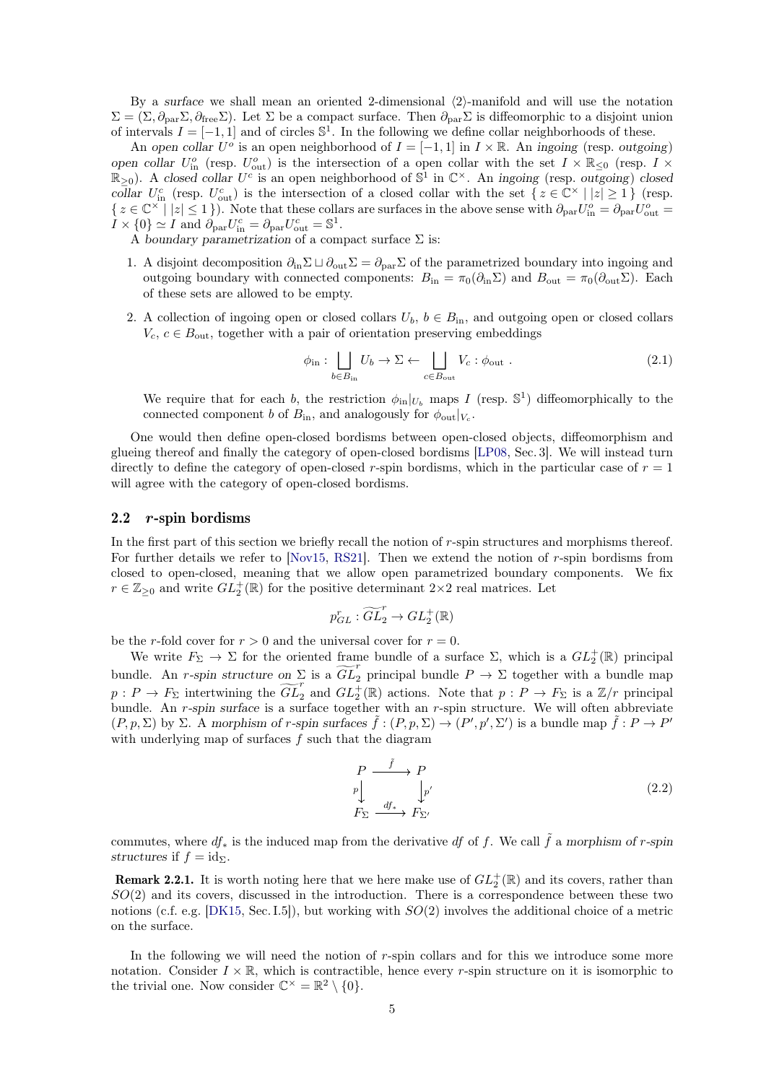By a surface we shall mean an oriented 2-dimensional  $\langle 2 \rangle$ -manifold and will use the notation  $\Sigma = (\Sigma, \partial_{\text{par}} \Sigma, \partial_{\text{free}} \Sigma)$ . Let  $\Sigma$  be a compact surface. Then  $\partial_{\text{par}} \Sigma$  is diffeomorphic to a disjoint union of intervals  $I = [-1, 1]$  and of circles  $\mathbb{S}^1$ . In the following we define collar neighborhoods of these.

An open collar  $U^o$  is an open neighborhood of  $I = [-1, 1]$  in  $I \times \mathbb{R}$ . An ingoing (resp. outgoing) open collar  $U_{\text{in}}^o$  (resp.  $U_{\text{out}}^o$ ) is the intersection of a open collar with the set  $I \times \mathbb{R}_{\leq 0}$  (resp.  $I \times$  $\mathbb{R}_{\geq 0}$ ). A closed collar  $U^c$  is an open neighborhood of  $\mathbb{S}^1$  in  $\mathbb{C}^\times$ . An ingoing (resp. outgoing) closed collar  $U_{\text{in}}^c$  (resp.  $U_{\text{out}}^c$ ) is the intersection of a closed collar with the set  $\{z \in \mathbb{C}^\times \mid |z| \geq 1\}$  (resp.  $\{z \in \mathbb{C}^{\times} \mid |z| \leq 1\}$ . Note that these collars are surfaces in the above sense with  $\partial_{\text{par}} U_{\text{in}}^o = \partial_{\text{par}} U_{\text{out}}^o =$  $I \times \{0\} \simeq I$  and  $\partial_{\text{par}} U_{\text{in}}^c = \partial_{\text{par}} U_{\text{out}}^c = \mathbb{S}^1$ .

A boundary parametrization of a compact surface  $\Sigma$  is:

- 1. A disjoint decomposition  $\partial_{\text{in}} \Sigma \sqcup \partial_{\text{out}} \Sigma = \partial_{\text{par}} \Sigma$  of the parametrized boundary into ingoing and outgoing boundary with connected components:  $B_{\text{in}} = \pi_0(\partial_{\text{in}}\Sigma)$  and  $B_{\text{out}} = \pi_0(\partial_{\text{out}}\Sigma)$ . Each of these sets are allowed to be empty.
- 2. A collection of ingoing open or closed collars  $U_b$ ,  $b \in B_{\text{in}}$ , and outgoing open or closed collars  $V_c, c \in B_{\text{out}}$ , together with a pair of orientation preserving embeddings

<span id="page-4-1"></span>
$$
\phi_{\text{in}}: \bigsqcup_{b \in B_{\text{in}}} U_b \to \Sigma \leftarrow \bigsqcup_{c \in B_{\text{out}}} V_c : \phi_{\text{out}}.
$$
\n(2.1)

We require that for each b, the restriction  $\phi_{\text{in}}|_{U_b}$  maps I (resp.  $\mathbb{S}^1$ ) diffeomorphically to the connected component b of  $B_{\text{in}}$ , and analogously for  $\phi_{\text{out}}|_{V_c}$ .

One would then define open-closed bordisms between open-closed objects, diffeomorphism and glueing thereof and finally the category of open-closed bordisms [\[LP08,](#page-35-5) Sec. 3]. We will instead turn directly to define the category of open-closed r-spin bordisms, which in the particular case of  $r = 1$ will agree with the category of open-closed bordisms.

#### <span id="page-4-0"></span>2.2 r-spin bordisms

In the first part of this section we briefly recall the notion of  $r$ -spin structures and morphisms thereof. For further details we refer to  $[Nov15, RS21]$  $[Nov15, RS21]$  $[Nov15, RS21]$ . Then we extend the notion of r-spin bordisms from closed to open-closed, meaning that we allow open parametrized boundary components. We fix  $r \in \mathbb{Z}_{\geq 0}$  and write  $GL_2^+(\mathbb{R})$  for the positive determinant  $2 \times 2$  real matrices. Let

$$
p_{GL}^r : \widetilde{GL}_2^r \to GL_2^+(\mathbb{R})
$$

be the r-fold cover for  $r > 0$  and the universal cover for  $r = 0$ .

We write  $F_{\Sigma} \to \Sigma$  for the oriented frame bundle of a surface  $\Sigma$ , which is a  $GL_2^+(\mathbb{R})$  principal bundle. An r-spin structure on  $\Sigma$  is a  $\widetilde{GL}_2^r$  principal bundle  $P \to \Sigma$  together with a bundle map  $p: P \to F_{\Sigma}$  intertwining the  $\widetilde{GL}_2^r$  and  $GL_2^+(\mathbb{R})$  actions. Note that  $p: P \to F_{\Sigma}$  is a  $\mathbb{Z}/r$  principal bundle. An r-spin surface is a surface together with an r-spin structure. We will often abbreviate  $(P, p, \Sigma)$  by  $\Sigma$ . A morphism of r-spin surfaces  $\tilde{f} : (P, p, \Sigma) \to (P', p', \Sigma')$  is a bundle map  $\tilde{f} : P \to P'$ with underlying map of surfaces  $f$  such that the diagram

$$
\begin{array}{ccc}\nP & \xrightarrow{\tilde{f}} & P \\
p & \downarrow_{p'} & \\
F_{\Sigma} & \xrightarrow{df_{*}} & F_{\Sigma'}\n\end{array} \tag{2.2}
$$

commutes, where  $df_*$  is the induced map from the derivative df of f. We call  $\tilde{f}$  a morphism of r-spin structures if  $f = id_{\Sigma}$ .

**Remark 2.2.1.** It is worth noting here that we here make use of  $GL_2^+(\mathbb{R})$  and its covers, rather than  $SO(2)$  and its covers, discussed in the introduction. There is a correspondence between these two notions (c.f. e.g. [\[DK15,](#page-35-9) Sec. I.5]), but working with  $SO(2)$  involves the additional choice of a metric on the surface.

<span id="page-4-2"></span>In the following we will need the notion of r-spin collars and for this we introduce some more notation. Consider  $I \times \mathbb{R}$ , which is contractible, hence every r-spin structure on it is isomorphic to the trivial one. Now consider  $\mathbb{C}^{\times} = \mathbb{R}^2 \setminus \{0\}.$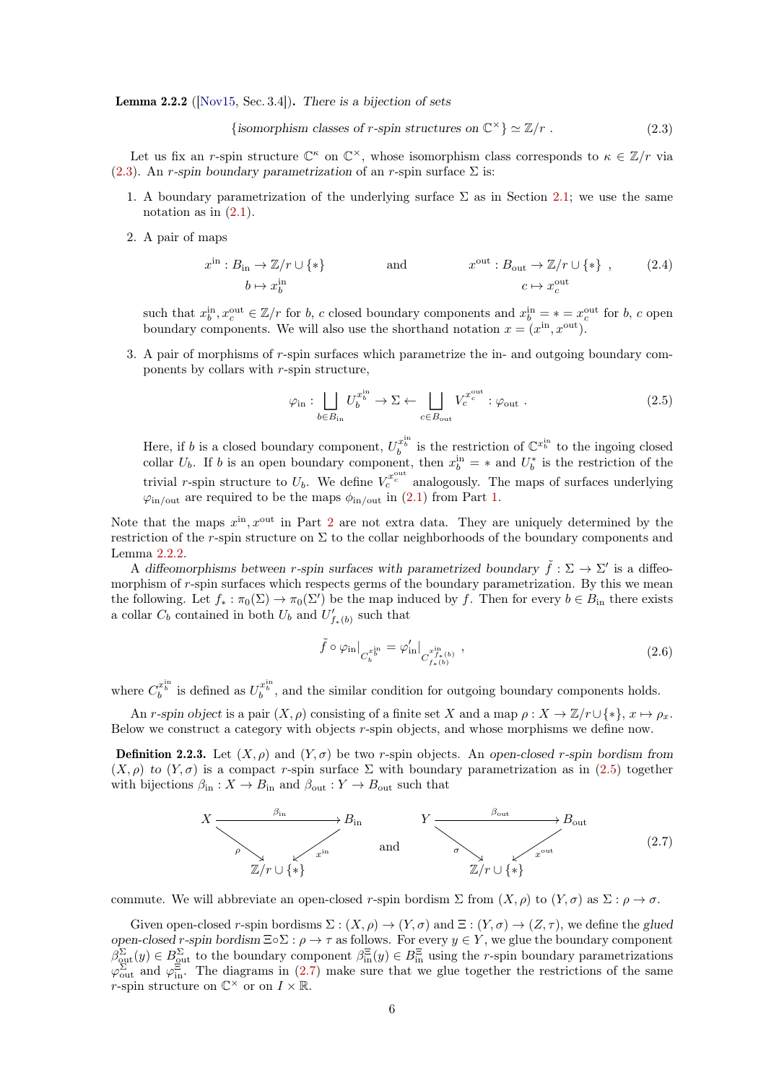**Lemma 2.2.2** ( $[Nov15, Sec. 3.4]$  $[Nov15, Sec. 3.4]$ ). There is a bijection of sets

<span id="page-5-0"></span>{isomorphism classes of r-spin structures on 
$$
\mathbb{C}^{\times}
$$
}  $\simeq \mathbb{Z}/r$ . (2.3)

Let us fix an r-spin structure  $\mathbb{C}^{\kappa}$  on  $\mathbb{C}^{\times}$ , whose isomorphism class corresponds to  $\kappa \in \mathbb{Z}/r$  via [\(2.3\)](#page-5-0). An r-spin boundary parametrization of an r-spin surface  $\Sigma$  is:

- <span id="page-5-1"></span>1. A boundary parametrization of the underlying surface  $\Sigma$  as in Section [2.1;](#page-3-1) we use the same notation as in  $(2.1)$ .
- 2. A pair of maps

$$
x^{\text{in}}: B_{\text{in}} \to \mathbb{Z}/r \cup \{*\} \qquad \text{and} \qquad x^{\text{out}}: B_{\text{out}} \to \mathbb{Z}/r \cup \{*\} \quad , \qquad (2.4)
$$

$$
b \mapsto x_b^{\text{in}} \qquad \qquad c \mapsto x_c^{\text{out}}
$$

such that  $x_b^{\text{in}}, x_c^{\text{out}} \in \mathbb{Z}/r$  for b, c closed boundary components and  $x_b^{\text{in}} = * = x_c^{\text{out}}$  for b, c open boundary components. We will also use the shorthand notation  $x = (x<sup>in</sup>, x<sup>out</sup>)$ .

3. A pair of morphisms of r-spin surfaces which parametrize the in- and outgoing boundary components by collars with r-spin structure,

<span id="page-5-3"></span><span id="page-5-2"></span>
$$
\varphi_{\text{in}}: \bigsqcup_{b \in B_{\text{in}}} U_b^{x_b^{\text{in}}} \to \Sigma \leftarrow \bigsqcup_{c \in B_{\text{out}}} V_c^{x_c^{\text{out}}} : \varphi_{\text{out}}.
$$
\n(2.5)

Here, if b is a closed boundary component,  $U_b^{x_b^{\text{in}}}$  is the restriction of  $\mathbb{C}^{x_b^{\text{in}}}$  to the ingoing closed collar  $U_b$ . If b is an open boundary component, then  $x_b^{\text{in}} = *$  and  $U_b^*$  is the restriction of the trivial r-spin structure to  $U_b$ . We define  $V_c^{x_c^{\text{out}}}$  analogously. The maps of surfaces underlying  $\varphi_{\text{in/out}}$  are required to be the maps  $\phi_{\text{in/out}}$  in [\(2.1\)](#page-4-1) from Part [1.](#page-5-1)

Note that the maps  $x^{\text{in}}$ ,  $x^{\text{out}}$  in Part [2](#page-5-2) are not extra data. They are uniquely determined by the restriction of the r-spin structure on  $\Sigma$  to the collar neighborhoods of the boundary components and Lemma [2.2.2.](#page-4-2)

A diffeomorphisms between r-spin surfaces with parametrized boundary  $\tilde{f} : \Sigma \to \Sigma'$  is a diffeomorphism of  $r$ -spin surfaces which respects germs of the boundary parametrization. By this we mean the following. Let  $f_* : \pi_0(\Sigma) \to \pi_0(\Sigma')$  be the map induced by f. Then for every  $b \in B_{\text{in}}$  there exists a collar  $C_b$  contained in both  $U_b$  and  $U'_{f_*(b)}$  such that

<span id="page-5-4"></span>
$$
\tilde{f} \circ \varphi_{\rm in}|_{C_b^{x_b^{\rm in}}} = \varphi_{\rm in}|_{C_{f_*(b)}^{x_{f_*(b)}}},\tag{2.6}
$$

where  $C_b^{x_b^{\text{in}}}$  is defined as  $U_b^{x_b^{\text{in}}}$ , and the similar condition for outgoing boundary components holds.

An r-spin object is a pair  $(X, \rho)$  consisting of a finite set X and a map  $\rho: X \to \mathbb{Z}/r \cup \{*\}, x \mapsto \rho_x$ . Below we construct a category with objects r-spin objects, and whose morphisms we define now.

**Definition 2.2.3.** Let  $(X, \rho)$  and  $(Y, \sigma)$  be two r-spin objects. An open-closed r-spin bordism from  $(X, \rho)$  to  $(Y, \sigma)$  is a compact r-spin surface  $\Sigma$  with boundary parametrization as in [\(2.5\)](#page-5-3) together with bijections  $\beta_{\text{in}} : X \to B_{\text{in}}$  and  $\beta_{\text{out}} : Y \to B_{\text{out}}$  such that



commute. We will abbreviate an open-closed r-spin bordism  $\Sigma$  from  $(X, \rho)$  to  $(Y, \sigma)$  as  $\Sigma : \rho \to \sigma$ .

Given open-closed r-spin bordisms  $\Sigma : (X, \rho) \to (Y, \sigma)$  and  $\Xi : (Y, \sigma) \to (Z, \tau)$ , we define the glued open-closed r-spin bordism  $\Xi \circ \Sigma : \rho \to \tau$  as follows. For every  $y \in Y$ , we glue the boundary component  $\beta_{\text{out}}^{\Sigma}(y) \in B_{\text{out}}^{\Sigma}$  to the boundary component  $\beta_{\text{in}}^{\Xi}(y) \in B_{\text{in}}^{\Xi}$  using the r-spin boundary parametrizations  $\varphi_{\text{out}}^{\Sigma}$  and  $\varphi_{\text{in}}^{\Xi}$ . The diagrams in [\(2.7\)](#page-5-4) make sure that we glue together the restrictions of the same *r*-spin structure on  $\mathbb{C}^{\times}$  or on  $I \times \mathbb{R}$ .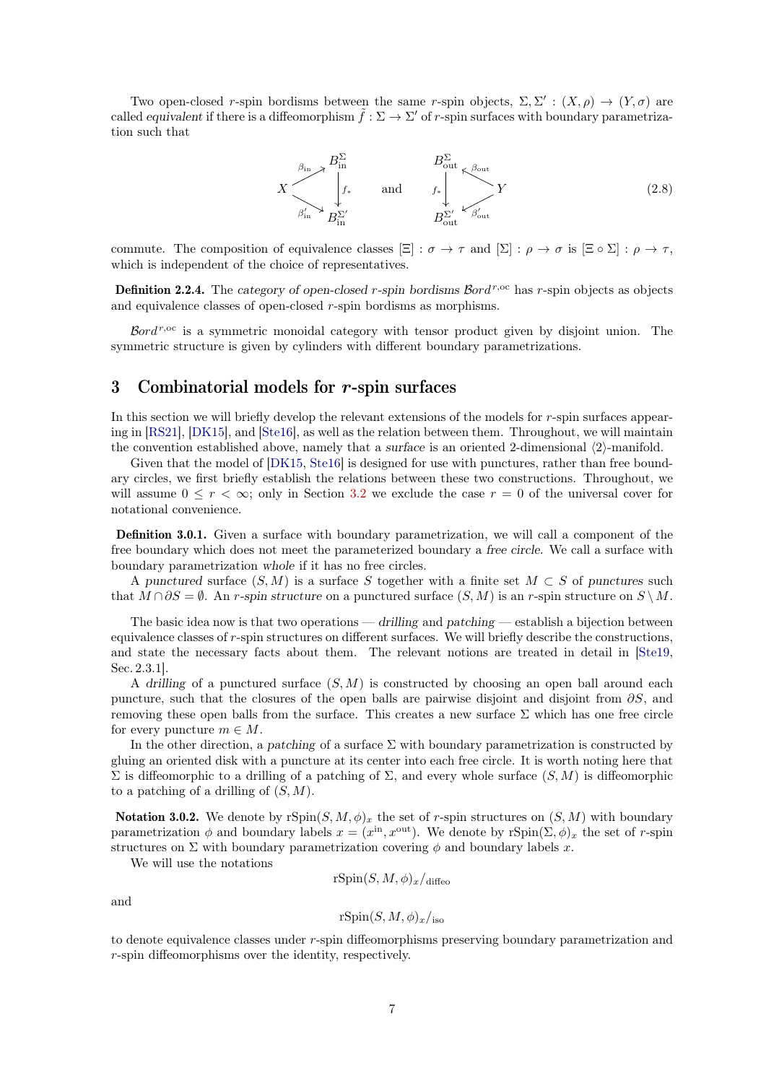Two open-closed r-spin bordisms between the same r-spin objects,  $\Sigma$ ,  $\Sigma'$ :  $(X, \rho) \to (Y, \sigma)$  are called equivalent if there is a diffeomorphism  $\tilde{f} : \Sigma \to \Sigma'$  of r-spin surfaces with boundary parametrization such that



commute. The composition of equivalence classes  $[\Xi] : \sigma \to \tau$  and  $[\Sigma] : \rho \to \sigma$  is  $[\Xi \circ \Sigma] : \rho \to \tau$ , which is independent of the choice of representatives.

**Definition 2.2.4.** The category of open-closed r-spin bordisms  $\mathcal{B}ord^{r,\text{oc}}$  has r-spin objects as objects and equivalence classes of open-closed r-spin bordisms as morphisms.

Bord<sup>r,oc</sup> is a symmetric monoidal category with tensor product given by disjoint union. The symmetric structure is given by cylinders with different boundary parametrizations.

# <span id="page-6-0"></span>3 Combinatorial models for r-spin surfaces

In this section we will briefly develop the relevant extensions of the models for r-spin surfaces appearing in [\[RS21\]](#page-35-8), [\[DK15\]](#page-35-9), and [\[Ste16\]](#page-35-10), as well as the relation between them. Throughout, we will maintain the convention established above, namely that a surface is an oriented 2-dimensional  $\langle 2 \rangle$ -manifold.

Given that the model of [\[DK15,](#page-35-9) [Ste16\]](#page-35-10) is designed for use with punctures, rather than free boundary circles, we first briefly establish the relations between these two constructions. Throughout, we will assume  $0 \leq r < \infty$ ; only in Section [3.2](#page-13-0) we exclude the case  $r = 0$  of the universal cover for notational convenience.

Definition 3.0.1. Given a surface with boundary parametrization, we will call a component of the free boundary which does not meet the parameterized boundary a free circle. We call a surface with boundary parametrization whole if it has no free circles.

A punctured surface  $(S, M)$  is a surface S together with a finite set  $M \subset S$  of punctures such that  $M \cap \partial S = \emptyset$ . An r-spin structure on a punctured surface  $(S, M)$  is an r-spin structure on  $S \setminus M$ .

The basic idea now is that two operations — drilling and patching — establish a bijection between equivalence classes of r-spin structures on different surfaces. We will briefly describe the constructions, and state the necessary facts about them. The relevant notions are treated in detail in [\[Ste19,](#page-35-12) Sec. 2.3.1].

A drilling of a punctured surface  $(S, M)$  is constructed by choosing an open ball around each puncture, such that the closures of the open balls are pairwise disjoint and disjoint from  $\partial S$ , and removing these open balls from the surface. This creates a new surface  $\Sigma$  which has one free circle for every puncture  $m \in M$ .

In the other direction, a patching of a surface  $\Sigma$  with boundary parametrization is constructed by gluing an oriented disk with a puncture at its center into each free circle. It is worth noting here that  $\Sigma$  is diffeomorphic to a drilling of a patching of Σ, and every whole surface  $(S, M)$  is diffeomorphic to a patching of a drilling of  $(S, M)$ .

**Notation 3.0.2.** We denote by  $rSpin(S, M, \phi)_x$  the set of r-spin structures on  $(S, M)$  with boundary parametrization  $\phi$  and boundary labels  $x = (x^{\text{in}}, x^{\text{out}})$ . We denote by  $\text{rSpin}(\Sigma, \phi)_x$  the set of r-spin structures on  $\Sigma$  with boundary parametrization covering  $\phi$  and boundary labels x.

We will use the notations

$$
\mathrm{rSpin}(S,M,\phi)_x/\mathrm{diffeo}
$$

and

$$
\mathrm{rSpin}(S,M,\phi)_x/_{\mathrm{iso}}
$$

to denote equivalence classes under r-spin diffeomorphisms preserving boundary parametrization and r-spin diffeomorphisms over the identity, respectively.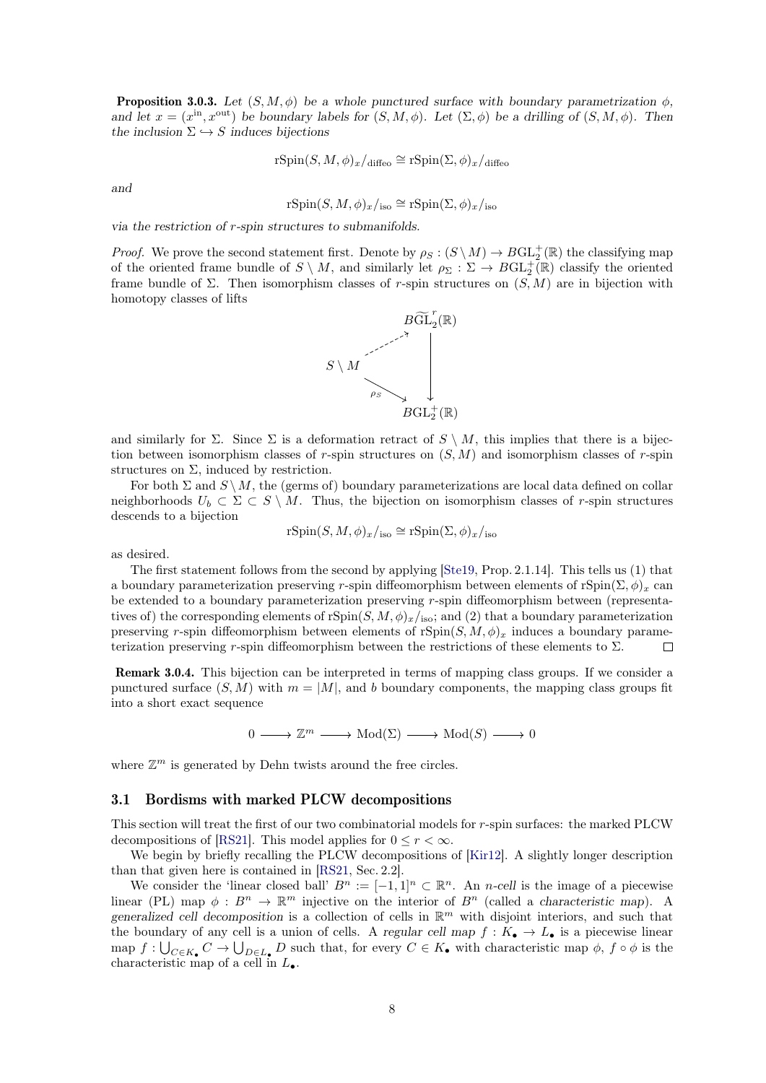**Proposition 3.0.3.** Let  $(S, M, \phi)$  be a whole punctured surface with boundary parametrization  $\phi$ . and let  $x = (x^{\text{in}}, x^{\text{out}})$  be boundary labels for  $(S, M, \phi)$ . Let  $(\Sigma, \phi)$  be a drilling of  $(S, M, \phi)$ . Then the inclusion  $\Sigma \hookrightarrow S$  induces bijections

$$
\mathrm{rSpin}(S,M,\phi)_x/_{\mathrm{diffeo}} \cong \mathrm{rSpin}(\Sigma,\phi)_x/_{\mathrm{diffeo}}
$$

and

$$
rSpin(S, M, \phi)_x/_{\text{iso}} \cong rSpin(\Sigma, \phi)_x/_{\text{iso}}
$$

via the restriction of r-spin structures to submanifolds.

*Proof.* We prove the second statement first. Denote by  $\rho_S : (S \setminus M) \to BGL_2^+(\mathbb{R})$  the classifying map of the oriented frame bundle of  $S \setminus M$ , and similarly let  $\rho_{\Sigma}: \Sigma \to BGL_2^+(\mathbb{R})$  classify the oriented frame bundle of  $\Sigma$ . Then isomorphism classes of r-spin structures on  $(S, M)$  are in bijection with homotopy classes of lifts



and similarly for  $\Sigma$ . Since  $\Sigma$  is a deformation retract of  $S \setminus M$ , this implies that there is a bijection between isomorphism classes of r-spin structures on  $(S, M)$  and isomorphism classes of r-spin structures on  $\Sigma$ , induced by restriction.

For both  $\Sigma$  and  $S \setminus M$ , the (germs of) boundary parameterizations are local data defined on collar neighborhoods  $U_b \subset \Sigma \subset S \setminus M$ . Thus, the bijection on isomorphism classes of r-spin structures descends to a bijection

$$
rSpin(S, M, \phi)_x/_{iso} \cong rSpin(\Sigma, \phi)_x/_{iso}
$$

as desired.

The first statement follows from the second by applying [\[Ste19,](#page-35-12) Prop. 2.1.14]. This tells us (1) that a boundary parameterization preserving r-spin diffeomorphism between elements of rSpin( $\Sigma$ ,  $\phi$ )<sub>x</sub> can be extended to a boundary parameterization preserving r-spin diffeomorphism between (representatives of) the corresponding elements of rSpin $(S, M, \phi)_x/_{\text{iso}}$ ; and (2) that a boundary parameterization preserving r-spin diffeomorphism between elements of  $rSpin(S, M, \phi)_x$  induces a boundary parameterization preserving r-spin diffeomorphism between the restrictions of these elements to  $\Sigma$ .  $\Box$ 

Remark 3.0.4. This bijection can be interpreted in terms of mapping class groups. If we consider a punctured surface  $(S, M)$  with  $m = |M|$ , and b boundary components, the mapping class groups fit into a short exact sequence

 $0 \longrightarrow \mathbb{Z}^m \longrightarrow \text{Mod}(\Sigma) \longrightarrow \text{Mod}(S) \longrightarrow 0$ 

where  $\mathbb{Z}^m$  is generated by Dehn twists around the free circles.

#### <span id="page-7-0"></span>3.1 Bordisms with marked PLCW decompositions

This section will treat the first of our two combinatorial models for r-spin surfaces: the marked PLCW decompositions of [\[RS21\]](#page-35-8). This model applies for  $0 \leq r \leq \infty$ .

We begin by briefly recalling the PLCW decompositions of [\[Kir12\]](#page-35-11). A slightly longer description than that given here is contained in [\[RS21,](#page-35-8) Sec. 2.2].

We consider the 'linear closed ball'  $B^n := [-1,1]^n \subset \mathbb{R}^n$ . An n-cell is the image of a piecewise linear (PL) map  $\phi: B^n \to \mathbb{R}^m$  injective on the interior of  $B^n$  (called a characteristic map). A generalized cell decomposition is a collection of cells in  $\mathbb{R}^m$  with disjoint interiors, and such that the boundary of any cell is a union of cells. A regular cell map  $f: K_{\bullet} \to L_{\bullet}$  is a piecewise linear map  $f: \bigcup_{C \in K_{\bullet}} C \to \bigcup_{D \in L_{\bullet}} D$  such that, for every  $C \in K_{\bullet}$  with characteristic map  $\phi$ ,  $f \circ \phi$  is the characteristic map of a cell in  $L_{\bullet}$ .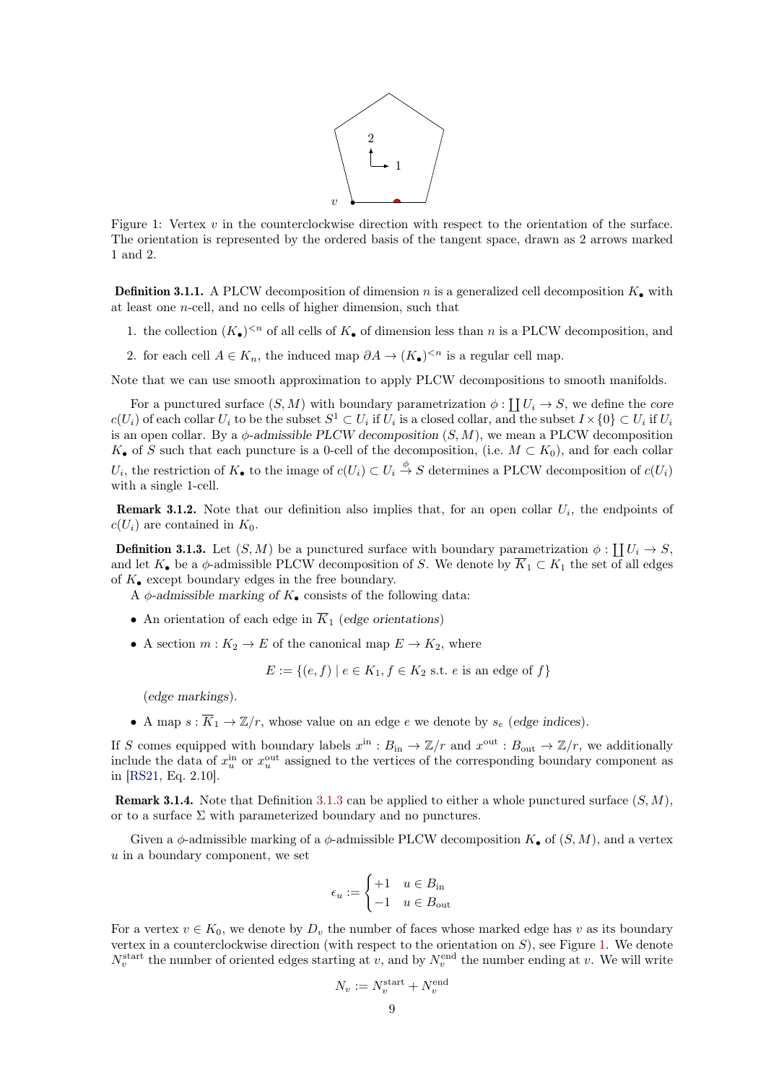

<span id="page-8-1"></span>Figure 1: Vertex v in the counterclockwise direction with respect to the orientation of the surface. The orientation is represented by the ordered basis of the tangent space, drawn as 2 arrows marked 1 and 2.

**Definition 3.1.1.** A PLCW decomposition of dimension n is a generalized cell decomposition  $K_{\bullet}$  with at least one n-cell, and no cells of higher dimension, such that

- 1. the collection  $(K_{\bullet})^{\leq n}$  of all cells of  $K_{\bullet}$  of dimension less than n is a PLCW decomposition, and
- 2. for each cell  $A \in K_n$ , the induced map  $\partial A \to (K_{\bullet})^{\leq n}$  is a regular cell map.

Note that we can use smooth approximation to apply PLCW decompositions to smooth manifolds.

For a punctured surface  $(S, M)$  with boundary parametrization  $\phi : \coprod U_i \to S$ , we define the core  $c(U_i)$  of each collar  $U_i$  to be the subset  $S^1 \subset U_i$  if  $U_i$  is a closed collar, and the subset  $I \times \{0\} \subset U_i$  if  $U_i$ is an open collar. By a  $\phi$ -admissible PLCW decomposition  $(S, M)$ , we mean a PLCW decomposition  $K_{\bullet}$  of S such that each puncture is a 0-cell of the decomposition, (i.e.  $M \subset K_0$ ), and for each collar  $U_i$ , the restriction of  $K_{\bullet}$  to the image of  $c(U_i) \subset U_i \stackrel{\phi}{\to} S$  determines a PLCW decomposition of  $c(U_i)$ with a single 1-cell.

**Remark 3.1.2.** Note that our definition also implies that, for an open collar  $U_i$ , the endpoints of  $c(U_i)$  are contained in  $K_0$ .

<span id="page-8-0"></span>**Definition 3.1.3.** Let  $(S, M)$  be a punctured surface with boundary parametrization  $\phi : \coprod_{i \in \mathbb{N}} U_i \to S$ , and let  $K_{\bullet}$  be a  $\phi$ -admissible PLCW decomposition of S. We denote by  $\overline{K}_1 \subset K_1$  the set of all edges of  $K_{\bullet}$  except boundary edges in the free boundary.

A  $\phi$ -admissible marking of  $K_{\bullet}$  consists of the following data:

- An orientation of each edge in  $\overline{K}_1$  (edge orientations)
- A section  $m: K_2 \to E$  of the canonical map  $E \to K_2$ , where

$$
E := \{(e, f) \mid e \in K_1, f \in K_2 \text{ s.t. } e \text{ is an edge of } f\}
$$

(edge markings).

• A map  $s : \overline{K}_1 \to \mathbb{Z}/r$ , whose value on an edge e we denote by  $s_e$  (edge indices).

If S comes equipped with boundary labels  $x^{\text{in}} : B_{\text{in}} \to \mathbb{Z}/r$  and  $x^{\text{out}} : B_{\text{out}} \to \mathbb{Z}/r$ , we additionally include the data of  $x_u^{\text{in}}$  or  $x_u^{\text{out}}$  assigned to the vertices of the corresponding boundary component as in [\[RS21,](#page-35-8) Eq. 2.10].

**Remark 3.1.4.** Note that Definition [3.1.3](#page-8-0) can be applied to either a whole punctured surface  $(S, M)$ , or to a surface  $\Sigma$  with parameterized boundary and no punctures.

Given a  $\phi$ -admissible marking of a  $\phi$ -admissible PLCW decomposition  $K_{\bullet}$  of  $(S, M)$ , and a vertex u in a boundary component, we set

$$
\epsilon_u := \begin{cases} +1 & u \in B_{\text{in}} \\ -1 & u \in B_{\text{out}} \end{cases}
$$

For a vertex  $v \in K_0$ , we denote by  $D_v$  the number of faces whose marked edge has v as its boundary vertex in a counterclockwise direction (with respect to the orientation on  $S$ ), see Figure [1.](#page-8-1) We denote  $N_v^{\text{start}}$  the number of oriented edges starting at v, and by  $N_v^{\text{end}}$  the number ending at v. We will write

$$
N_v := N_v^{\text{start}} + N_v^{\text{end}}
$$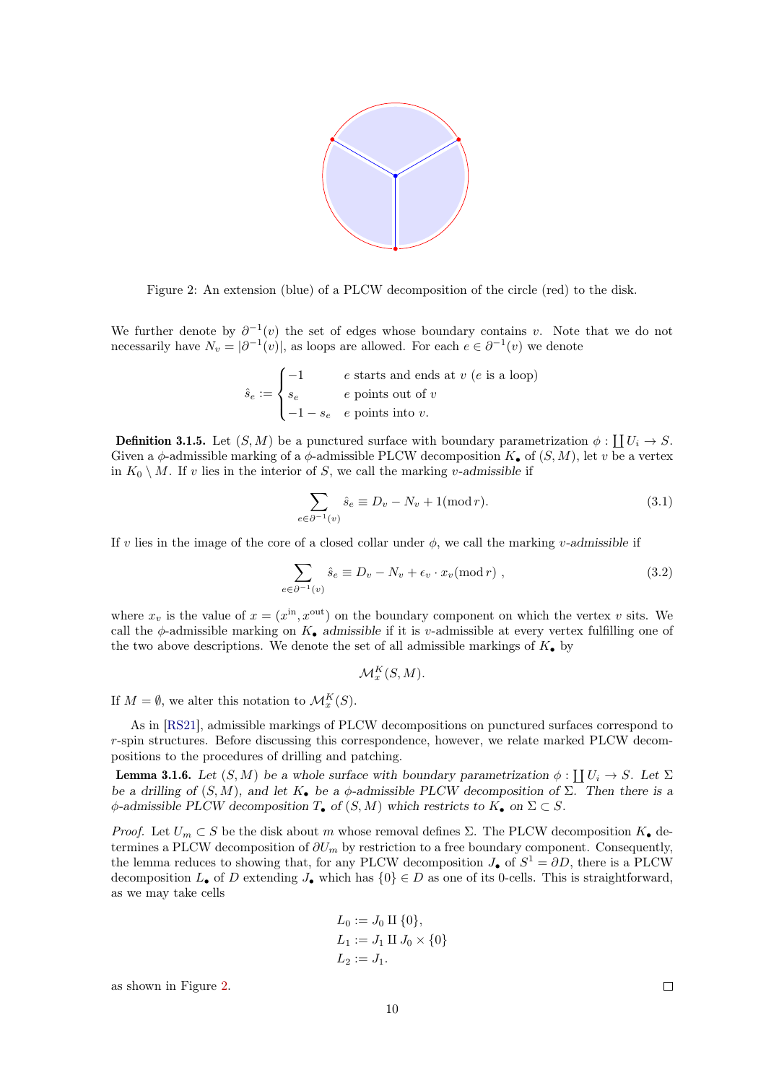

<span id="page-9-0"></span>Figure 2: An extension (blue) of a PLCW decomposition of the circle (red) to the disk.

We further denote by  $\partial^{-1}(v)$  the set of edges whose boundary contains v. Note that we do not necessarily have  $N_v = |\partial^{-1}(v)|$ , as loops are allowed. For each  $e \in \partial^{-1}(v)$  we denote

$$
\hat{s}_e := \begin{cases}\n-1 & e \text{ starts and ends at } v \text{ (}e \text{ is a loop)} \\
s_e & e \text{ points out of } v \\
-1 - s_e & e \text{ points into } v.\n\end{cases}
$$

**Definition 3.1.5.** Let  $(S, M)$  be a punctured surface with boundary parametrization  $\phi : \coprod U_i \to S$ . Given a  $\phi$ -admissible marking of a  $\phi$ -admissible PLCW decomposition  $K_{\bullet}$  of  $(S, M)$ , let v be a vertex in  $K_0 \setminus M$ . If v lies in the interior of S, we call the marking v-admissible if

<span id="page-9-1"></span>
$$
\sum_{e \in \partial^{-1}(v)} \hat{s}_e \equiv D_v - N_v + 1(\text{mod } r). \tag{3.1}
$$

If v lies in the image of the core of a closed collar under  $\phi$ , we call the marking v-admissible if

$$
\sum_{e \in \partial^{-1}(v)} \hat{s}_e \equiv D_v - N_v + \epsilon_v \cdot x_v \pmod{r}, \qquad (3.2)
$$

where  $x_v$  is the value of  $x = (x^{\text{in}}, x^{\text{out}})$  on the boundary component on which the vertex v sits. We call the  $\phi$ -admissible marking on  $K_{\bullet}$  admissible if it is v-admissible at every vertex fulfilling one of the two above descriptions. We denote the set of all admissible markings of  $K_{\bullet}$  by

$$
\mathcal{M}^K_x(S,M).
$$

If  $M = \emptyset$ , we alter this notation to  $\mathcal{M}_x^K(S)$ .

As in [\[RS21\]](#page-35-8), admissible markings of PLCW decompositions on punctured surfaces correspond to r-spin structures. Before discussing this correspondence, however, we relate marked PLCW decompositions to the procedures of drilling and patching.

<span id="page-9-2"></span>**Lemma 3.1.6.** Let  $(S, M)$  be a whole surface with boundary parametrization  $\phi : \coprod U_i \to S$ . Let  $\Sigma$ be a drilling of  $(S, M)$ , and let  $K_{\bullet}$  be a  $\phi$ -admissible PLCW decomposition of  $\Sigma$ . Then there is a  $\phi$ -admissible PLCW decomposition  $T_{\bullet}$  of  $(S, M)$  which restricts to  $K_{\bullet}$  on  $\Sigma \subset S$ .

Proof. Let  $U_m \subset S$  be the disk about m whose removal defines  $\Sigma$ . The PLCW decomposition  $K_{\bullet}$  determines a PLCW decomposition of  $\partial U_m$  by restriction to a free boundary component. Consequently, the lemma reduces to showing that, for any PLCW decomposition  $J_{\bullet}$  of  $S^1 = \partial D$ , there is a PLCW decomposition  $L_{\bullet}$  of D extending  $J_{\bullet}$  which has  $\{0\} \in D$  as one of its 0-cells. This is straightforward, as we may take cells

$$
L_0 := J_0 \amalg \{0\},
$$
  
\n
$$
L_1 := J_1 \amalg J_0 \times \{0\}
$$
  
\n
$$
L_2 := J_1.
$$

<span id="page-9-3"></span>as shown in Figure [2.](#page-9-0)

 $\Box$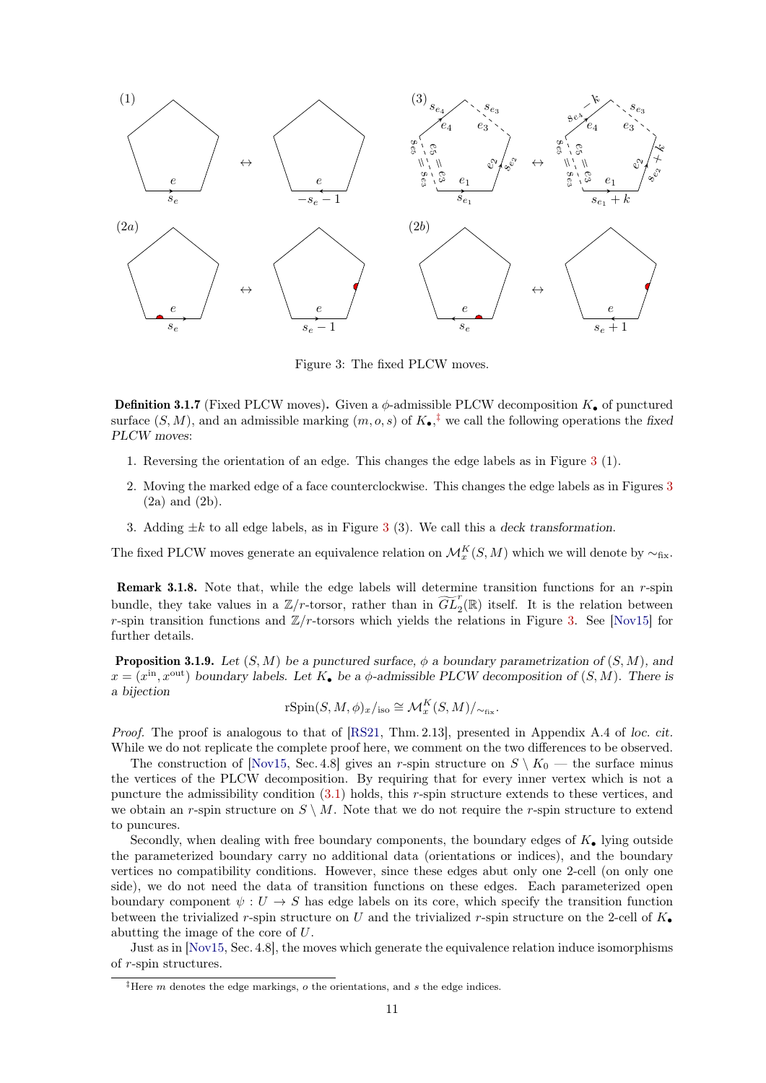<span id="page-10-1"></span>

Figure 3: The fixed PLCW moves.

**Definition 3.1.7** (Fixed PLCW moves). Given a  $\phi$ -admissible PLCW decomposition  $K_{\bullet}$  of punctured surface  $(S, M)$ , and an admissible marking  $(m, o, s)$  of  $K_{\bullet}$ ,<sup>†</sup> we call the following operations the fixed PLCW moves:

- 1. Reversing the orientation of an edge. This changes the edge labels as in Figure [3](#page-10-1) (1).
- 2. Moving the marked edge of a face counterclockwise. This changes the edge labels as in Figures [3](#page-10-1) (2a) and (2b).
- [3](#page-10-1). Adding  $\pm k$  to all edge labels, as in Figure 3 (3). We call this a deck transformation.

The fixed PLCW moves generate an equivalence relation on  $\mathcal{M}_x^K(S,M)$  which we will denote by  $\sim_{\text{fix}}$ .

Remark 3.1.8. Note that, while the edge labels will determine transition functions for an r-spin bundle, they take values in a  $\mathbb{Z}/r$ -torsor, rather than in  $\widetilde{GL}_2(\mathbb{R})$  itself. It is the relation between r-spin transition functions and  $\mathbb{Z}/r$ -torsors which yields the relations in Figure [3.](#page-10-1) See [\[Nov15\]](#page-35-6) for further details.

<span id="page-10-2"></span>**Proposition 3.1.9.** Let  $(S, M)$  be a punctured surface,  $\phi$  a boundary parametrization of  $(S, M)$ , and  $x = (x<sup>in</sup>, x<sup>out</sup>)$  boundary labels. Let  $K_{\bullet}$  be a  $\phi$ -admissible PLCW decomposition of  $(S, M)$ . There is a bijection

$$
\mathrm{rSpin}(S, M, \phi)_x/_{\mathrm{iso}} \cong \mathcal{M}_x^K(S, M)/_{\sim_{\mathrm{fix}}}.
$$

Proof. The proof is analogous to that of [\[RS21,](#page-35-8) Thm. 2.13], presented in Appendix A.4 of loc. cit. While we do not replicate the complete proof here, we comment on the two differences to be observed.

The construction of [\[Nov15,](#page-35-6) Sec. 4.8] gives an r-spin structure on  $S \setminus K_0$  — the surface minus the vertices of the PLCW decomposition. By requiring that for every inner vertex which is not a puncture the admissibility condition [\(3.1\)](#page-9-1) holds, this r-spin structure extends to these vertices, and we obtain an r-spin structure on  $S \setminus M$ . Note that we do not require the r-spin structure to extend to puncures.

Secondly, when dealing with free boundary components, the boundary edges of  $K_{\bullet}$  lying outside the parameterized boundary carry no additional data (orientations or indices), and the boundary vertices no compatibility conditions. However, since these edges abut only one 2-cell (on only one side), we do not need the data of transition functions on these edges. Each parameterized open boundary component  $\psi: U \to S$  has edge labels on its core, which specify the transition function between the trivialized r-spin structure on U and the trivialized r-spin structure on the 2-cell of  $K_{\bullet}$ abutting the image of the core of U.

Just as in [\[Nov15,](#page-35-6) Sec. 4.8], the moves which generate the equivalence relation induce isomorphisms of r-spin structures.

<span id="page-10-0"></span><sup>&</sup>lt;sup>‡</sup>Here m denotes the edge markings,  $o$  the orientations, and  $s$  the edge indices.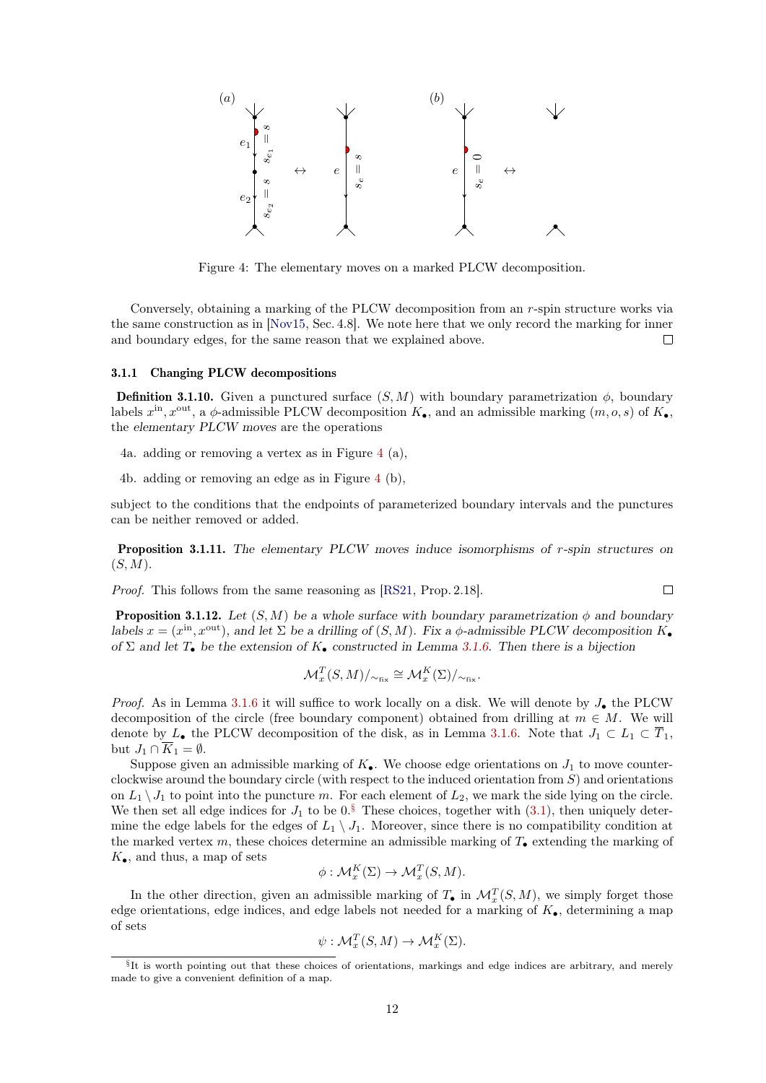<span id="page-11-1"></span>

Figure 4: The elementary moves on a marked PLCW decomposition.

Conversely, obtaining a marking of the PLCW decomposition from an r-spin structure works via the same construction as in [\[Nov15,](#page-35-6) Sec. 4.8]. We note here that we only record the marking for inner and boundary edges, for the same reason that we explained above.  $\Box$ 

### <span id="page-11-0"></span>3.1.1 Changing PLCW decompositions

<span id="page-11-3"></span>**Definition 3.1.10.** Given a punctured surface  $(S, M)$  with boundary parametrization  $\phi$ , boundary labels  $x^{\text{in}}$ ,  $x^{\text{out}}$ , a  $\phi$ -admissible PLCW decomposition  $K_{\bullet}$ , and an admissible marking  $(m, o, s)$  of  $K_{\bullet}$ , the elementary PLCW moves are the operations

- 4a. adding or removing a vertex as in Figure [4](#page-11-1) (a),
- 4b. adding or removing an edge as in Figure [4](#page-11-1) (b),

subject to the conditions that the endpoints of parameterized boundary intervals and the punctures can be neither removed or added.

Proposition 3.1.11. The elementary PLCW moves induce isomorphisms of r-spin structures on  $(S, M)$ .

 $\Box$ 

Proof. This follows from the same reasoning as [\[RS21,](#page-35-8) Prop. 2.18].

**Proposition 3.1.12.** Let  $(S, M)$  be a whole surface with boundary parametrization  $\phi$  and boundary labels  $x = (x<sup>in</sup>, x<sup>out</sup>)$ , and let  $\Sigma$  be a drilling of  $(S, M)$ . Fix a  $\phi$ -admissible PLCW decomposition  $K_{\bullet}$ of  $\Sigma$  and let  $T_{\bullet}$  be the extension of  $K_{\bullet}$  constructed in Lemma [3.1.6.](#page-9-2) Then there is a bijection

$$
\mathcal{M}_x^T(S,M)/_{\sim_{\text{fix}}} \cong \mathcal{M}_x^K(\Sigma)/_{\sim_{\text{fix}}}.
$$

*Proof.* As in Lemma [3.1.6](#page-9-2) it will suffice to work locally on a disk. We will denote by  $J_{\bullet}$  the PLCW decomposition of the circle (free boundary component) obtained from drilling at  $m \in M$ . We will denote by L• the PLCW decomposition of the disk, as in Lemma [3.1.6.](#page-9-2) Note that  $J_1 \subset L_1 \subset \overline{T}_1$ , but  $J_1 \cap K_1 = \emptyset$ .

Suppose given an admissible marking of  $K_{\bullet}$ . We choose edge orientations on  $J_1$  to move counterclockwise around the boundary circle (with respect to the induced orientation from  $S$ ) and orientations on  $L_1 \setminus J_1$  to point into the puncture m. For each element of  $L_2$ , we mark the side lying on the circle. We then set all edge indices for  $J_1$  to be  $0.\bar{S}$  These choices, together with  $(3.1)$ , then uniquely determine the edge labels for the edges of  $L_1 \setminus J_1$ . Moreover, since there is no compatibility condition at the marked vertex m, these choices determine an admissible marking of  $T_{\bullet}$  extending the marking of  $K_{\bullet}$ , and thus, a map of sets

$$
\phi: \mathcal{M}_x^K(\Sigma) \to \mathcal{M}_x^T(S, M).
$$

In the other direction, given an admissible marking of  $T_{\bullet}$  in  $\mathcal{M}_x^T(S,M)$ , we simply forget those edge orientations, edge indices, and edge labels not needed for a marking of  $K_{\bullet}$ , determining a map of sets

$$
\psi: \mathcal{M}_x^T(S, M) \to \mathcal{M}_x^K(\Sigma).
$$

<span id="page-11-2"></span><sup>§</sup> It is worth pointing out that these choices of orientations, markings and edge indices are arbitrary, and merely made to give a convenient definition of a map.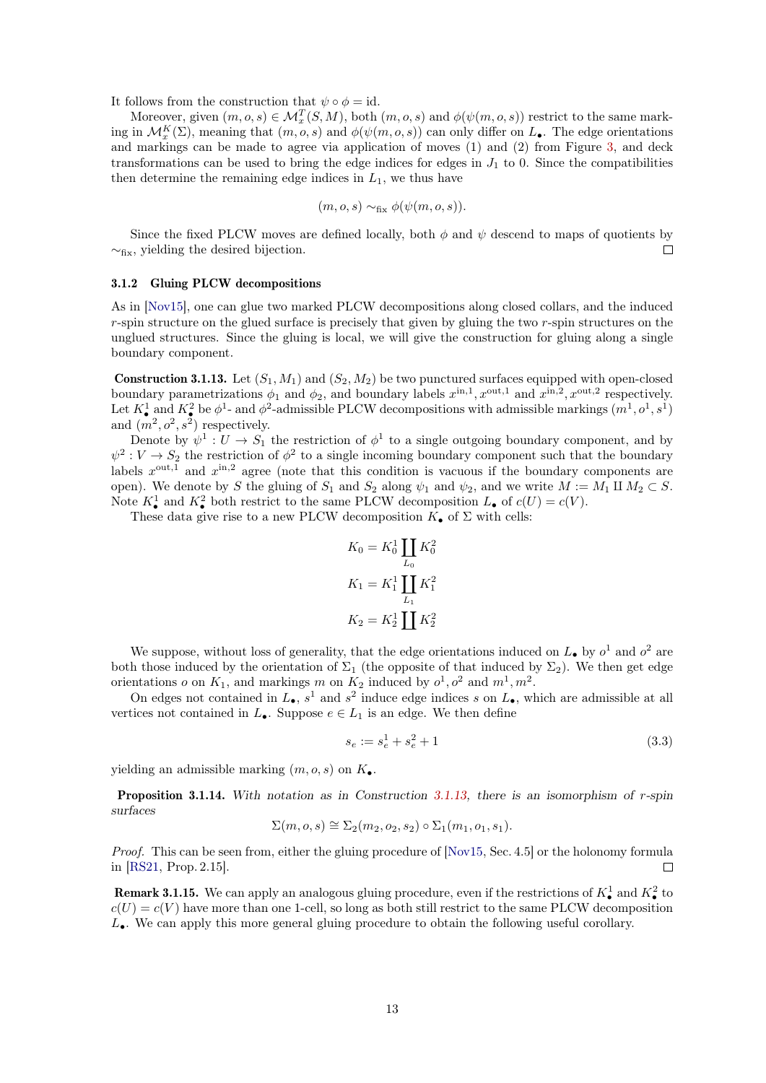It follows from the construction that  $\psi \circ \phi = id$ .

Moreover, given  $(m, o, s) \in \mathcal{M}_x^T(S, M)$ , both  $(m, o, s)$  and  $\phi(\psi(m, o, s))$  restrict to the same marking in  $\mathcal{M}_{x}^{K}(\Sigma)$ , meaning that  $(m, o, s)$  and  $\phi(\psi(m, o, s))$  can only differ on  $L_{\bullet}$ . The edge orientations and markings can be made to agree via application of moves (1) and (2) from Figure [3,](#page-10-1) and deck transformations can be used to bring the edge indices for edges in  $J_1$  to 0. Since the compatibilities then determine the remaining edge indices in  $L_1$ , we thus have

$$
(m, o, s) \sim_{\text{fix}} \phi(\psi(m, o, s)).
$$

Since the fixed PLCW moves are defined locally, both  $\phi$  and  $\psi$  descend to maps of quotients by  $\sim_{\text{fix}}$ , yielding the desired bijection.  $\Box$ 

#### <span id="page-12-0"></span>3.1.2 Gluing PLCW decompositions

As in [\[Nov15\]](#page-35-6), one can glue two marked PLCW decompositions along closed collars, and the induced r-spin structure on the glued surface is precisely that given by gluing the two r-spin structures on the unglued structures. Since the gluing is local, we will give the construction for gluing along a single boundary component.

<span id="page-12-1"></span>**Construction 3.1.13.** Let  $(S_1, M_1)$  and  $(S_2, M_2)$  be two punctured surfaces equipped with open-closed boundary parametrizations  $\phi_1$  and  $\phi_2$ , and boundary labels  $x^{\text{in},1}$ ,  $x^{\text{out},1}$  and  $x^{\text{in},2}$ ,  $x^{\text{out},2}$  respectively. Let  $K^1_\bullet$  and  $K^2_\bullet$  be  $\phi^1$ - and  $\phi^2$ -admissible PLCW decompositions with admissible markings  $(m^1, o^1, s^1)$ and  $(m^2, o^2, s^2)$  respectively.

Denote by  $\psi^1: U \to S_1$  the restriction of  $\phi^1$  to a single outgoing boundary component, and by  $\psi^2: V \to S_2$  the restriction of  $\phi^2$  to a single incoming boundary component such that the boundary labels  $x^{\text{out},1}$  and  $x^{\text{in},2}$  agree (note that this condition is vacuous if the boundary components are open). We denote by S the gluing of  $S_1$  and  $S_2$  along  $\psi_1$  and  $\psi_2$ , and we write  $M := M_1 \amalg M_2 \subset S$ . Note  $K^1_{\bullet}$  and  $K^2_{\bullet}$  both restrict to the same PLCW decomposition  $L_{\bullet}$  of  $c(U) = c(V)$ .

These data give rise to a new PLCW decomposition  $K_{\bullet}$  of  $\Sigma$  with cells:

$$
K_0 = K_0^1 \coprod_{L_0} K_0^2
$$
  

$$
K_1 = K_1^1 \coprod_{L_1} K_1^2
$$
  

$$
K_2 = K_2^1 \coprod K_2^2
$$

We suppose, without loss of generality, that the edge orientations induced on  $L_{\bullet}$  by  $o^1$  and  $o^2$  are both those induced by the orientation of  $\Sigma_1$  (the opposite of that induced by  $\Sigma_2$ ). We then get edge orientations  $o$  on  $K_1$ , and markings m on  $K_2$  induced by  $o^1, o^2$  and  $m^1, m^2$ .

On edges not contained in  $L_{\bullet}$ ,  $s^1$  and  $s^2$  induce edge indices s on  $L_{\bullet}$ , which are admissible at all vertices not contained in  $L_{\bullet}$ . Suppose  $e \in L_1$  is an edge. We then define

<span id="page-12-2"></span>
$$
s_e := s_e^1 + s_e^2 + 1\tag{3.3}
$$

vielding an admissible marking  $(m, o, s)$  on  $K_{\bullet}$ .

Proposition 3.1.14. With notation as in Construction [3.1.13,](#page-12-1) there is an isomorphism of r-spin surfaces

$$
\Sigma(m, o, s) \cong \Sigma_2(m_2, o_2, s_2) \circ \Sigma_1(m_1, o_1, s_1).
$$

Proof. This can be seen from, either the gluing procedure of [\[Nov15,](#page-35-6) Sec. 4.5] or the holonomy formula in [\[RS21,](#page-35-8) Prop. 2.15].  $\Box$ 

**Remark 3.1.15.** We can apply an analogous gluing procedure, even if the restrictions of  $K^1_{\bullet}$  and  $K^2_{\bullet}$  to  $c(U) = c(V)$  have more than one 1-cell, so long as both still restrict to the same PLCW decomposition  $L_{\bullet}$ . We can apply this more general gluing procedure to obtain the following useful corollary.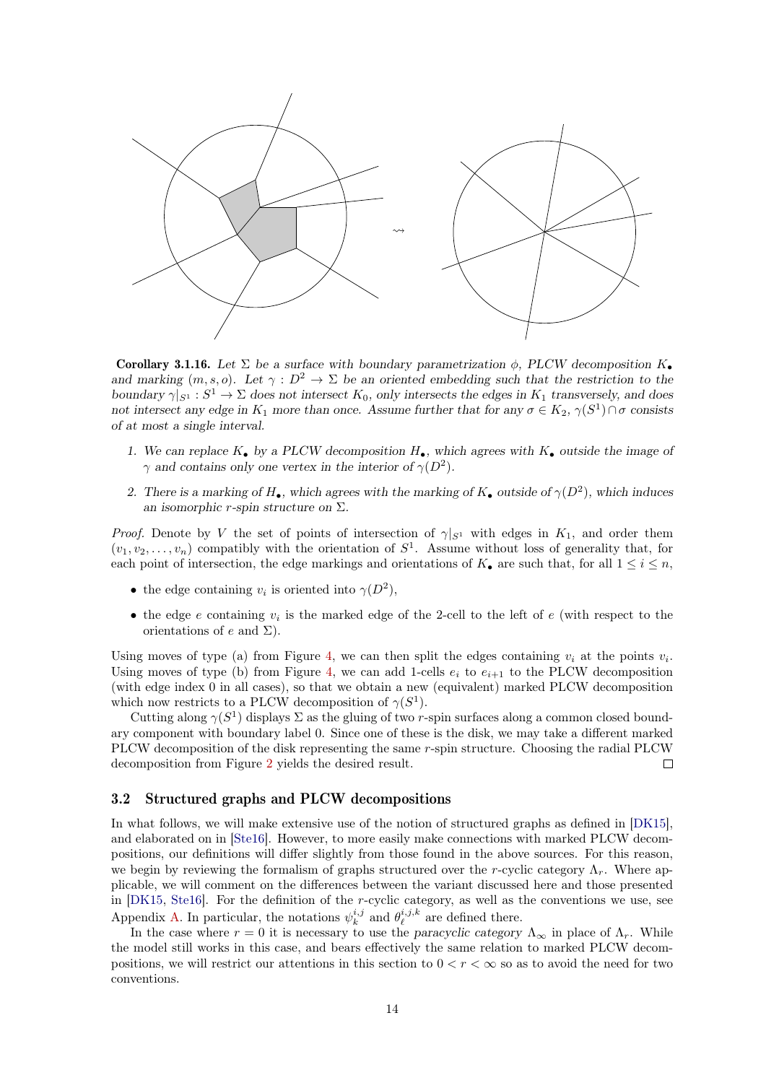

<span id="page-13-1"></span>**Corollary 3.1.16.** Let  $\Sigma$  be a surface with boundary parametrization  $\phi$ , PLCW decomposition  $K_{\bullet}$ and marking  $(m, s, o)$ . Let  $\gamma : D^2 \to \Sigma$  be an oriented embedding such that the restriction to the boundary  $\gamma|_{S^1}: S^1 \to \Sigma$  does not intersect  $K_0$ , only intersects the edges in  $K_1$  transversely, and does not intersect any edge in  $K_1$  more than once. Assume further that for any  $\sigma \in K_2$ ,  $\gamma(S^1) \cap \sigma$  consists of at most a single interval.

- 1. We can replace  $K_{\bullet}$  by a PLCW decomposition  $H_{\bullet}$ , which agrees with  $K_{\bullet}$  outside the image of  $\gamma$  and contains only one vertex in the interior of  $\gamma(D^2)$ .
- 2. There is a marking of  $H_{\bullet}$ , which agrees with the marking of  $K_{\bullet}$  outside of  $\gamma(D^2)$ , which induces an isomorphic r-spin structure on  $\Sigma$ .

*Proof.* Denote by V the set of points of intersection of  $\gamma|_{S^1}$  with edges in  $K_1$ , and order them  $(v_1, v_2, \ldots, v_n)$  compatibly with the orientation of  $S^1$ . Assume without loss of generality that, for each point of intersection, the edge markings and orientations of  $K_{\bullet}$  are such that, for all  $1 \leq i \leq n$ ,

- the edge containing  $v_i$  is oriented into  $\gamma(D^2)$ ,
- the edge  $e$  containing  $v_i$  is the marked edge of the 2-cell to the left of  $e$  (with respect to the orientations of e and  $\Sigma$ ).

Using moves of type (a) from Figure [4,](#page-11-1) we can then split the edges containing  $v_i$  at the points  $v_i$ . Using moves of type (b) from Figure [4,](#page-11-1) we can add 1-cells  $e_i$  to  $e_{i+1}$  to the PLCW decomposition (with edge index 0 in all cases), so that we obtain a new (equivalent) marked PLCW decomposition which now restricts to a PLCW decomposition of  $\gamma(S^1)$ .

Cutting along  $\gamma(S^1)$  displays  $\Sigma$  as the gluing of two r-spin surfaces along a common closed boundary component with boundary label 0. Since one of these is the disk, we may take a different marked PLCW decomposition of the disk representing the same r-spin structure. Choosing the radial PLCW decomposition from Figure [2](#page-9-0) yields the desired result.  $\Box$ 

### <span id="page-13-0"></span>3.2 Structured graphs and PLCW decompositions

In what follows, we will make extensive use of the notion of structured graphs as defined in [\[DK15\]](#page-35-9), and elaborated on in [\[Ste16\]](#page-35-10). However, to more easily make connections with marked PLCW decompositions, our definitions will differ slightly from those found in the above sources. For this reason, we begin by reviewing the formalism of graphs structured over the r-cyclic category  $\Lambda_r$ . Where applicable, we will comment on the differences between the variant discussed here and those presented in [\[DK15,](#page-35-9) [Ste16\]](#page-35-10). For the definition of the r-cyclic category, as well as the conventions we use, see Appendix [A.](#page-31-0) In particular, the notations  $\psi_k^{i,j}$  and  $\theta_\ell^{i,j,k}$  are defined there.

In the case where  $r = 0$  it is necessary to use the paracyclic category  $\Lambda_{\infty}$  in place of  $\Lambda_r$ . While the model still works in this case, and bears effectively the same relation to marked PLCW decompositions, we will restrict our attentions in this section to  $0 < r < \infty$  so as to avoid the need for two conventions.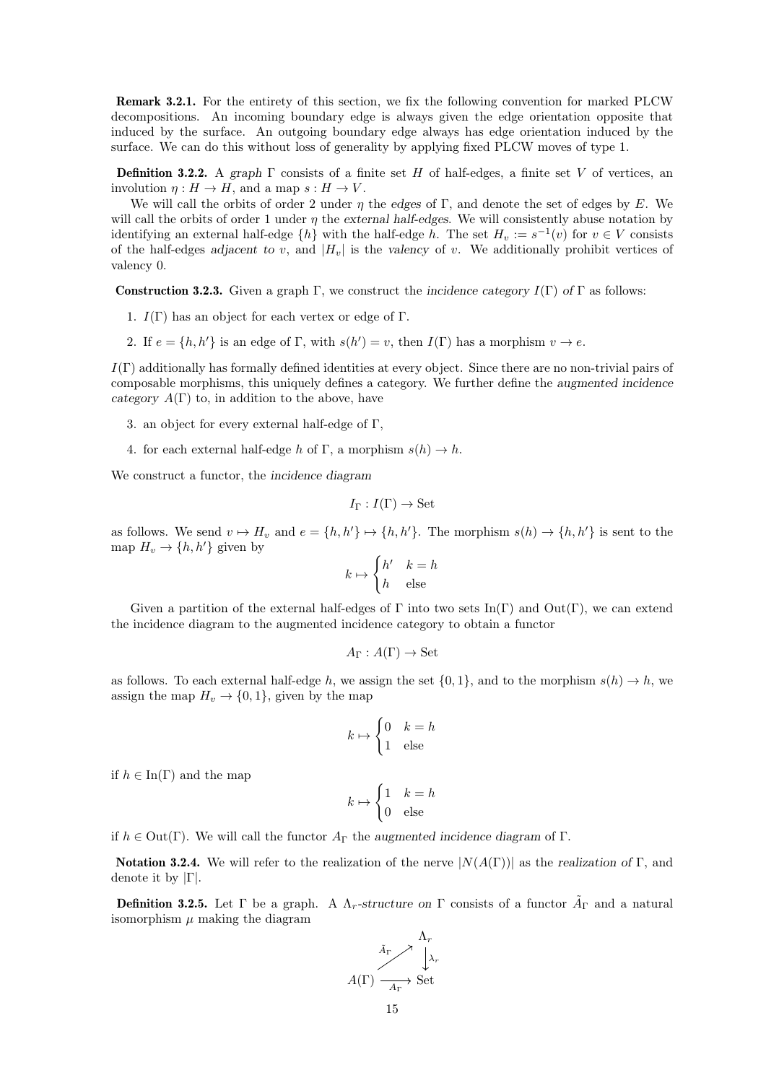Remark 3.2.1. For the entirety of this section, we fix the following convention for marked PLCW decompositions. An incoming boundary edge is always given the edge orientation opposite that induced by the surface. An outgoing boundary edge always has edge orientation induced by the surface. We can do this without loss of generality by applying fixed PLCW moves of type 1.

**Definition 3.2.2.** A graph Γ consists of a finite set H of half-edges, a finite set V of vertices, an involution  $\eta: H \to H$ , and a map  $s: H \to V$ .

We will call the orbits of order 2 under  $\eta$  the edges of Γ, and denote the set of edges by E. We will call the orbits of order 1 under  $\eta$  the external half-edges. We will consistently abuse notation by identifying an external half-edge  $\{h\}$  with the half-edge h. The set  $H_v := s^{-1}(v)$  for  $v \in V$  consists of the half-edges adjacent to v, and  $|H_v|$  is the valency of v. We additionally prohibit vertices of valency 0.

**Construction 3.2.3.** Given a graph Γ, we construct the incidence category  $I(\Gamma)$  of Γ as follows:

- 1.  $I(\Gamma)$  has an object for each vertex or edge of  $\Gamma$ .
- 2. If  $e = \{h, h'\}$  is an edge of  $\Gamma$ , with  $s(h') = v$ , then  $I(\Gamma)$  has a morphism  $v \to e$ .

 $I(\Gamma)$  additionally has formally defined identities at every object. Since there are no non-trivial pairs of composable morphisms, this uniquely defines a category. We further define the augmented incidence category  $A(\Gamma)$  to, in addition to the above, have

- 3. an object for every external half-edge of Γ,
- 4. for each external half-edge h of Γ, a morphism  $s(h) \to h$ .

We construct a functor, the incidence diagram

$$
I_{\Gamma}: I(\Gamma) \to \mathbf{Set}
$$

as follows. We send  $v \mapsto H_v$  and  $e = \{h, h'\} \mapsto \{h, h'\}$ . The morphism  $s(h) \to \{h, h'\}$  is sent to the map  $H_v \to \{h, h'\}$  given by

$$
k \mapsto \begin{cases} h' & k = h \\ h & \text{else} \end{cases}
$$

Given a partition of the external half-edges of  $\Gamma$  into two sets In( $\Gamma$ ) and Out( $\Gamma$ ), we can extend the incidence diagram to the augmented incidence category to obtain a functor

$$
A_{\Gamma}:A(\Gamma)\to\mathbf{Set}
$$

as follows. To each external half-edge h, we assign the set  $\{0, 1\}$ , and to the morphism  $s(h) \to h$ , we assign the map  $H_v \to \{0, 1\}$ , given by the map

$$
k \mapsto \begin{cases} 0 & k = h \\ 1 & \text{else} \end{cases}
$$

if  $h \in \text{In}(\Gamma)$  and the map

$$
k \mapsto \begin{cases} 1 & k = h \\ 0 & \text{else} \end{cases}
$$

if  $h \in Out(\Gamma)$ . We will call the functor  $A_{\Gamma}$  the augmented incidence diagram of  $\Gamma$ .

**Notation 3.2.4.** We will refer to the realization of the nerve  $|N(A(\Gamma))|$  as the realization of Γ, and denote it by  $|\Gamma|$ .

**Definition 3.2.5.** Let  $\Gamma$  be a graph. A  $\Lambda_r$ -structure on  $\Gamma$  consists of a functor  $\tilde{A}_{\Gamma}$  and a natural isomorphism  $\mu$  making the diagram

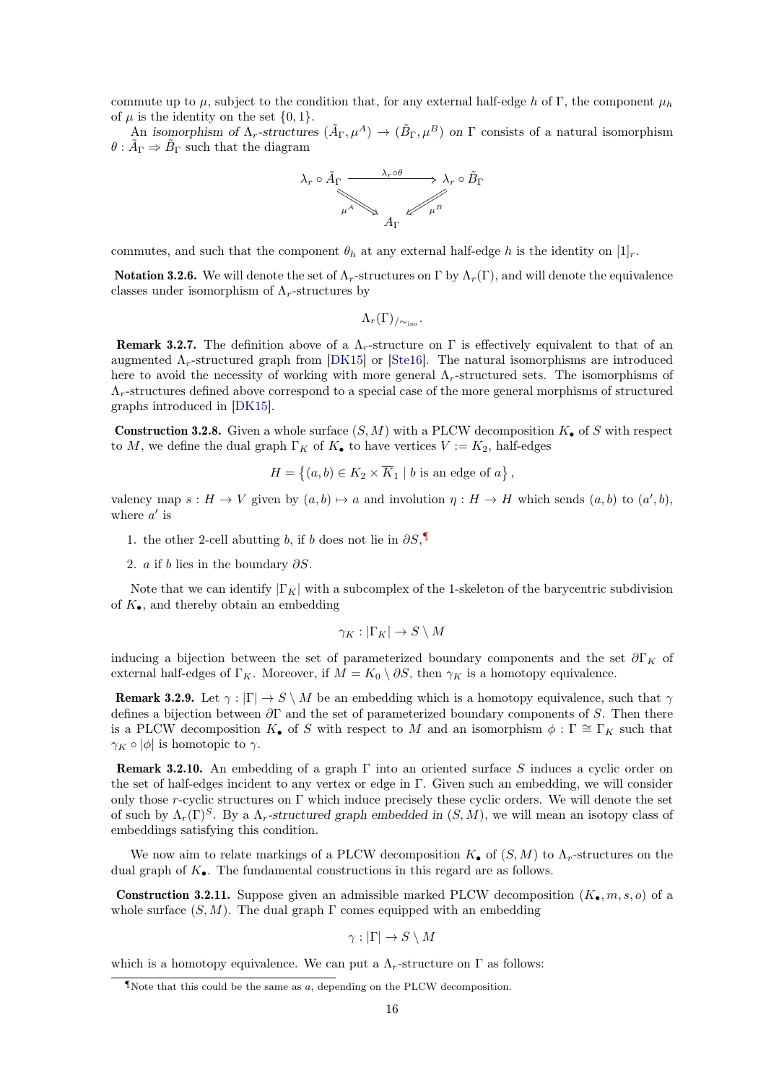commute up to  $\mu$ , subject to the condition that, for any external half-edge h of Γ, the component  $\mu_h$ of  $\mu$  is the identity on the set  $\{0, 1\}.$ 

An isomorphism of  $\Lambda_r$ -structures  $(\tilde{A}_{\Gamma}, \mu^A) \to (\tilde{B}_{\Gamma}, \mu^B)$  on  $\Gamma$  consists of a natural isomorphism  $\theta : \tilde{A}_{\Gamma} \Rightarrow \tilde{B}_{\Gamma}$  such that the diagram



commutes, and such that the component  $\theta_h$  at any external half-edge h is the identity on  $[1]_r$ .

**Notation 3.2.6.** We will denote the set of  $\Lambda_r$ -structures on Γ by  $\Lambda_r(\Gamma)$ , and will denote the equivalence classes under isomorphism of  $\Lambda_r$ -structures by

 $\Lambda_r(\Gamma)_{\ell \sim \infty}$ .

**Remark 3.2.7.** The definition above of a  $\Lambda_r$ -structure on Γ is effectively equivalent to that of an augmented  $\Lambda_r$ -structured graph from [\[DK15\]](#page-35-9) or [\[Ste16\]](#page-35-10). The natural isomorphisms are introduced here to avoid the necessity of working with more general  $\Lambda_r$ -structured sets. The isomorphisms of  $\Lambda_r$ -structures defined above correspond to a special case of the more general morphisms of structured graphs introduced in [\[DK15\]](#page-35-9).

**Construction 3.2.8.** Given a whole surface  $(S, M)$  with a PLCW decomposition  $K_{\bullet}$  of S with respect to M, we define the dual graph  $\Gamma_K$  of  $K_{\bullet}$  to have vertices  $V := K_2$ , half-edges

$$
H = \left\{ (a, b) \in K_2 \times \overline{K}_1 \mid b \text{ is an edge of } a \right\},\
$$

valency map  $s : H \to V$  given by  $(a, b) \mapsto a$  and involution  $\eta : H \to H$  which sends  $(a, b)$  to  $(a', b)$ , where  $a'$  is

- 1. the other 2-cell abutting b, if b does not lie in  $\partial S$ ,
- 2. *a* if *b* lies in the boundary  $\partial S$ .

Note that we can identify  $|\Gamma_K|$  with a subcomplex of the 1-skeleton of the barycentric subdivision of  $K_{\bullet}$ , and thereby obtain an embedding

$$
\gamma_K : |\Gamma_K| \to S \setminus M
$$

inducing a bijection between the set of parameterized boundary components and the set  $\partial \Gamma_K$  of external half-edges of  $\Gamma_K$ . Moreover, if  $M = K_0 \setminus \partial S$ , then  $\gamma_K$  is a homotopy equivalence.

**Remark 3.2.9.** Let  $\gamma : |\Gamma| \to S \setminus M$  be an embedding which is a homotopy equivalence, such that  $\gamma$ defines a bijection between  $\partial\Gamma$  and the set of parameterized boundary components of S. Then there is a PLCW decomposition  $K_{\bullet}$  of S with respect to M and an isomorphism  $\phi : \Gamma \cong \Gamma_K$  such that  $\gamma_K \circ |\phi|$  is homotopic to  $\gamma$ .

Remark 3.2.10. An embedding of a graph Γ into an oriented surface S induces a cyclic order on the set of half-edges incident to any vertex or edge in Γ. Given such an embedding, we will consider only those r-cyclic structures on  $\Gamma$  which induce precisely these cyclic orders. We will denote the set of such by  $\Lambda_r(\Gamma)^S$ . By a  $\Lambda_r$ -structured graph embedded in  $(S, M)$ , we will mean an isotopy class of embeddings satisfying this condition.

We now aim to relate markings of a PLCW decomposition  $K_{\bullet}$  of  $(S, M)$  to  $\Lambda_r$ -structures on the dual graph of  $K_{\bullet}$ . The fundamental constructions in this regard are as follows.

<span id="page-15-1"></span>**Construction 3.2.11.** Suppose given an admissible marked PLCW decomposition  $(K_{\bullet}, m, s, o)$  of a whole surface  $(S, M)$ . The dual graph  $\Gamma$  comes equipped with an embedding

$$
\gamma : |\Gamma| \to S \setminus M
$$

which is a homotopy equivalence. We can put a  $\Lambda_r$ -structure on  $\Gamma$  as follows:

<span id="page-15-0"></span>T Note that this could be the same as  $a$ , depending on the PLCW decomposition.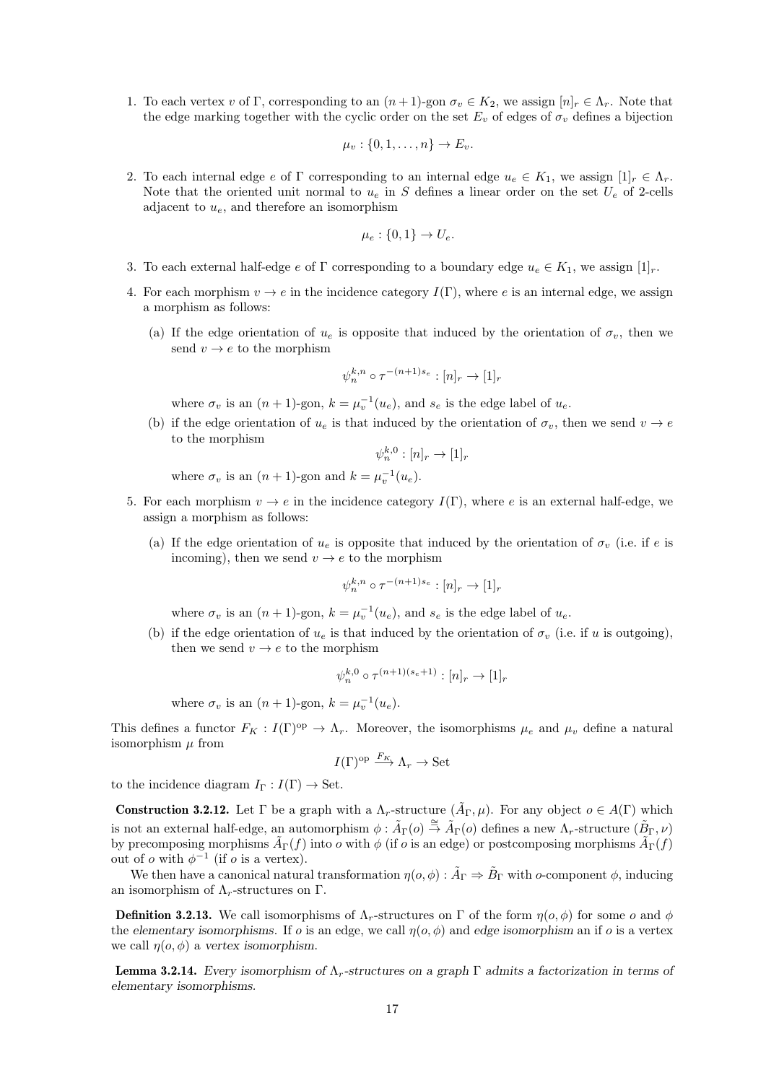1. To each vertex v of Γ, corresponding to an  $(n+1)$ -gon  $\sigma_v \in K_2$ , we assign  $[n]_r \in \Lambda_r$ . Note that the edge marking together with the cyclic order on the set  $E_v$  of edges of  $\sigma_v$  defines a bijection

$$
\mu_v: \{0, 1, \ldots, n\} \to E_v.
$$

2. To each internal edge e of  $\Gamma$  corresponding to an internal edge  $u_e \in K_1$ , we assign  $[1]<sub>r</sub> \in \Lambda_r$ . Note that the oriented unit normal to  $u_e$  in S defines a linear order on the set  $U_e$  of 2-cells adjacent to  $u_e$ , and therefore an isomorphism

$$
\mu_e: \{0, 1\} \to U_e.
$$

- 3. To each external half-edge e of  $\Gamma$  corresponding to a boundary edge  $u_e \in K_1$ , we assign  $[1]_r$ .
- 4. For each morphism  $v \to e$  in the incidence category  $I(\Gamma)$ , where e is an internal edge, we assign a morphism as follows:
	- (a) If the edge orientation of  $u_e$  is opposite that induced by the orientation of  $\sigma_v$ , then we send  $v \rightarrow e$  to the morphism

$$
\psi_n^{k,n}\circ\tau^{-(n+1)s_e}:[n]_r\to[1]_r
$$

where  $\sigma_v$  is an  $(n+1)$ -gon,  $k = \mu_v^{-1}(u_e)$ , and  $s_e$  is the edge label of  $u_e$ .

(b) if the edge orientation of  $u_e$  is that induced by the orientation of  $\sigma_v$ , then we send  $v \to e$ to the morphism

$$
\psi_n^{k,0}: [n]_r \to [1]_r
$$

where  $\sigma_v$  is an  $(n+1)$ -gon and  $k = \mu_v^{-1}(u_e)$ .

- 5. For each morphism  $v \to e$  in the incidence category  $I(\Gamma)$ , where e is an external half-edge, we assign a morphism as follows:
	- (a) If the edge orientation of  $u_e$  is opposite that induced by the orientation of  $\sigma_v$  (i.e. if e is incoming), then we send  $v \to e$  to the morphism

$$
\psi_n^{k,n} \circ \tau^{-(n+1)s_e} : [n]_r \to [1]_r
$$

where  $\sigma_v$  is an  $(n+1)$ -gon,  $k = \mu_v^{-1}(u_e)$ , and  $s_e$  is the edge label of  $u_e$ .

(b) if the edge orientation of  $u_e$  is that induced by the orientation of  $\sigma_v$  (i.e. if u is outgoing), then we send  $v \rightarrow e$  to the morphism

$$
\psi_n^{k,0} \circ \tau^{(n+1)(s_e+1)} : [n]_r \to [1]_r
$$

where  $\sigma_v$  is an  $(n+1)$ -gon,  $k = \mu_v^{-1}(u_e)$ .

This defines a functor  $F_K : I(\Gamma)^{op} \to \Lambda_r$ . Moreover, the isomorphisms  $\mu_e$  and  $\mu_v$  define a natural isomorphism  $\mu$  from

$$
I(\Gamma)^{\text{op}} \xrightarrow{F_K} \Lambda_r \to \text{Set}
$$

to the incidence diagram  $I_{\Gamma}: I(\Gamma) \to \text{Set}$ .

**Construction 3.2.12.** Let  $\Gamma$  be a graph with a  $\Lambda_r$ -structure  $(\tilde{A}_{\Gamma}, \mu)$ . For any object  $o \in A(\Gamma)$  which is not an external half-edge, an automorphism  $\phi : \tilde{A}_{\Gamma}(o) \stackrel{\cong}{\to} \tilde{A}_{\Gamma}(o)$  defines a new  $\Lambda_r$ -structure  $(\tilde{B}_{\Gamma}, \nu)$ by precomposing morphisms  $\tilde{A}_{\Gamma}(f)$  into  $o$  with  $\phi$  (if  $o$  is an edge) or postcomposing morphisms  $\tilde{A}_{\Gamma}(f)$ out of *o* with  $\phi^{-1}$  (if *o* is a vertex).

We then have a canonical natural transformation  $\eta(o, \phi) : \tilde{A}_{\Gamma} \Rightarrow \tilde{B}_{\Gamma}$  with o-component  $\phi$ , inducing an isomorphism of  $\Lambda_r$ -structures on Γ.

**Definition 3.2.13.** We call isomorphisms of  $\Lambda_r$ -structures on Γ of the form  $\eta(o, \phi)$  for some o and  $\phi$ the elementary isomorphisms. If o is an edge, we call  $\eta(o, \phi)$  and edge isomorphism an if o is a vertex we call  $\eta(o, \phi)$  a vertex isomorphism.

<span id="page-16-0"></span>**Lemma 3.2.14.** Every isomorphism of  $\Lambda_r$ -structures on a graph  $\Gamma$  admits a factorization in terms of elementary isomorphisms.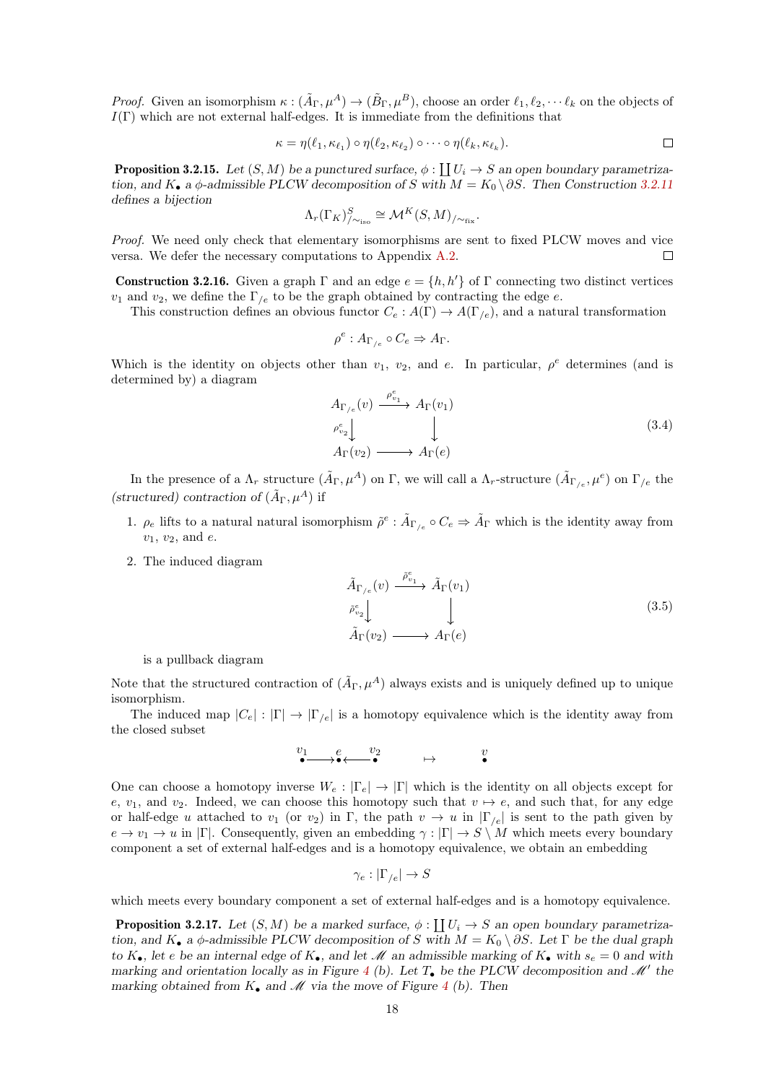*Proof.* Given an isomorphism  $\kappa : (\tilde{A}_{\Gamma}, \mu^A) \to (\tilde{B}_{\Gamma}, \mu^B)$ , choose an order  $\ell_1, \ell_2, \cdots \ell_k$  on the objects of  $I(\Gamma)$  which are not external half-edges. It is immediate from the definitions that

$$
\kappa = \eta(\ell_1, \kappa_{\ell_1}) \circ \eta(\ell_2, \kappa_{\ell_2}) \circ \cdots \circ \eta(\ell_k, \kappa_{\ell_k}).
$$

<span id="page-17-0"></span>**Proposition 3.2.15.** Let  $(S, M)$  be a punctured surface,  $\phi : \coprod U_i \to S$  an open boundary parametrization, and K• a  $\phi$ -admissible PLCW decomposition of S with  $M = K_0 \setminus \partial S$ . Then Construction [3.2.11](#page-15-1) defines a bijection

$$
\Lambda_r(\Gamma_K)_{\sim_{\text{iso}}}^S \cong \mathcal{M}^K(S,M)_{/\sim_{\text{fix}}}.
$$

Proof. We need only check that elementary isomorphisms are sent to fixed PLCW moves and vice versa. We defer the necessary computations to Appendix [A.2.](#page-33-0) П

**Construction 3.2.16.** Given a graph Γ and an edge  $e = \{h, h'\}$  of Γ connecting two distinct vertices  $v_1$  and  $v_2$ , we define the  $\Gamma_{/e}$  to be the graph obtained by contracting the edge e.

This construction defines an obvious functor  $C_e$  :  $A(\Gamma) \to A(\Gamma_{/e})$ , and a natural transformation

$$
\rho^e: A_{\Gamma_{/e}} \circ C_e \Rightarrow A_{\Gamma}.
$$

Which is the identity on objects other than  $v_1$ ,  $v_2$ , and e. In particular,  $\rho^e$  determines (and is determined by) a diagram

$$
A_{\Gamma_{/e}}(v) \xrightarrow{\rho_{v_1}^e} A_{\Gamma}(v_1)
$$
  
\n
$$
\rho_{v_2}^e \downarrow \qquad \qquad \downarrow
$$
  
\n
$$
A_{\Gamma}(v_2) \longrightarrow A_{\Gamma}(e)
$$
\n(3.4)

In the presence of a  $\Lambda_r$  structure  $(\tilde{A}_{\Gamma}, \mu^A)$  on  $\Gamma$ , we will call a  $\Lambda_r$ -structure  $(\tilde{A}_{\Gamma/e}, \mu^e)$  on  $\Gamma_{/e}$  the (structured) contraction of  $(\tilde{A}_{\Gamma}, \mu^A)$  if

- 1.  $\rho_e$  lifts to a natural natural isomorphism  $\tilde{\rho}^e : \tilde{A}_{\Gamma/e} \circ C_e \Rightarrow \tilde{A}_{\Gamma}$  which is the identity away from  $v_1, v_2,$  and e.
- 2. The induced diagram

$$
\tilde{A}_{\Gamma_{/e}}(v) \xrightarrow{\tilde{\rho}_{v_1}^e} \tilde{A}_{\Gamma}(v_1)
$$
\n
$$
\tilde{\rho}_{v_2}^e \downarrow \qquad \qquad \downarrow
$$
\n
$$
\tilde{A}_{\Gamma}(v_2) \longrightarrow A_{\Gamma}(e)
$$
\n(3.5)

is a pullback diagram

Note that the structured contraction of  $(\tilde{A}_{\Gamma}, \mu^A)$  always exists and is uniquely defined up to unique isomorphism.

The induced map  $|C_e| : |\Gamma| \to |\Gamma_{/e}|$  is a homotopy equivalence which is the identity away from the closed subset

$$
\overset{v_1}{\bullet} \overset{e}{\longrightarrow} \overset{v_2}{\longleftrightarrow} \overset{v}{\longrightarrow} \qquad \mapsto \qquad \overset{v}{\bullet}
$$

One can choose a homotopy inverse  $W_e: |\Gamma_e| \to |\Gamma|$  which is the identity on all objects except for e,  $v_1$ , and  $v_2$ . Indeed, we can choose this homotopy such that  $v \mapsto e$ , and such that, for any edge or half-edge u attached to  $v_1$  (or  $v_2$ ) in Γ, the path  $v \to u$  in  $|\Gamma_{/e}|$  is sent to the path given by  $e \to v_1 \to u$  in  $|\Gamma|$ . Consequently, given an embedding  $\gamma : |\Gamma| \to S \setminus M$  which meets every boundary component a set of external half-edges and is a homotopy equivalence, we obtain an embedding

$$
\gamma_e:|\Gamma_{/e}|\to S
$$

which meets every boundary component a set of external half-edges and is a homotopy equivalence.

<span id="page-17-1"></span>**Proposition 3.2.17.** Let  $(S, M)$  be a marked surface,  $\phi : \coprod U_i \to S$  an open boundary parametrization, and  $K_{\bullet}$  a  $\phi$ -admissible PLCW decomposition of S with  $M = K_0 \setminus \partial S$ . Let  $\Gamma$  be the dual graph to  $K_{\bullet}$ , let e be an internal edge of  $K_{\bullet}$ , and let M an admissible marking of  $K_{\bullet}$  with  $s_e = 0$  and with marking and orientation locally as in Figure [4](#page-11-1) (b). Let  $T_{\bullet}$  be the PLCW decomposition and  $\mathcal{M}'$  the marking obtained from  $K_{\bullet}$  and  $\mathcal M$  via the move of Figure [4](#page-11-1) (b). Then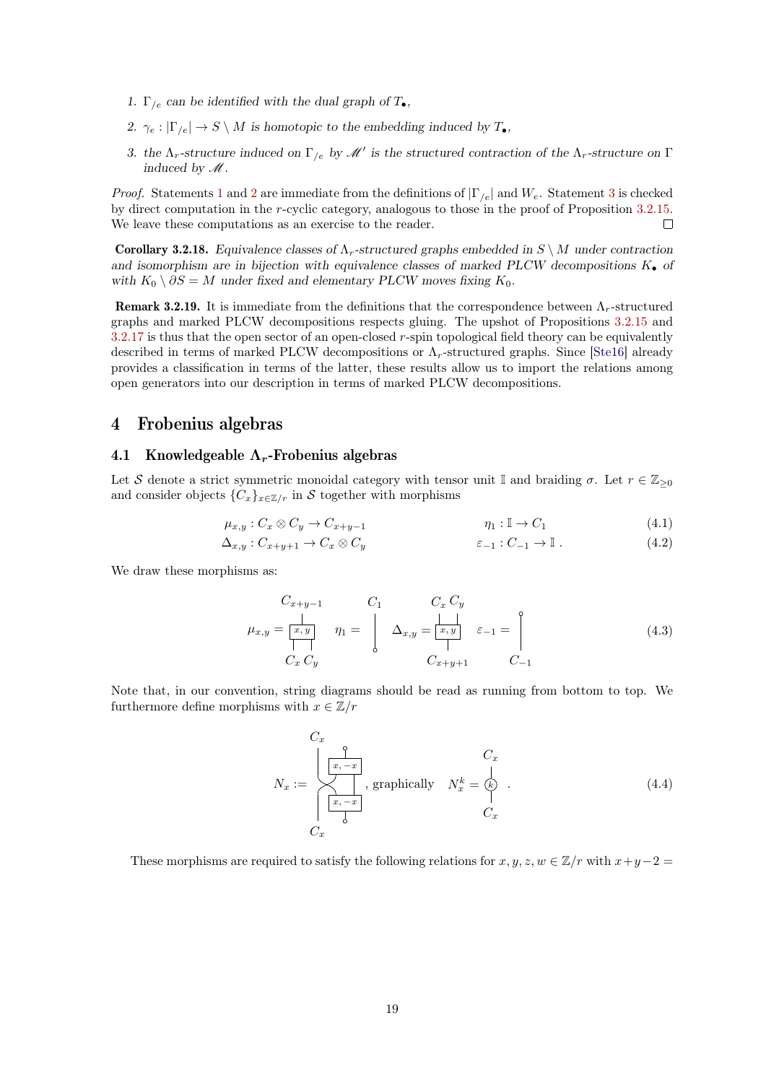- <span id="page-18-2"></span>1.  $\Gamma_{e}$  can be identified with the dual graph of  $T_{\bullet}$ ,
- <span id="page-18-3"></span>2.  $\gamma_e : |\Gamma_{/e}| \to S \setminus M$  is homotopic to the embedding induced by  $T_{\bullet}$ ,
- <span id="page-18-4"></span>3. the  $\Lambda_r$ -structure induced on  $\Gamma_{/e}$  by  $\mathscr{M}'$  is the structured contraction of the  $\Lambda_r$ -structure on  $\Gamma$ induced by  $\mathcal{M}$ .

*Proof.* Statements [1](#page-18-2) and [2](#page-18-3) are immediate from the definitions of  $|\Gamma_{ee}|$  and  $W_e$ . Statement [3](#page-18-4) is checked by direct computation in the r-cyclic category, analogous to those in the proof of Proposition [3.2.15.](#page-17-0) We leave these computations as an exercise to the reader.  $\Box$ 

Corollary 3.2.18. Equivalence classes of  $\Lambda_r$ -structured graphs embedded in  $S \setminus M$  under contraction and isomorphism are in bijection with equivalence classes of marked PLCW decompositions  $K_{\bullet}$  of with  $K_0 \setminus \partial S = M$  under fixed and elementary PLCW moves fixing  $K_0$ .

**Remark 3.2.19.** It is immediate from the definitions that the correspondence between  $\Lambda_r$ -structured graphs and marked PLCW decompositions respects gluing. The upshot of Propositions [3.2.15](#page-17-0) and  $3.2.17$  is thus that the open sector of an open-closed r-spin topological field theory can be equivalently described in terms of marked PLCW decompositions or  $\Lambda_r$ -structured graphs. Since [\[Ste16\]](#page-35-10) already provides a classification in terms of the latter, these results allow us to import the relations among open generators into our description in terms of marked PLCW decompositions.

# <span id="page-18-0"></span>4 Frobenius algebras

### <span id="page-18-1"></span>4.1 Knowledgeable  $\Lambda_r$ -Frobenius algebras

Let S denote a strict symmetric monoidal category with tensor unit I and braiding  $\sigma$ . Let  $r \in \mathbb{Z}_{\geq 0}$ and consider objects  ${C_x}_{x \in \mathbb{Z}/r}$  in S together with morphisms

$$
\mu_{x,y} : C_x \otimes C_y \to C_{x+y-1} \qquad \eta_1 : \mathbb{I} \to C_1 \qquad (4.1)
$$

$$
\Delta_{x,y}: C_{x+y+1} \to C_x \otimes C_y \qquad \epsilon_{-1}: C_{-1} \to \mathbb{I} \ . \tag{4.2}
$$

We draw these morphisms as:

<span id="page-18-6"></span><span id="page-18-5"></span>
$$
C_{x+y-1} \t C_1 \t C_x C_y
$$
  
\n
$$
\mu_{x,y} = \begin{bmatrix} x, y \\ y \end{bmatrix} \eta_1 = \begin{bmatrix} C_1 & C_x C_y \\ \Delta_{x,y} = \begin{bmatrix} y \\ z, y \end{bmatrix} \varepsilon_{-1} = \begin{bmatrix} 0 \\ 0 \\ 0 \end{bmatrix}
$$
  
\n
$$
C_x C_y \t C_x + y + 1 \t C_{-1}
$$
\n(4.3)

Note that, in our convention, string diagrams should be read as running from bottom to top. We furthermore define morphisms with  $x \in \mathbb{Z}/r$ 

$$
N_x := \begin{cases} C_x & C_x \\ \frac{1}{x, -x} \\ \frac{1}{x, -x} \end{cases}
$$
, graphically  $N_x^k = \begin{cases} C_x & (4.4) \\ C_x & C_x \end{cases}$ 

These morphisms are required to satisfy the following relations for  $x, y, z, w \in \mathbb{Z}/r$  with  $x+y-2=$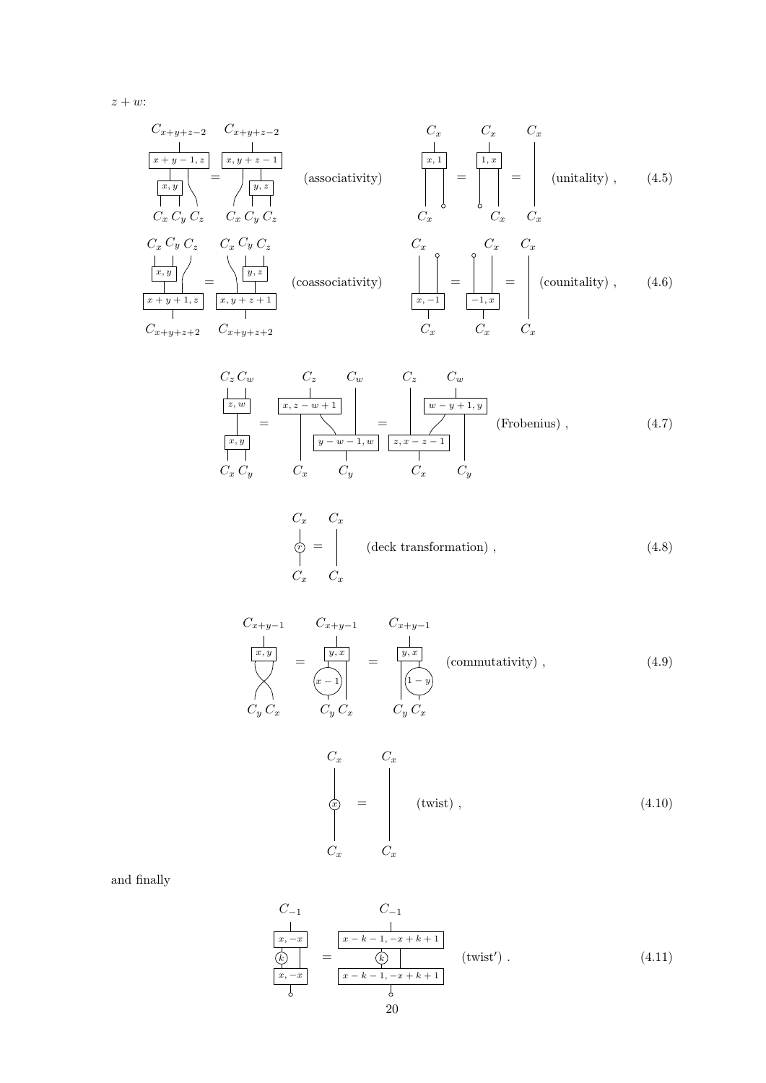$z + w$ :

x, y + z − 1 Cx+y+z−<sup>2</sup> = y, z C<sup>x</sup> C<sup>y</sup> C<sup>z</sup> x + y − 1, z Cx+y+z−<sup>2</sup> x, y C<sup>x</sup> C<sup>y</sup> C<sup>z</sup> x, 1 C<sup>x</sup> C<sup>x</sup> (associativity) 1, x C<sup>x</sup> C<sup>x</sup> = = C<sup>x</sup> C<sup>x</sup> (unitality) , (4.5) C<sup>x</sup> C<sup>y</sup> x, y C<sup>y</sup> C<sup>z</sup> y, z Cx+y+z+2 x + y + 1, z Cx+y+z+2 x, y + z + 1 C<sup>z</sup> C<sup>x</sup> = (coassociativity) x, −1 −1, x C<sup>x</sup> C<sup>x</sup> = C<sup>x</sup> C<sup>x</sup> (counitality) C<sup>x</sup> C<sup>x</sup> = , (4.6)

<span id="page-19-0"></span>
$$
\frac{C_z C_w}{\begin{array}{|c|c|c|c|c|}\n\hline\nz, w & C_z & C_w & C_z & C_w \\
\hline\nz, w & z, w+1 & & & \\
\hline\nz, w & & & & \\
\hline\nz, y & & & & \\
\hline\nz, y & & & & \\
\hline\n\end{array}\n\right} = \n\begin{array}{|c|c|c|}\n\hline\nz & C_w & & \\
\hline\nw - y + 1, y & & \\
\hline\nw - y + 1, y & & \\
\hline\nz, x - z - 1 & & \\
\hline\n\end{array} \quad \text{(Frobenius)} ,\n\tag{4.7}
$$

<span id="page-19-3"></span><span id="page-19-2"></span>
$$
\begin{array}{ccc}\nC_x & C_x \\
\downarrow & \downarrow \\
C_x & C_x\n\end{array}\n\quad \text{(deck transformation)}\tag{4.8}
$$

$$
C_{x+y-1} \t C_{x+y-1} \t C_{x+y-1}
$$
\n
$$
\frac{\begin{vmatrix} x,y \\ x,y \end{vmatrix}}{\begin{vmatrix} x \\ x \end{vmatrix}} = \frac{\begin{vmatrix} y,x \\ y,x \end{vmatrix}}{\begin{vmatrix} x \\ x \end{vmatrix}} = \frac{\begin{vmatrix} y,x \\ y,x \end{vmatrix}}{\begin{vmatrix} 1-y \\ 0 \end{vmatrix}} \t (commutativity), \t (4.9)
$$
\n
$$
C_y C_x \t C_y C_x
$$

<span id="page-19-5"></span><span id="page-19-4"></span><span id="page-19-1"></span>
$$
\begin{array}{ccc}\nC_x & C_x \\
\downarrow & & \\
\odot & = & \\
C_x & C_x\n\end{array} \quad \text{(twist)} \tag{4.10}
$$

and finally

$$
\frac{C_{-1}}{\begin{array}{c}\n\left[\frac{x}{x}, -x\right] & \left[\frac{C_{-1}}{x - k - 1, -x + k + 1}\right] \\
\hline\n\left(\frac{x}{k}\right) & = & \frac{x}{k} \\
\hline\n\frac{x}{k} & \frac{x}{k} & \frac{x}{k} \\
\hline\n\end{array}\n\quad \text{(twist')} . \tag{4.11}
$$
\n
$$
20
$$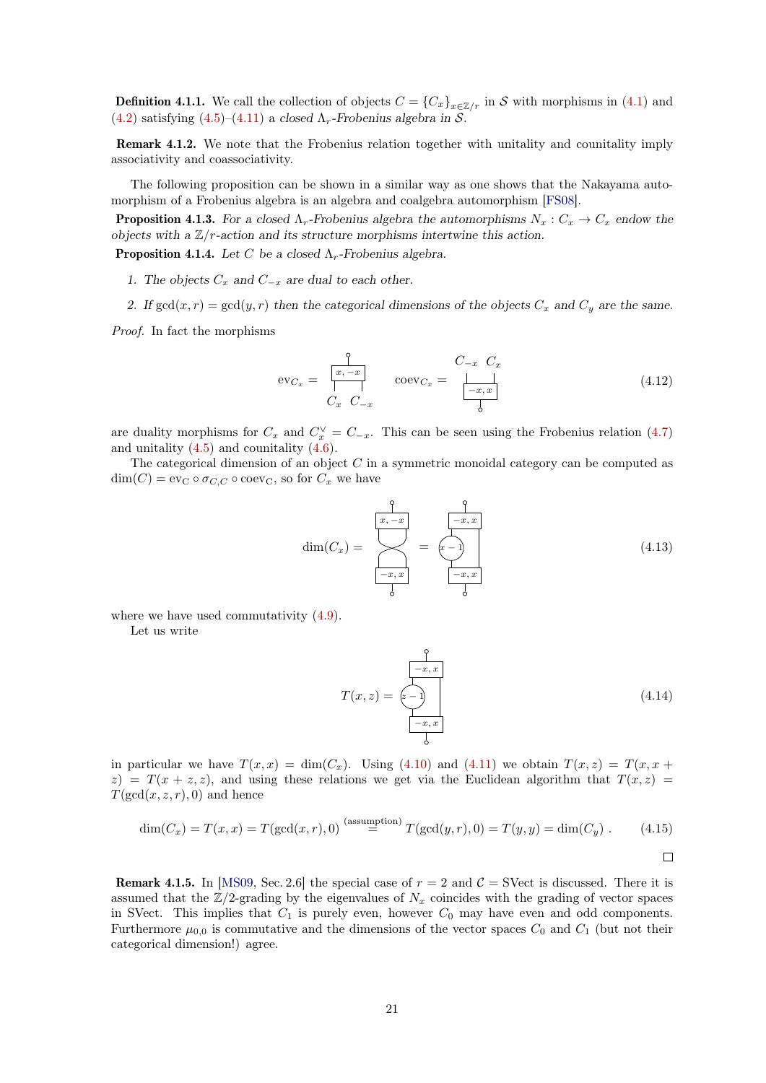**Definition 4.1.1.** We call the collection of objects  $C = \{C_x\}_{x \in \mathbb{Z}/r}$  in S with morphisms in [\(4.1\)](#page-18-5) and [\(4.2\)](#page-18-6) satisfying [\(4.5\)](#page-19-0)–[\(4.11\)](#page-19-1) a closed  $\Lambda_r$ -Frobenius algebra in S.

Remark 4.1.2. We note that the Frobenius relation together with unitality and counitality imply associativity and coassociativity.

The following proposition can be shown in a similar way as one shows that the Nakayama automorphism of a Frobenius algebra is an algebra and coalgebra automorphism [\[FS08\]](#page-35-13).

**Proposition 4.1.3.** For a closed  $\Lambda_r$ -Frobenius algebra the automorphisms  $N_x : C_x \to C_x$  endow the objects with a  $\mathbb{Z}/r$ -action and its structure morphisms intertwine this action.

<span id="page-20-0"></span>**Proposition 4.1.4.** Let C be a closed  $\Lambda_r$ -Frobenius algebra.

- 1. The objects  $C_x$  and  $C_{-x}$  are dual to each other.
- 2. If  $gcd(x, r) = gcd(y, r)$  then the categorical dimensions of the objects  $C_x$  and  $C_y$  are the same.

Proof. In fact the morphisms

$$
\text{ev}_{C_x} = \begin{array}{ccc} \uparrow & & C_{-x} & C_x \\ \hline x, -x & \text{coev}_{C_x} = \begin{array}{ccc} & & C_{-x} & C_x \\ \hline -x, x & \downarrow & \text{coev}_{C_x} \end{array} \end{array} \tag{4.12}
$$

are duality morphisms for  $C_x$  and  $C_x^{\vee} = C_{-x}$ . This can be seen using the Frobenius relation [\(4.7\)](#page-19-2) and unitality  $(4.5)$  and counitality  $(4.6)$ .

The categorical dimension of an object  $C$  in a symmetric monoidal category can be computed as  $\dim(C) = \text{ev}_C \circ \sigma_{C,C} \circ \text{coev}_C$ , so for  $C_x$  we have

$$
\dim(C_x) = \sum_{\substack{-x, x \\ -x, x}}^{\infty} = \underbrace{(-x, x)}_{\substack{-x, x \\ -x, x}} \tag{4.13}
$$

where we have used commutativity [\(4.9\)](#page-19-4).

Let us write

$$
T(x,z) = \overbrace{z-1}^{\overbrace{z-x,x}^{\overbrace{y-x,x}}} \tag{4.14}
$$

in particular we have  $T(x, x) = \dim(C_x)$ . Using [\(4.10\)](#page-19-5) and [\(4.11\)](#page-19-1) we obtain  $T(x, z) = T(x, x +$  $z$ ) =  $T(x + z, z)$ , and using these relations we get via the Euclidean algorithm that  $T(x, z)$  =  $T(\gcd(x, z, r), 0)$  and hence

$$
\dim(C_x) = T(x, x) = T(\gcd(x, r), 0) \stackrel{\text{(assumption)}}{=} T(\gcd(y, r), 0) = T(y, y) = \dim(C_y) . \tag{4.15}
$$

**Remark 4.1.5.** In [\[MS09,](#page-35-4) Sec. 2.6] the special case of  $r = 2$  and  $C =$  SVect is discussed. There it is assumed that the  $\mathbb{Z}/2$ -grading by the eigenvalues of  $N_x$  coincides with the grading of vector spaces in SVect. This implies that  $C_1$  is purely even, however  $C_0$  may have even and odd components. Furthermore  $\mu_{0,0}$  is commutative and the dimensions of the vector spaces  $C_0$  and  $C_1$  (but not their categorical dimension!) agree.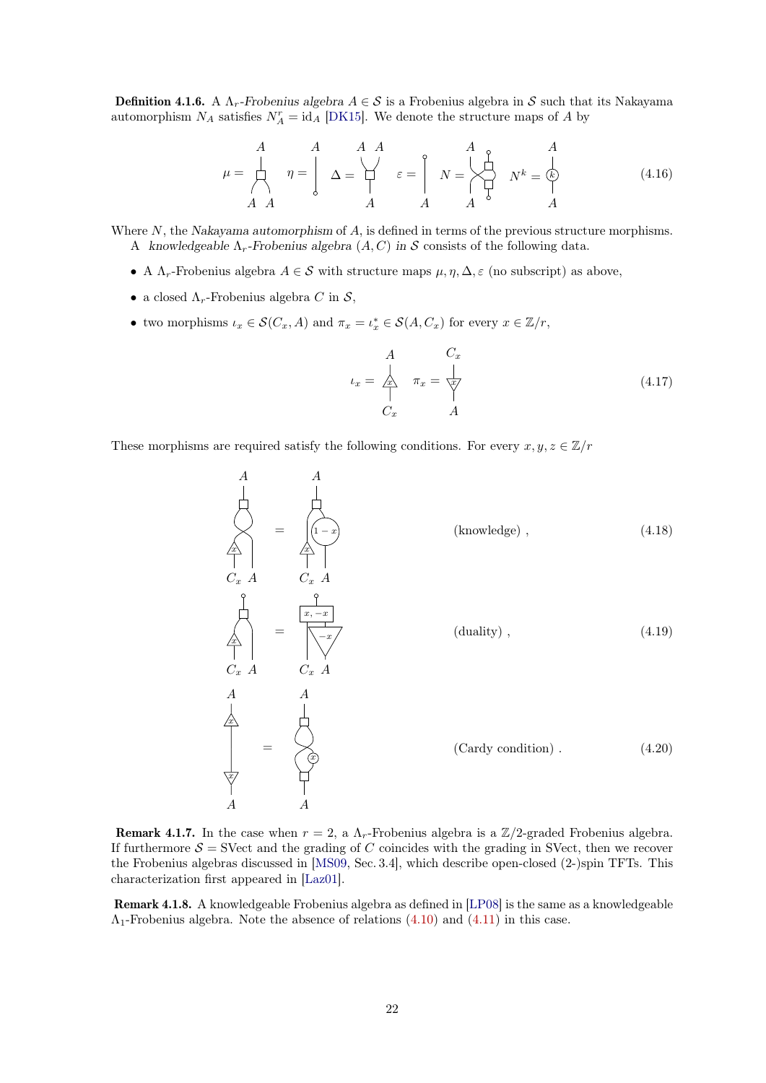**Definition 4.1.6.** A  $\Lambda_r$ -Frobenius algebra  $A \in \mathcal{S}$  is a Frobenius algebra in S such that its Nakayama automorphism  $N_A$  satisfies  $N_A^r = id_A$  [\[DK15\]](#page-35-9). We denote the structure maps of A by

<span id="page-21-1"></span>
$$
\mu = \begin{array}{c|c} A & A & A & A \\ \downarrow & \eta = \begin{array}{c|c} A & A & A \\ \downarrow & \downarrow & \downarrow \\ A & A & A & A \end{array} \end{array} \quad \begin{array}{c|c} A & & A \\ \downarrow & \downarrow & \downarrow \\ \uparrow & \downarrow & \downarrow & \downarrow \\ A & A & A & A \end{array} \tag{4.16}
$$

Where N, the Nakayama automorphism of A, is defined in terms of the previous structure morphisms. A knowledgeable  $\Lambda_r$ -Frobenius algebra  $(A, C)$  in S consists of the following data.

- A  $\Lambda_r$ -Frobenius algebra  $A \in \mathcal{S}$  with structure maps  $\mu, \eta, \Delta, \varepsilon$  (no subscript) as above,
- a closed  $\Lambda_r$ -Frobenius algebra C in S,
- two morphisms  $\iota_x \in \mathcal{S}(C_x, A)$  and  $\pi_x = \iota_x^* \in \mathcal{S}(A, C_x)$  for every  $x \in \mathbb{Z}/r$ ,

<span id="page-21-4"></span><span id="page-21-3"></span><span id="page-21-2"></span><span id="page-21-0"></span>
$$
\iota_x = \begin{array}{ccc} A & C_x \\ \hline \frac{1}{\sqrt{2}} & \pi_x = \frac{1}{\sqrt{x}} \\ C_x & A \end{array} \tag{4.17}
$$

These morphisms are required satisfy the following conditions. For every  $x, y, z \in \mathbb{Z}/r$ 

$$
A
$$
\n
$$
A
$$
\n
$$
A
$$
\n
$$
C_x
$$
\n
$$
A
$$
\n
$$
C_x
$$
\n
$$
A
$$
\n
$$
C_x
$$
\n
$$
A
$$
\n
$$
C_x
$$
\n
$$
A
$$
\n
$$
A
$$
\n
$$
A
$$
\n
$$
A
$$
\n
$$
A
$$
\n
$$
A
$$
\n
$$
A
$$
\n
$$
A
$$
\n
$$
A
$$
\n
$$
A
$$
\n
$$
A
$$
\n
$$
A
$$
\n
$$
A
$$
\n
$$
A
$$
\n
$$
A
$$
\n
$$
A
$$
\n
$$
A
$$
\n
$$
A
$$
\n
$$
A
$$
\n
$$
A
$$
\n
$$
A
$$
\n
$$
A
$$
\n
$$
A
$$
\n
$$
A
$$
\n
$$
A
$$
\n
$$
A
$$
\n
$$
A
$$
\n
$$
A
$$
\n
$$
A
$$
\n
$$
A
$$
\n
$$
A
$$
\n
$$
A
$$
\n
$$
A
$$
\n
$$
A
$$
\n
$$
A
$$
\n
$$
A
$$
\n
$$
A
$$
\n
$$
A
$$
\n
$$
A
$$
\n
$$
A
$$
\n
$$
A
$$
\n
$$
A
$$
\n
$$
A
$$
\n
$$
A
$$
\n
$$
A
$$
\n
$$
A
$$
\n
$$
A
$$
\n
$$
A
$$
\n
$$
A
$$
\n
$$
A
$$
\n
$$
A
$$
\n
$$
A
$$
\n
$$
A
$$
\n
$$
A
$$
\n
$$
A
$$
\n
$$
A
$$
\n
$$
A
$$
\n
$$
A
$$
\n
$$
A
$$
\n

**Remark 4.1.7.** In the case when  $r = 2$ , a  $\Lambda_r$ -Frobenius algebra is a  $\mathbb{Z}/2$ -graded Frobenius algebra. If furthermore  $\mathcal{S} =$  SVect and the grading of C coincides with the grading in SVect, then we recover the Frobenius algebras discussed in [\[MS09,](#page-35-4) Sec. 3.4], which describe open-closed (2-)spin TFTs. This characterization first appeared in [\[Laz01\]](#page-35-3).

<span id="page-21-5"></span>Remark 4.1.8. A knowledgeable Frobenius algebra as defined in [\[LP08\]](#page-35-5) is the same as a knowledgeable  $\Lambda_1$ -Frobenius algebra. Note the absence of relations  $(4.10)$  and  $(4.11)$  in this case.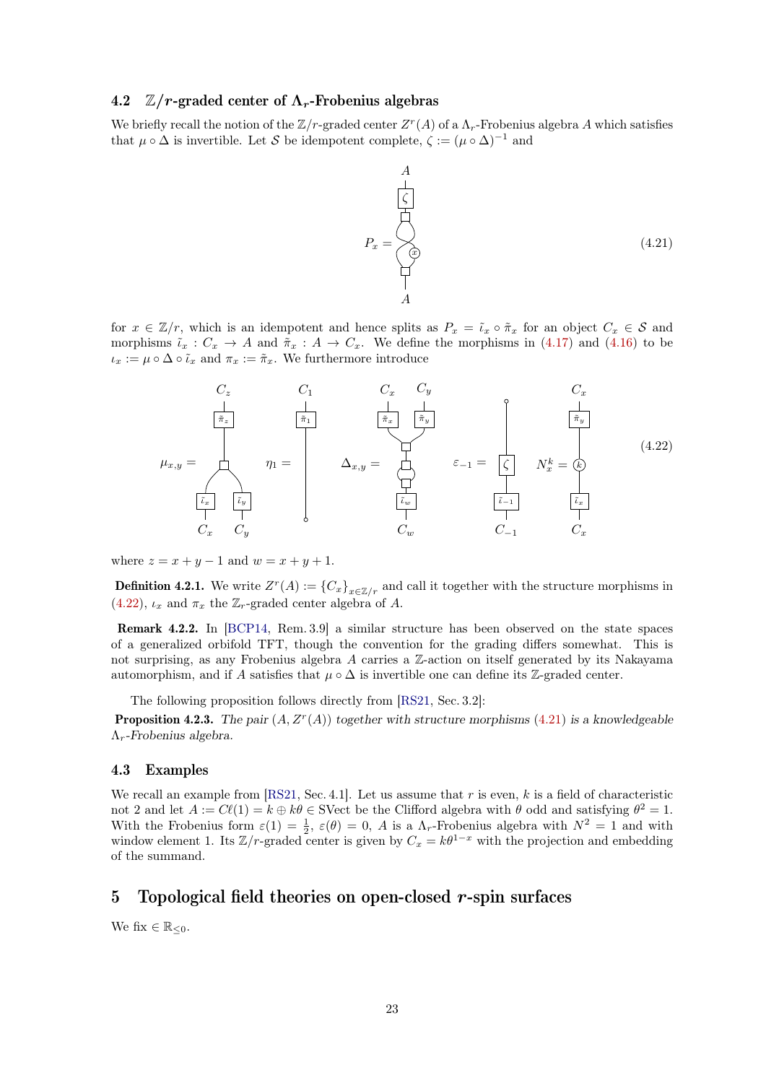## <span id="page-22-0"></span>4.2  $\mathbb{Z}/r$ -graded center of  $\Lambda_r$ -Frobenius algebras

We briefly recall the notion of the  $\mathbb{Z}/r$ -graded center  $Z^r(A)$  of a  $\Lambda_r$ -Frobenius algebra A which satisfies that  $\mu \circ \Delta$  is invertible. Let S be idempotent complete,  $\zeta := (\mu \circ \Delta)^{-1}$  and

<span id="page-22-4"></span>
$$
P_x = \begin{pmatrix} 1 \\ \zeta \\ \zeta \\ \zeta \\ \zeta \\ \zeta \\ \zeta \\ \zeta \\ A \end{pmatrix}
$$
 (4.21)

for  $x \in \mathbb{Z}/r$ , which is an idempotent and hence splits as  $P_x = \tilde{\iota}_x \circ \tilde{\pi}_x$  for an object  $C_x \in \mathcal{S}$  and morphisms  $\tilde{\iota}_x : C_x \to A$  and  $\tilde{\pi}_x : A \to C_x$ . We define the morphisms in [\(4.17\)](#page-21-0) and [\(4.16\)](#page-21-1) to be  $\iota_x := \mu \circ \Delta \circ \tilde{\iota}_x$  and  $\pi_x := \tilde{\pi}_x$ . We furthermore introduce

<span id="page-22-3"></span>

where  $z = x + y - 1$  and  $w = x + y + 1$ .

**Definition 4.2.1.** We write  $Z^r(A) := \{C_x\}_{x \in \mathbb{Z}/r}$  and call it together with the structure morphisms in [\(4.22\)](#page-22-3),  $\iota_x$  and  $\pi_x$  the  $\mathbb{Z}_r$ -graded center algebra of A.

Remark 4.2.2. In [\[BCP14,](#page-35-14) Rem. 3.9] a similar structure has been observed on the state spaces of a generalized orbifold TFT, though the convention for the grading differs somewhat. This is not surprising, as any Frobenius algebra A carries a Z-action on itself generated by its Nakayama automorphism, and if A satisfies that  $\mu \circ \Delta$  is invertible one can define its Z-graded center.

The following proposition follows directly from [\[RS21,](#page-35-8) Sec. 3.2]:

**Proposition 4.2.3.** The pair  $(A, Z<sup>r</sup>(A))$  together with structure morphisms [\(4.21\)](#page-22-4) is a knowledgeable  $\Lambda_r$ -Frobenius algebra.

### <span id="page-22-1"></span>4.3 Examples

We recall an example from  $[RS21, Sec. 4.1]$  $[RS21, Sec. 4.1]$ . Let us assume that r is even, k is a field of characteristic not 2 and let  $A := C\ell(1) = k \oplus k\theta \in \text{SVect}$  be the Clifford algebra with  $\theta$  odd and satisfying  $\theta^2 = 1$ . With the Frobenius form  $\varepsilon(1) = \frac{1}{2}$ ,  $\varepsilon(\theta) = 0$ , A is a  $\Lambda_r$ -Frobenius algebra with  $N^2 = 1$  and with with the Frobemas form  $\varepsilon(1) = 2$ ,  $\varepsilon(0) = 0$ , A is a  $\Lambda_r$ -Frobemas algebra with  $N = 1$  and with window element 1. Its  $\mathbb{Z}/r$ -graded center is given by  $C_x = k\theta^{1-x}$  with the projection and embedding of the summand.

# <span id="page-22-2"></span>5 Topological field theories on open-closed  $r$ -spin surfaces

We fix  $\in \mathbb{R}_{\leq 0}$ .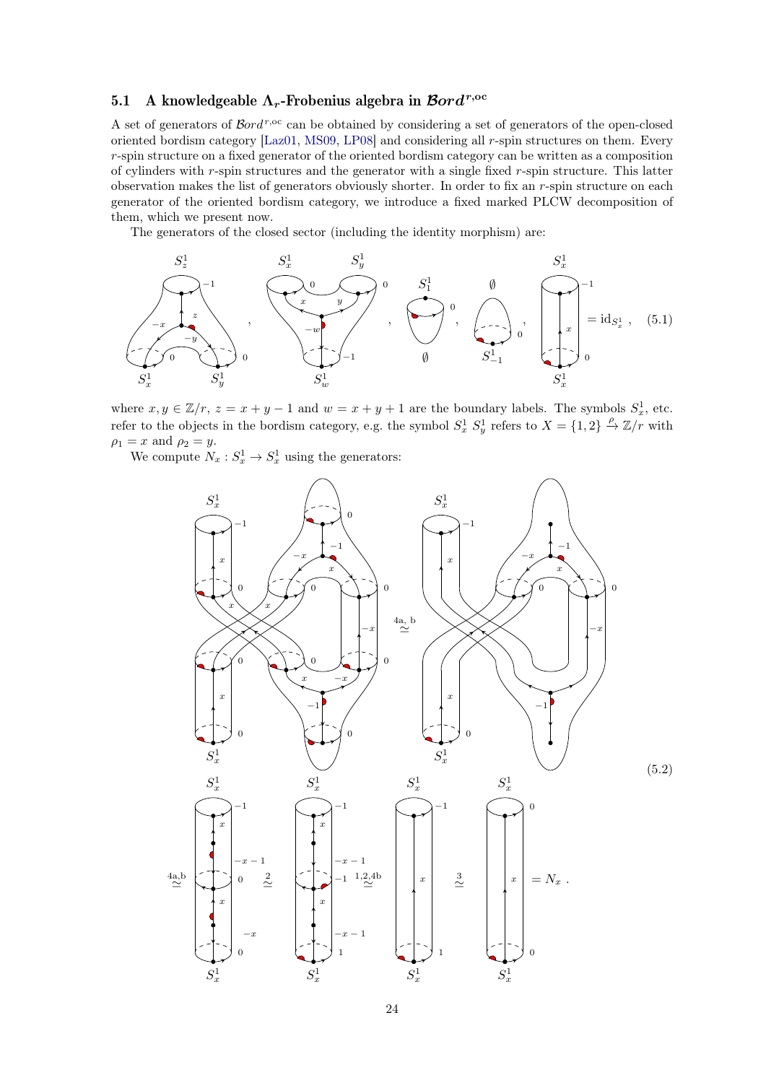## <span id="page-23-0"></span>5.1 A knowledgeable  $\Lambda_r$ -Frobenius algebra in  $\mathcal{B}ord^{r,\mathrm{oc}}$

A set of generators of  $\mathcal{B}ord^{r,\text{oc}}$  can be obtained by considering a set of generators of the open-closed oriented bordism category [\[Laz01,](#page-35-3) [MS09,](#page-35-4) [LP08\]](#page-35-5) and considering all r-spin structures on them. Every r-spin structure on a fixed generator of the oriented bordism category can be written as a composition of cylinders with  $r$ -spin structures and the generator with a single fixed  $r$ -spin structure. This latter observation makes the list of generators obviously shorter. In order to fix an r-spin structure on each generator of the oriented bordism category, we introduce a fixed marked PLCW decomposition of them, which we present now.

The generators of the closed sector (including the identity morphism) are:



where  $x, y \in \mathbb{Z}/r$ ,  $z = x + y - 1$  and  $w = x + y + 1$  are the boundary labels. The symbols  $S_x^1$ , etc. refer to the objects in the bordism category, e.g. the symbol  $S_x^1 S_y^1$  refers to  $X = \{1, 2\} \stackrel{\rho}{\rightarrow} \mathbb{Z}/r$  with  $\rho_1 = x$  and  $\rho_2 = y$ .

We compute  $N_x : S_x^1 \to S_x^1$  using the generators:

<span id="page-23-2"></span><span id="page-23-1"></span>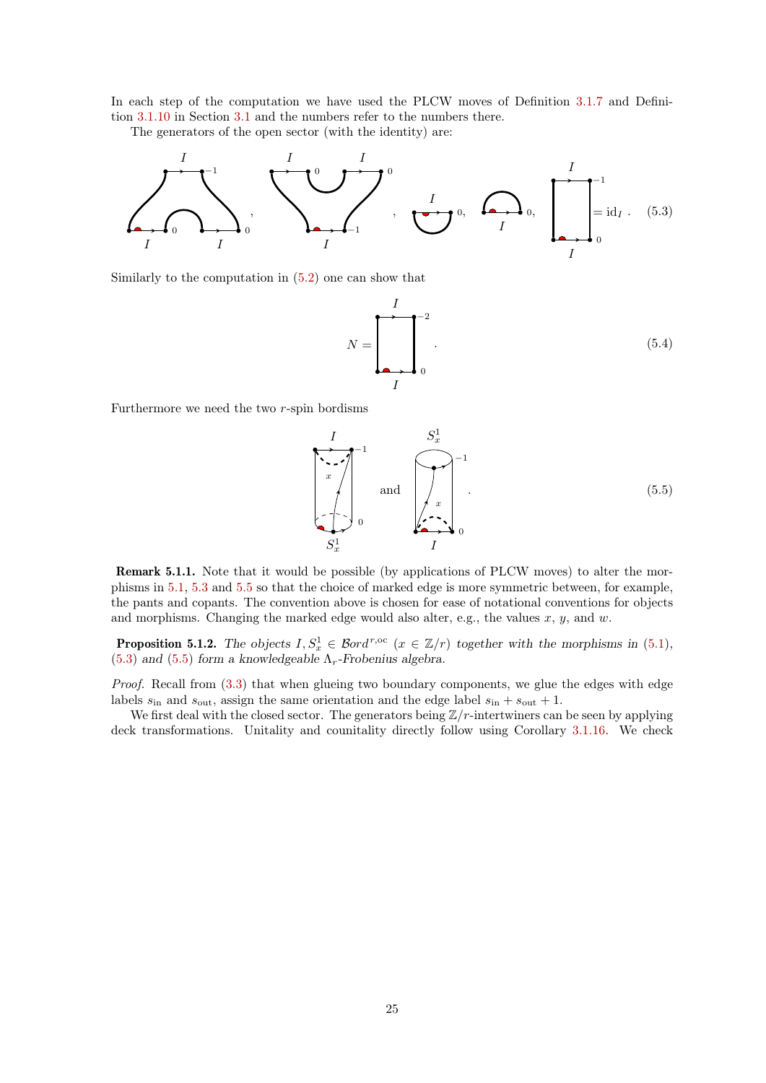In each step of the computation we have used the PLCW moves of Definition [3.1.7](#page-9-3) and Definition [3.1.10](#page-11-3) in Section [3.1](#page-7-0) and the numbers refer to the numbers there.

The generators of the open sector (with the identity) are:



Similarly to the computation in [\(5.2\)](#page-23-1) one can show that

<span id="page-24-0"></span>
$$
N = \begin{bmatrix} I \\ 1 \\ 0 \end{bmatrix}^{-2} . \tag{5.4}
$$

Furthermore we need the two r-spin bordisms

<span id="page-24-1"></span>
$$
\begin{array}{ccc}\nI & S_x^1 \\
\hline\n\end{array}\n\quad \text{and} \quad\n\begin{array}{ccc}\nS_x^1 \\
\hline\n\end{array}\n\quad \text{and} \quad\n\begin{array}{ccc}\n\hline\n\end{array}\n\quad\n\begin{array}{ccc}\n\hline\n\end{array}\n\quad \text{and} \quad\n\begin{array}{ccc}\n\hline\n\end{array}\n\quad\n\begin{array}{ccc}\n\hline\n\end{array}\n\quad \text{or} \quad\n\begin{array}{ccc}\n\hline\n\end{array}\n\quad \text{or} \quad\n\begin{array}{ccc}\n\hline\n\end{array}\n\quad \text{or} \quad\n\begin{array}{ccc}\n\hline\n\end{array}\n\quad \text{or} \quad\n\begin{array}{ccc}\n\hline\n\end{array}\n\quad \text{or} \quad\n\begin{array}{ccc}\n\hline\n\end{array}\n\quad \text{or} \quad\n\begin{array}{ccc}\n\hline\n\end{array}\n\quad \text{or} \quad\n\begin{array}{ccc}\n\hline\n\end{array}\n\quad \text{or} \quad\n\begin{array}{ccc}\n\hline\n\end{array}\n\quad \text{or} \quad\n\begin{array}{ccc}\n\hline\n\end{array}\n\quad \text{or} \quad\n\begin{array}{ccc}\n\hline\n\end{array}\n\quad \text{or} \quad\n\begin{array}{ccc}\n\hline\n\end{array}\n\quad \text{or} \quad\n\begin{array}{ccc}\n\hline\n\end{array}\n\quad \text{or} \quad\n\begin{array}{ccc}\n\hline\n\end{array}\n\quad \text{or} \quad\n\begin{array}{ccc}\n\hline\n\end{array}\n\quad \text{or} \quad\n\begin{array}{ccc}\n\hline\n\end{array}\n\quad \text{or} \quad\n\begin{array}{ccc}\n\hline\n\end{array}\n\quad \text{or} \quad\n\begin{array}{ccc}\n\hline\n\end{array}\n\quad \text{or} \quad\n\begin{array}{ccc}\n\hline\n\end{array}\n\quad \text{or} \quad\n\begin{array}{ccc}\n\hline\n\end{array}\n\quad \text{or} \quad\n\begin{array}{ccc}\n\hline\n\end{array}\n\quad \text{or} \quad\n\begin{array}{ccc}\n\hline\n\end{array}\n\quad \text{or} \quad\n\begin{array}{ccc
$$

Remark 5.1.1. Note that it would be possible (by applications of PLCW moves) to alter the morphisms in [5.1,](#page-23-2) [5.3](#page-24-0) and [5.5](#page-24-1) so that the choice of marked edge is more symmetric between, for example, the pants and copants. The convention above is chosen for ease of notational conventions for objects and morphisms. Changing the marked edge would also alter, e.g., the values  $x, y$ , and  $w$ .

**Proposition 5.1.2.** The objects  $I, S_x^1 \in \mathcal{B}ord^{r,\text{oc}}$   $(x \in \mathbb{Z}/r)$  together with the morphisms in [\(5.1\)](#page-23-2), [\(5.3\)](#page-24-0) and [\(5.5\)](#page-24-1) form a knowledgeable  $\Lambda_r$ -Frobenius algebra.

Proof. Recall from [\(3.3\)](#page-12-2) that when glueing two boundary components, we glue the edges with edge labels  $s_{\text{in}}$  and  $s_{\text{out}}$ , assign the same orientation and the edge label  $s_{\text{in}} + s_{\text{out}} + 1$ .

We first deal with the closed sector. The generators being  $\mathbb{Z}/r$ -intertwiners can be seen by applying deck transformations. Unitality and counitality directly follow using Corollary [3.1.16.](#page-13-1) We check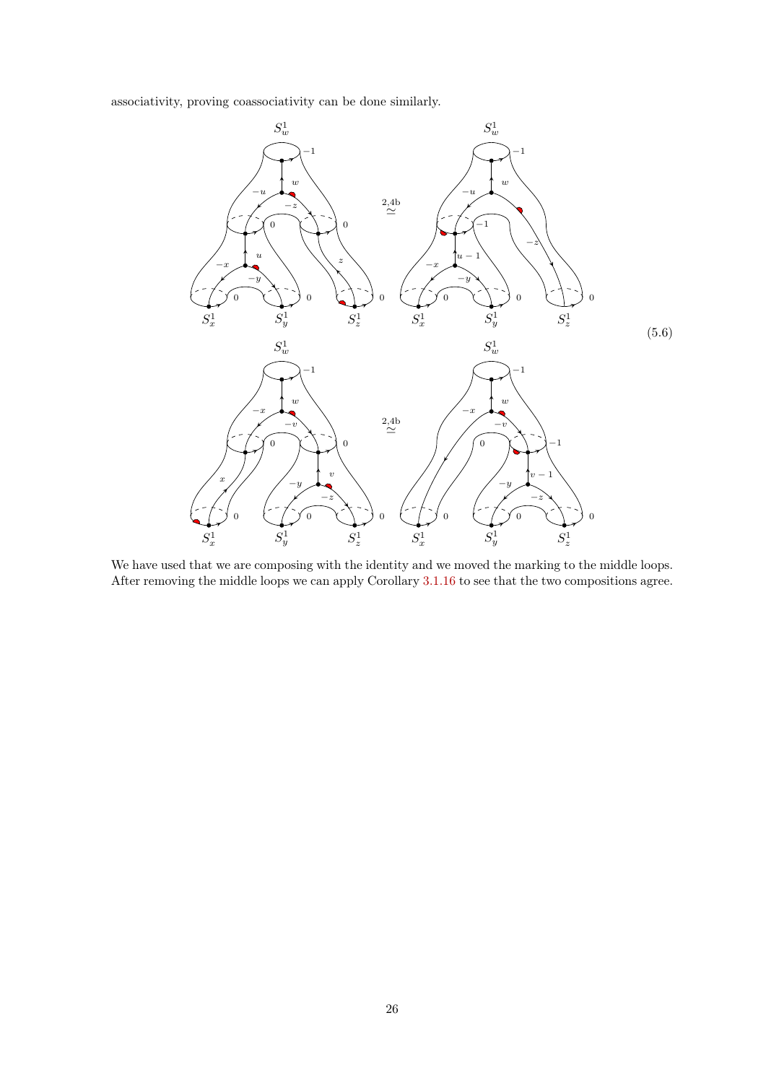associativity, proving coassociativity can be done similarly.



We have used that we are composing with the identity and we moved the marking to the middle loops. After removing the middle loops we can apply Corollary [3.1.16](#page-13-1) to see that the two compositions agree.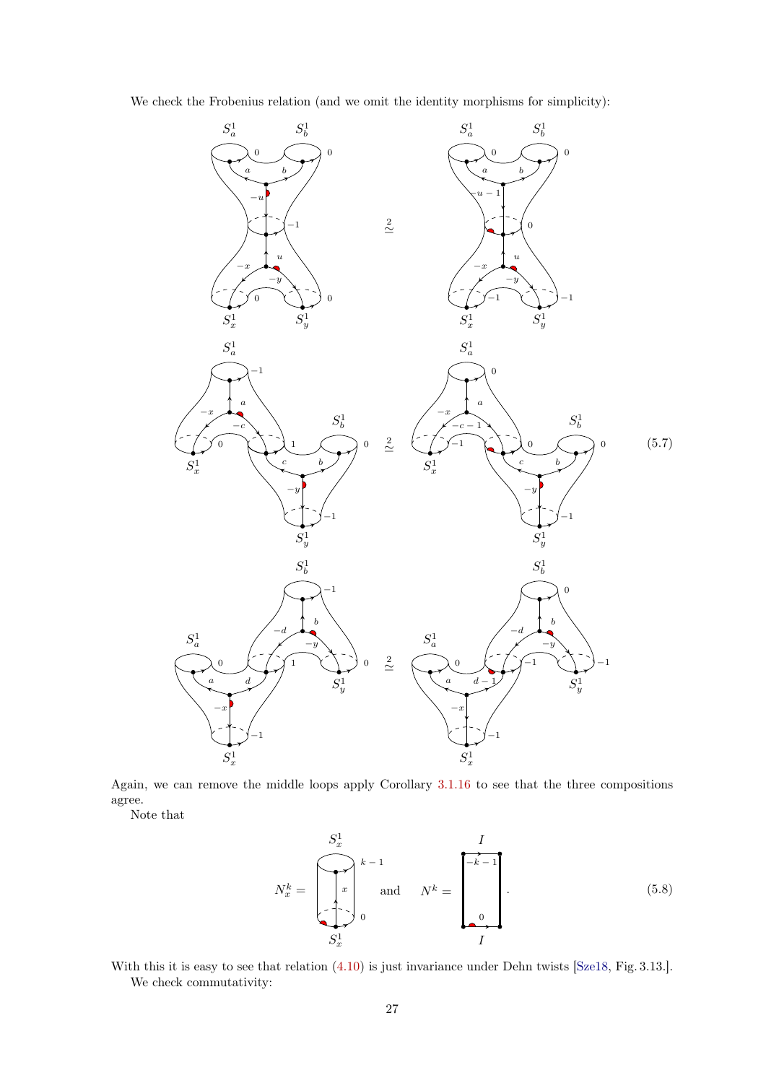

We check the Frobenius relation (and we omit the identity morphisms for simplicity):

Again, we can remove the middle loops apply Corollary [3.1.16](#page-13-1) to see that the three compositions agree.

Note that

$$
N_x^k = \begin{bmatrix} S_x^1 & & & I \\ & & & \\ & & & \\ & & & \\ & & & \\ & & & \end{bmatrix}^{k-1} \text{ and } N^k = \begin{bmatrix} & & & I \\ & -k-1 & & \\ & & & \\ & & & \\ & & & \\ & & & & \\ & & & & \\ & & & & \\ & & & & I \end{bmatrix} . \tag{5.8}
$$

With this it is easy to see that relation  $(4.10)$  is just invariance under Dehn twists [\[Sze18,](#page-35-15) Fig. 3.13.]. We check commutativity: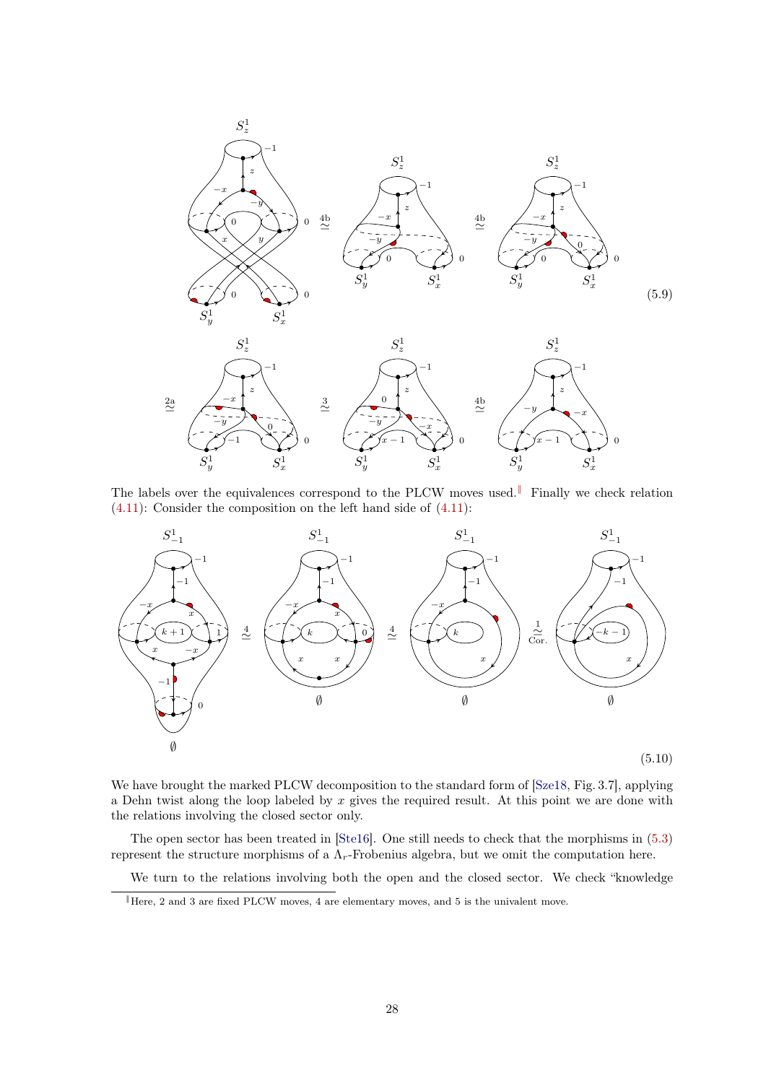<span id="page-27-1"></span>

The labels over the equivalences correspond to the PLCW moves used.[‖](#page-27-0) Finally we check relation [\(4.11\)](#page-19-1): Consider the composition on the left hand side of [\(4.11\)](#page-19-1):



We have brought the marked PLCW decomposition to the standard form of [\[Sze18,](#page-35-15) Fig. 3.7], applying a Dehn twist along the loop labeled by  $x$  gives the required result. At this point we are done with the relations involving the closed sector only.

The open sector has been treated in [\[Ste16\]](#page-35-10). One still needs to check that the morphisms in [\(5.3\)](#page-24-0) represent the structure morphisms of a  $\Lambda_r$ -Frobenius algebra, but we omit the computation here.

We turn to the relations involving both the open and the closed sector. We check "knowledge

<span id="page-27-0"></span><sup>‖</sup>Here, 2 and 3 are fixed PLCW moves, 4 are elementary moves, and 5 is the univalent move.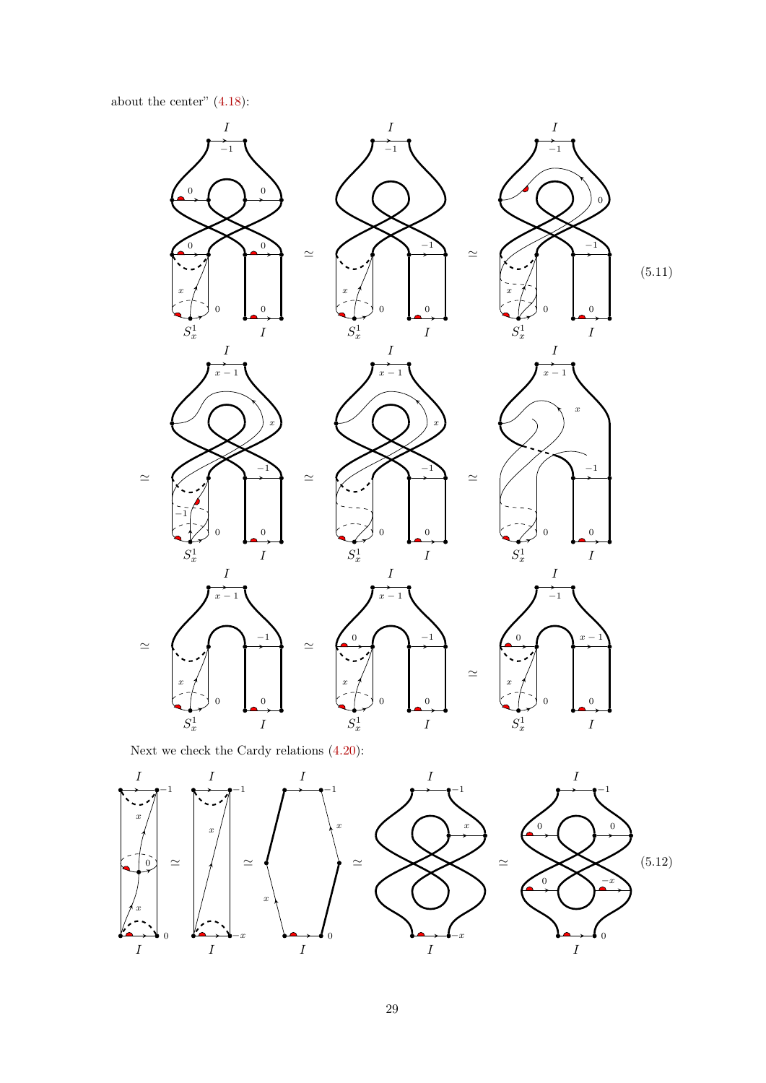about the center"  $(4.18)$ :



Next we check the Cardy relations [\(4.20\)](#page-21-3):

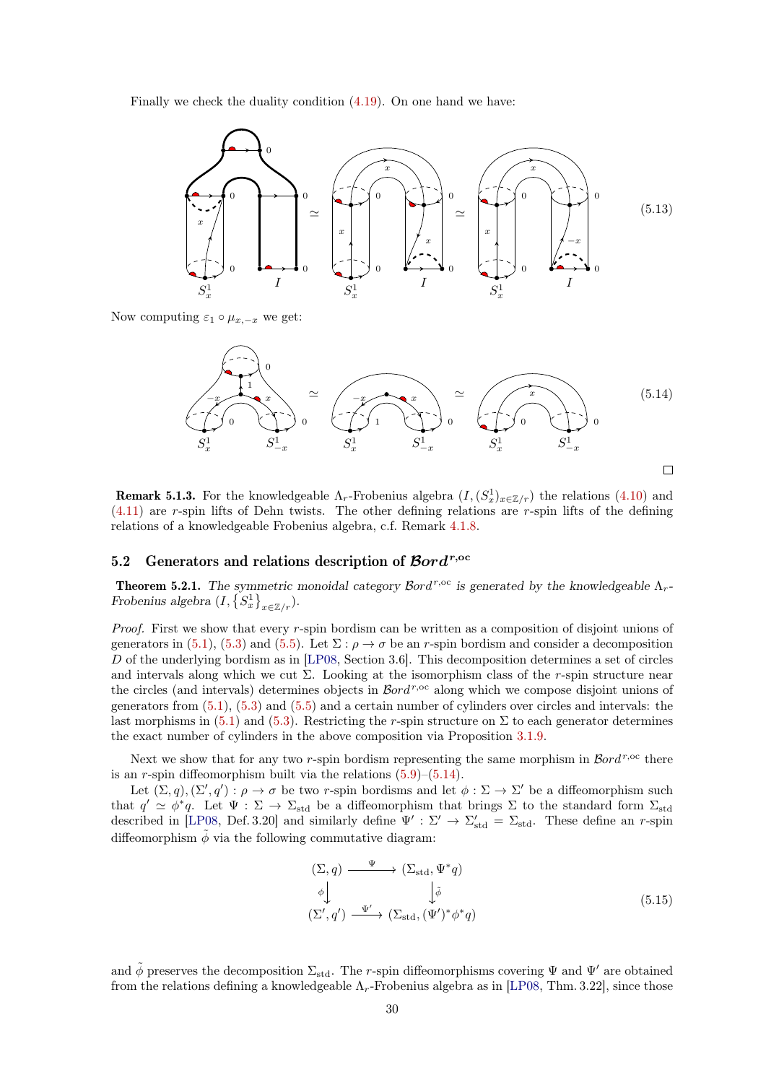Finally we check the duality condition [\(4.19\)](#page-21-4). On one hand we have:



Now computing  $\varepsilon_1 \circ \mu_{x,-x}$  we get:

<span id="page-29-1"></span>0 1 <sup>−</sup><sup>x</sup> <sup>x</sup> ' (5.14) x '−x x 0 0 1 0 0 0 1 1 1 1 S 1 S 1 S S S S −x −x −x x x x 

<span id="page-29-2"></span>**Remark 5.1.3.** For the knowledgeable  $\Lambda_r$ -Frobenius algebra  $(I, (S_x^1)_{x \in \mathbb{Z}/r})$  the relations  $(4.10)$  and [\(4.11\)](#page-19-1) are r-spin lifts of Dehn twists. The other defining relations are r-spin lifts of the defining relations of a knowledgeable Frobenius algebra, c.f. Remark [4.1.8.](#page-21-5)

# <span id="page-29-0"></span>5.2 Generators and relations description of  $\mathcal{B}ord^{r,\mathrm{oc}}$

**Theorem 5.2.1.** The symmetric monoidal category  $\mathcal{B}ord^{r,\text{oc}}$  is generated by the knowledgeable  $\Lambda_r$ -Frobenius algebra  $(I, \{S_x^1\}_{x \in \mathbb{Z}/r}).$ 

Proof. First we show that every r-spin bordism can be written as a composition of disjoint unions of generators in [\(5.1\)](#page-23-2), [\(5.3\)](#page-24-0) and [\(5.5\)](#page-24-1). Let  $\Sigma : \rho \to \sigma$  be an r-spin bordism and consider a decomposition D of the underlying bordism as in [\[LP08,](#page-35-5) Section 3.6]. This decomposition determines a set of circles and intervals along which we cut  $\Sigma$ . Looking at the isomorphism class of the r-spin structure near the circles (and intervals) determines objects in  $\mathcal{B}ord^{r,\mathrm{oc}}$  along which we compose disjoint unions of generators from  $(5.1)$ ,  $(5.3)$  and  $(5.5)$  and a certain number of cylinders over circles and intervals: the last morphisms in [\(5.1\)](#page-23-2) and [\(5.3\)](#page-24-0). Restricting the r-spin structure on  $\Sigma$  to each generator determines the exact number of cylinders in the above composition via Proposition [3.1.9.](#page-10-2)

Next we show that for any two r-spin bordism representing the same morphism in  $\mathcal{B}ord^{r,\text{oc}}$  there is an r-spin diffeomorphism built via the relations  $(5.9)$ – $(5.14)$ .

Let  $(\Sigma, q), (\Sigma', q') : \rho \to \sigma$  be two r-spin bordisms and let  $\phi : \Sigma \to \Sigma'$  be a diffeomorphism such that  $q' \simeq \phi^* q$ . Let  $\Psi : \Sigma \to \Sigma_{\text{std}}$  be a diffeomorphism that brings  $\Sigma$  to the standard form  $\Sigma_{\text{std}}$ described in [\[LP08,](#page-35-5) Def. 3.20] and similarly define  $\Psi' : \Sigma' \to \Sigma'_{\text{std}} = \Sigma_{\text{std}}$ . These define an r-spin diffeomorphism  $\tilde{\phi}$  via the following commutative diagram:

$$
\begin{aligned}\n(\Sigma, q) & \xrightarrow{\Psi} (\Sigma_{\text{std}}, \Psi^* q) \\
\phi \downarrow \qquad \qquad \downarrow \tilde{\phi} \\
(\Sigma', q') & \xrightarrow{\Psi'} (\Sigma_{\text{std}}, (\Psi')^* \phi^* q)\n\end{aligned}\n\tag{5.15}
$$

and  $\phi$  preserves the decomposition  $\Sigma_{std}$ . The r-spin diffeomorphisms covering  $\Psi$  and  $\Psi'$  are obtained from the relations defining a knowledgeable  $\Lambda_r$ -Frobenius algebra as in [\[LP08,](#page-35-5) Thm. 3.22], since those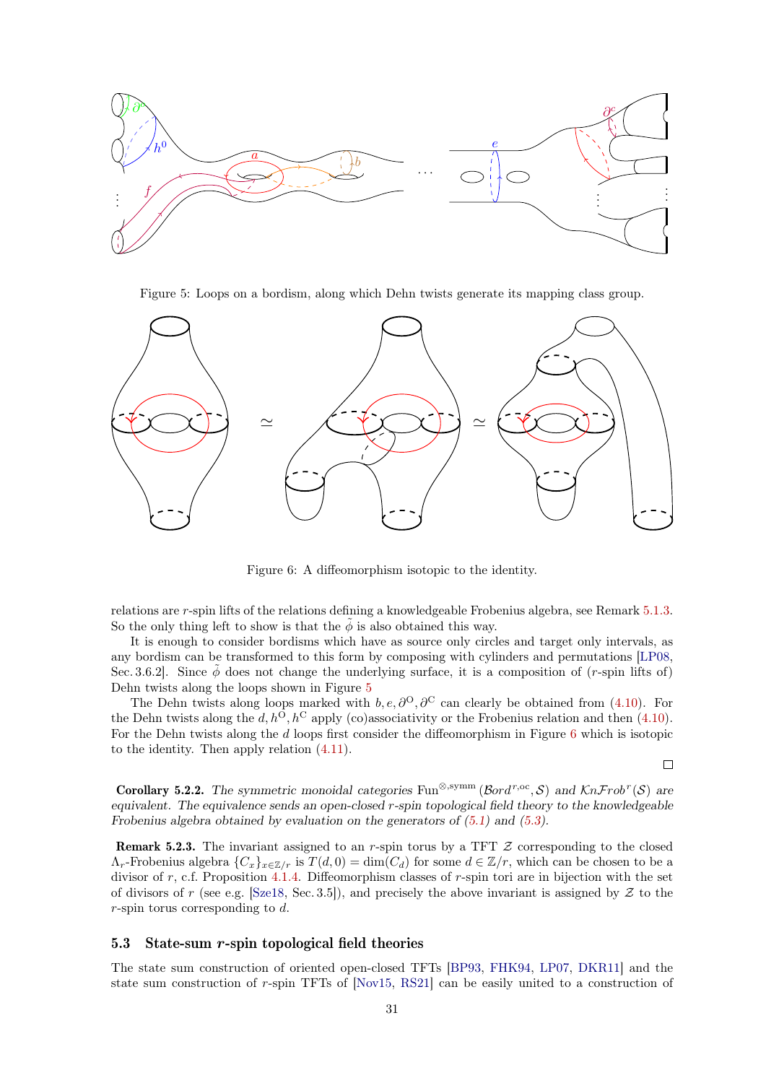<span id="page-30-1"></span>

Figure 5: Loops on a bordism, along which Dehn twists generate its mapping class group.

<span id="page-30-2"></span>

Figure 6: A diffeomorphism isotopic to the identity.

relations are r-spin lifts of the relations defining a knowledgeable Frobenius algebra, see Remark [5.1.3.](#page-29-2) So the only thing left to show is that the  $\phi$  is also obtained this way.

It is enough to consider bordisms which have as source only circles and target only intervals, as any bordism can be transformed to this form by composing with cylinders and permutations [\[LP08,](#page-35-5) Sec. 3.6.2]. Since  $\phi$  does not change the underlying surface, it is a composition of (r-spin lifts of) Dehn twists along the loops shown in Figure [5](#page-30-1)

The Dehn twists along loops marked with  $b, e, \partial^O, \partial^C$  can clearly be obtained from [\(4.10\)](#page-19-5). For the Dehn twists along the d,  $h^{\text{O}}$ ,  $h^{\text{C}}$  apply (co)associativity or the Frobenius relation and then [\(4.10\)](#page-19-5). For the Dehn twists along the d loops first consider the diffeomorphism in Figure [6](#page-30-2) which is isotopic to the identity. Then apply relation [\(4.11\)](#page-19-1).

$$
\Box
$$

**Corollary 5.2.2.** The symmetric monoidal categories Fun<sup>⊗,symm</sup> ( $\beta$ ord<sup>r,oc</sup>, S) and KnFrob<sup>r</sup>(S) are equivalent. The equivalence sends an open-closed r-spin topological field theory to the knowledgeable Frobenius algebra obtained by evaluation on the generators of [\(5.1\)](#page-23-2) and [\(5.3\)](#page-24-0).

**Remark 5.2.3.** The invariant assigned to an r-spin torus by a TFT  $Z$  corresponding to the closed  $\Lambda_r$ -Frobenius algebra  $\{C_x\}_{x\in\mathbb{Z}/r}$  is  $T(d, 0) = \dim(C_d)$  for some  $d \in \mathbb{Z}/r$ , which can be chosen to be a divisor of r, c.f. Proposition [4.1.4.](#page-20-0) Diffeomorphism classes of r-spin tori are in bijection with the set of divisors of r (see e.g. [\[Sze18,](#page-35-15) Sec. 3.5]), and precisely the above invariant is assigned by  $Z$  to the r-spin torus corresponding to d.

#### <span id="page-30-0"></span>5.3 State-sum r-spin topological field theories

The state sum construction of oriented open-closed TFTs [\[BP93,](#page-35-16) [FHK94,](#page-35-17) [LP07,](#page-35-18) [DKR11\]](#page-35-19) and the state sum construction of r-spin TFTs of [\[Nov15,](#page-35-6) [RS21\]](#page-35-8) can be easily united to a construction of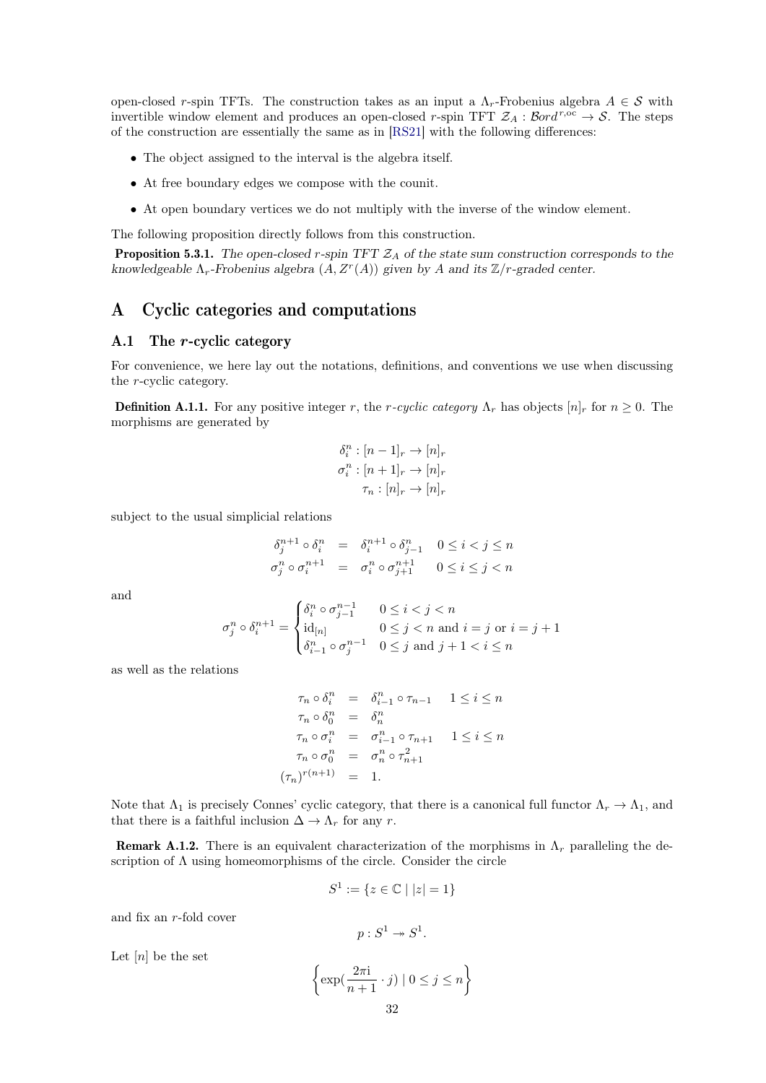open-closed r-spin TFTs. The construction takes as an input a  $\Lambda_r$ -Frobenius algebra  $A \in \mathcal{S}$  with invertible window element and produces an open-closed r-spin TFT  $\mathcal{Z}_A : \mathcal{B}ord^{r,\overline{oc}} \to \mathcal{S}$ . The steps of the construction are essentially the same as in [\[RS21\]](#page-35-8) with the following differences:

- The object assigned to the interval is the algebra itself.
- At free boundary edges we compose with the counit.
- At open boundary vertices we do not multiply with the inverse of the window element.

The following proposition directly follows from this construction.

**Proposition 5.3.1.** The open-closed r-spin TFT  $\mathcal{Z}_A$  of the state sum construction corresponds to the knowledgeable  $\Lambda_r$ -Frobenius algebra  $(A, Z^r(A))$  given by A and its  $\mathbb{Z}/r$ -graded center.

# <span id="page-31-0"></span>A Cyclic categories and computations

### <span id="page-31-1"></span>A.1 The r-cyclic category

For convenience, we here lay out the notations, definitions, and conventions we use when discussing the r-cyclic category.

**Definition A.1.1.** For any positive integer r, the r-cyclic category  $\Lambda_r$  has objects  $[n]_r$  for  $n \geq 0$ . The morphisms are generated by

$$
\delta_i^n : [n-1]_r \to [n]_r
$$

$$
\sigma_i^n : [n+1]_r \to [n]_r
$$

$$
\tau_n : [n]_r \to [n]_r
$$

subject to the usual simplicial relations

$$
\begin{aligned}\n\delta_j^{n+1} \circ \delta_i^n &= \delta_i^{n+1} \circ \delta_{j-1}^n \quad 0 \le i < j \le n \\
\sigma_j^n \circ \sigma_i^{n+1} &= \sigma_i^n \circ \sigma_{j+1}^{n+1} \quad 0 \le i \le j < n\n\end{aligned}
$$

and

$$
\sigma_j^n \circ \delta_i^{n+1} = \begin{cases} \delta_i^n \circ \sigma_{j-1}^{n-1} & 0 \le i < j < n \\ \mathrm{id}_{[n]} & 0 \le j < n \text{ and } i = j \text{ or } i = j+1 \\ \delta_{i-1}^n \circ \sigma_j^{n-1} & 0 \le j \text{ and } j+1 < i \le n \end{cases}
$$

as well as the relations

$$
\tau_n \circ \delta_i^n = \delta_{i-1}^n \circ \tau_{n-1} \quad 1 \le i \le n
$$
  
\n
$$
\tau_n \circ \delta_0^n = \delta_n^n
$$
  
\n
$$
\tau_n \circ \sigma_i^n = \sigma_{i-1}^n \circ \tau_{n+1} \quad 1 \le i \le n
$$
  
\n
$$
\tau_n \circ \sigma_0^n = \sigma_n^n \circ \tau_{n+1}^2
$$
  
\n
$$
(\tau_n)^{r(n+1)} = 1.
$$

Note that  $\Lambda_1$  is precisely Connes' cyclic category, that there is a canonical full functor  $\Lambda_r \to \Lambda_1$ , and that there is a faithful inclusion  $\Delta \to \Lambda_r$  for any r.

**Remark A.1.2.** There is an equivalent characterization of the morphisms in  $\Lambda_r$  paralleling the description of  $\Lambda$  using homeomorphisms of the circle. Consider the circle

$$
S^1:=\{z\in\mathbb{C}\mid |z|=1\}
$$

and fix an r-fold cover

$$
p: S^1 \twoheadrightarrow S^1.
$$

Let  $[n]$  be the set

$$
\left\{ \exp\left(\frac{2\pi i}{n+1} \cdot j\right) \mid 0 \le j \le n \right\}
$$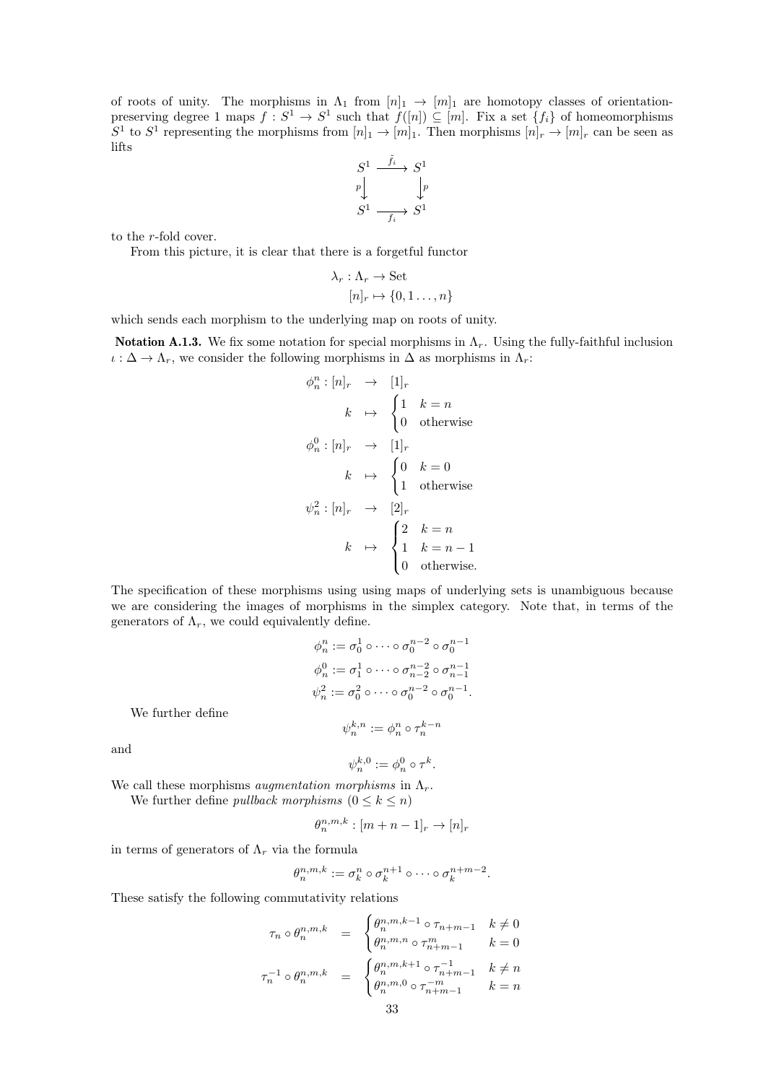of roots of unity. The morphisms in  $\Lambda_1$  from  $[n]_1 \to [m]_1$  are homotopy classes of orientationpreserving degree 1 maps  $f: S^1 \to S^1$  such that  $f([n]) \subseteq [m]$ . Fix a set  $\{f_i\}$  of homeomorphisms  $S^1$  to  $S^1$  representing the morphisms from  $[n]_1 \to [m]_1$ . Then morphisms  $[n]_r \to [m]_r$  can be seen as lifts

$$
\begin{array}{ccc}\nS^1 & \xrightarrow{\tilde{f}_i} & S^1 \\
p & & \downarrow p \\
S^1 & \xrightarrow{f_i} & S^1\n\end{array}
$$

to the r-fold cover.

From this picture, it is clear that there is a forgetful functor

$$
\lambda_r : \Lambda_r \to \text{Set}
$$

$$
[n]_r \mapsto \{0, 1 \dots, n\}
$$

which sends each morphism to the underlying map on roots of unity.

**Notation A.1.3.** We fix some notation for special morphisms in  $\Lambda_r$ . Using the fully-faithful inclusion  $\iota : \Delta \to \Lambda_r$ , we consider the following morphisms in  $\Delta$  as morphisms in  $\Lambda_r$ :

$$
\phi_n^n : [n]_r \rightarrow [1]_r
$$
\n
$$
k \rightarrow \begin{cases} 1 & k = n \\ 0 & \text{otherwise} \end{cases}
$$
\n
$$
\phi_n^0 : [n]_r \rightarrow [1]_r
$$
\n
$$
k \rightarrow \begin{cases} 0 & k = 0 \\ 1 & \text{otherwise} \end{cases}
$$
\n
$$
\psi_n^2 : [n]_r \rightarrow [2]_r
$$
\n
$$
k \rightarrow \begin{cases} 2 & k = n \\ 1 & k = n - 1 \\ 0 & \text{otherwise.} \end{cases}
$$

The specification of these morphisms using using maps of underlying sets is unambiguous because we are considering the images of morphisms in the simplex category. Note that, in terms of the generators of  $\Lambda_r$ , we could equivalently define.

$$
\phi_n^n := \sigma_0^1 \circ \cdots \circ \sigma_0^{n-2} \circ \sigma_0^{n-1}
$$
  

$$
\phi_n^0 := \sigma_1^1 \circ \cdots \circ \sigma_{n-2}^{n-2} \circ \sigma_{n-1}^{n-1}
$$
  

$$
\psi_n^2 := \sigma_0^2 \circ \cdots \circ \sigma_0^{n-2} \circ \sigma_0^{n-1}.
$$
  

$$
\psi_n^{k,n} := \phi_n^n \circ \tau_n^{k-n}
$$

We further define

and

$$
\psi_n^{k,0} := \phi_n^0 \circ \tau^k.
$$

We call these morphisms *augmentation morphisms* in  $\Lambda_r$ .

We further define *pullback morphisms*  $(0 \leq k \leq n)$ 

$$
\theta_n^{n,m,k} : [m+n-1]_r \to [n]_r
$$

in terms of generators of  $\Lambda_r$  via the formula

$$
\theta_n^{n,m,k} := \sigma_k^n \circ \sigma_k^{n+1} \circ \cdots \circ \sigma_k^{n+m-2}.
$$

These satisfy the following commutativity relations

$$
\tau_n \circ \theta_n^{n,m,k} = \begin{cases}\n\theta_n^{n,m,k-1} \circ \tau_{n+m-1} & k \neq 0 \\
\theta_n^{n,m,n} \circ \tau_{n+m-1}^m & k = 0\n\end{cases}
$$
\n
$$
\tau_n^{-1} \circ \theta_n^{n,m,k} = \begin{cases}\n\theta_n^{n,m,k+1} \circ \tau_{n+m-1}^{-1} & k \neq n \\
\theta_n^{n,m,0} \circ \tau_{n+m-1}^{-m} & k = n\n\end{cases}
$$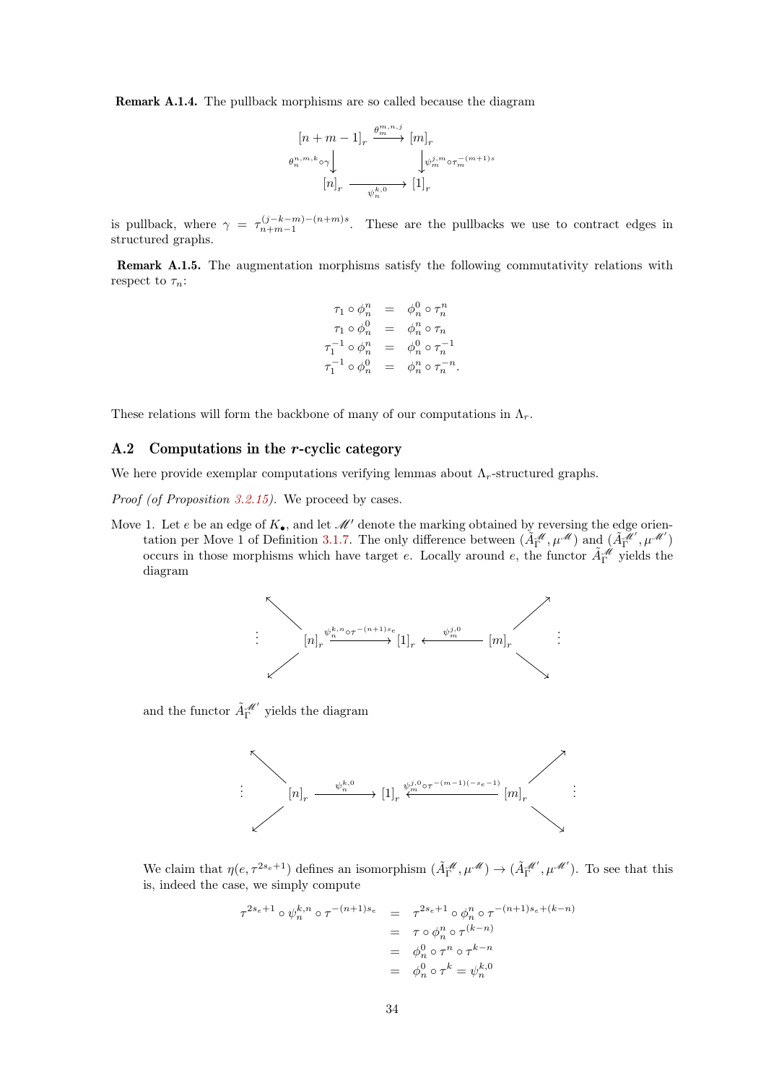Remark A.1.4. The pullback morphisms are so called because the diagram

$$
\begin{aligned} &\left[n+m-1\right]_r\stackrel{\theta_m^{m,n,j}}{\longrightarrow}\left[m\right]_r\\ &\theta_n^{n,m,k}\circ\gamma\big\downarrow\qquad\qquad\qquad\downarrow\psi_m^{j,m}\circ\tau_m^{-(m+1)s}\\ &\left[n\right]_r\stackrel{\psi_n^{k,0}}{\longrightarrow}\left[1\right]_r \end{aligned}
$$

is pullback, where  $\gamma = \tau_{n+m-1}^{(j-k-m)-(n+m)s}$ . These are the pullbacks we use to contract edges in structured graphs.

Remark A.1.5. The augmentation morphisms satisfy the following commutativity relations with respect to  $\tau_n$ :

$$
\begin{array}{rcl}\n\tau_1 \circ \phi_n^n & = & \phi_n^0 \circ \tau_n^n \\
\tau_1 \circ \phi_n^0 & = & \phi_n^n \circ \tau_n \\
\tau_1^{-1} \circ \phi_n^n & = & \phi_n^0 \circ \tau_n^{-1} \\
\tau_1^{-1} \circ \phi_n^0 & = & \phi_n^n \circ \tau_n^{-n}.\n\end{array}
$$

These relations will form the backbone of many of our computations in  $\Lambda_r$ .

### <span id="page-33-0"></span>A.2 Computations in the r-cyclic category

We here provide exemplar computations verifying lemmas about  $\Lambda_r$ -structured graphs.

Proof (of Proposition [3.2.15\)](#page-17-0). We proceed by cases.

Move 1. Let e be an edge of  $K_{\bullet}$ , and let  $\mathcal{M}'$  denote the marking obtained by reversing the edge orien-tation per Move 1 of Definition [3.1.7.](#page-9-3) The only difference between  $(\tilde{A}_{\Gamma}^{\mathcal{M}}, \mu^{\mathcal{M}})$  and  $(\tilde{A}_{\Gamma}^{\mathcal{M}'}, \mu^{\mathcal{M}'})$ occurs in those morphisms which have target e. Locally around e, the functor  $\tilde{A}_{\Gamma}^{\mathscr{M}}$  yields the diagram



and the functor  $\tilde{A}_\Gamma^{\mathscr M'}$  yields the diagram



We claim that  $\eta(e, \tau^{2s_e+1})$  defines an isomorphism  $(\tilde{A}_{\Gamma}^{\mathscr{M}}, \mu^{\mathscr{M}}) \to (\tilde{A}_{\Gamma}^{\mathscr{M}'}, \mu^{\mathscr{M}'})$ . To see that this is, indeed the case, we simply compute

$$
\tau^{2s_e+1} \circ \psi_n^{k,n} \circ \tau^{-(n+1)s_e} = \tau^{2s_e+1} \circ \phi_n^n \circ \tau^{-(n+1)s_e+(k-n)} \n= \tau \circ \phi_n^n \circ \tau^{(k-n)} \n= \phi_n^0 \circ \tau^n \circ \tau^{k-n} \n= \phi_n^0 \circ \tau^k = \psi_n^{k,0}
$$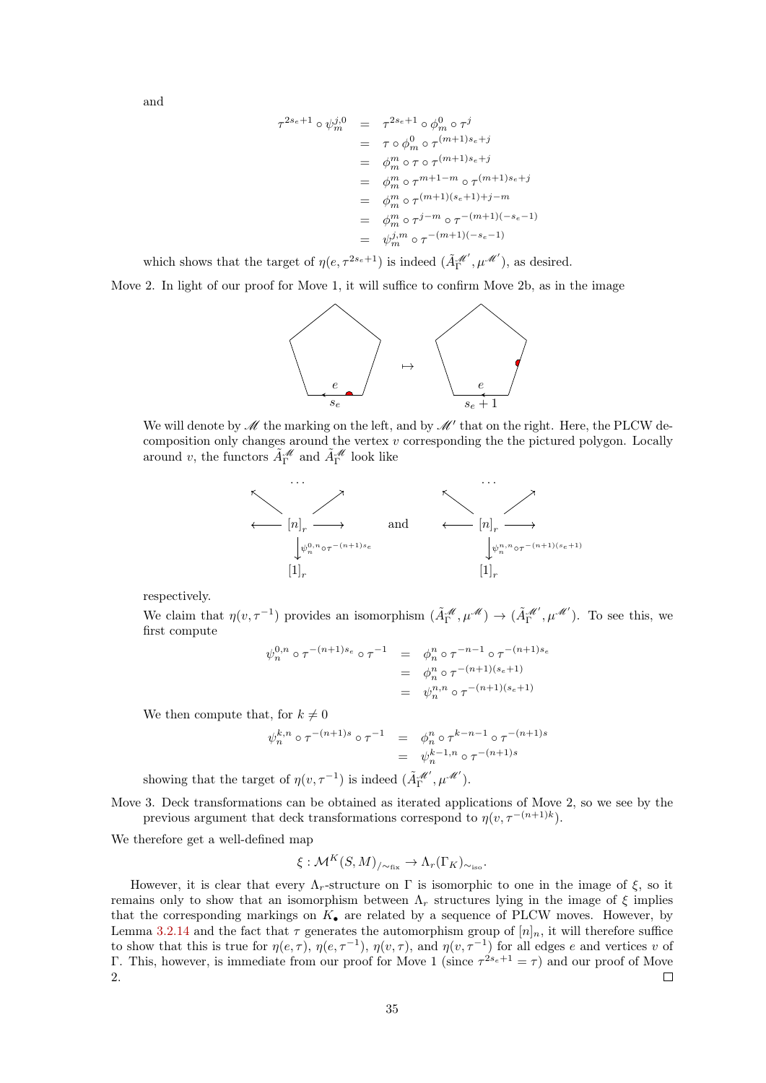and

$$
\tau^{2s_e+1} \circ \psi_m^{j,0} = \tau^{2s_e+1} \circ \phi_m^0 \circ \tau^j
$$
  
\n
$$
= \tau \circ \phi_m^0 \circ \tau^{(m+1)s_e+j}
$$
  
\n
$$
= \phi_m^m \circ \tau \circ \tau^{(m+1)s_e+j}
$$
  
\n
$$
= \phi_m^m \circ \tau^{m+1-m} \circ \tau^{(m+1)s_e+j}
$$
  
\n
$$
= \phi_m^m \circ \tau^{(m+1)(s_e+1)+j-m}
$$
  
\n
$$
= \phi_m^m \circ \tau^{j-m} \circ \tau^{-(m+1)(-s_e-1)}
$$
  
\n
$$
= \psi_m^{j,m} \circ \tau^{-(m+1)(-s_e-1)}
$$

which shows that the target of  $\eta(e, \tau^{2s_e+1})$  is indeed  $(\tilde{A}_\Gamma^{\mathscr{M}'}, \mu^{\mathscr{M}'})$ , as desired.

Move 2. In light of our proof for Move 1, it will suffice to confirm Move 2b, as in the image



We will denote by  $\mathscr M$  the marking on the left, and by  $\mathscr M'$  that on the right. Here, the PLCW decomposition only changes around the vertex  $v$  corresponding the the pictured polygon. Locally around v, the functors  $\tilde{A}_{\Gamma}^{\mathcal{M}}$  and  $\tilde{A}_{\Gamma}^{\mathcal{M}}$  look like



respectively.

We claim that  $\eta(v,\tau^{-1})$  provides an isomorphism  $(\tilde{A}_{\Gamma}^{\mathscr{M}}, \mu^{\mathscr{M}}) \to (\tilde{A}_{\Gamma}^{\mathscr{M}'}, \mu^{\mathscr{M}'})$ . To see this, we first compute

$$
\psi_n^{0,n} \circ \tau^{-(n+1)s_e} \circ \tau^{-1} = \phi_n^n \circ \tau^{-n-1} \circ \tau^{-(n+1)s_e}
$$
  
= 
$$
\phi_n^n \circ \tau^{-(n+1)(s_e+1)}
$$
  
= 
$$
\psi_n^{n,n} \circ \tau^{-(n+1)(s_e+1)}
$$

We then compute that, for  $k \neq 0$ 

$$
\psi_n^{k,n} \circ \tau^{-(n+1)s} \circ \tau^{-1} = \phi_n^n \circ \tau^{k-n-1} \circ \tau^{-(n+1)s} \\
= \psi_n^{k-1,n} \circ \tau^{-(n+1)s}
$$

showing that the target of  $\eta(v, \tau^{-1})$  is indeed  $(\tilde{A}_{\Gamma}^{\mathscr{M}}, \mu^{\mathscr{M}})$ .

Move 3. Deck transformations can be obtained as iterated applications of Move 2, so we see by the previous argument that deck transformations correspond to  $\eta(v, \tau^{-(n+1)k})$ .

We therefore get a well-defined map

$$
\xi: \mathcal{M}^K(S,M)_{/\sim_{\text{fix}}} \to \Lambda_r(\Gamma_K)_{\sim_{\text{iso}}}.
$$

<span id="page-34-0"></span>However, it is clear that every  $\Lambda_r$ -structure on Γ is isomorphic to one in the image of  $\xi$ , so it remains only to show that an isomorphism between  $\Lambda_r$  structures lying in the image of  $\xi$  implies that the corresponding markings on  $K_{\bullet}$  are related by a sequence of PLCW moves. However, by Lemma [3.2.14](#page-16-0) and the fact that  $\tau$  generates the automorphism group of  $[n]_n$ , it will therefore suffice to show that this is true for  $\eta(e, \tau)$ ,  $\eta(e, \tau^{-1})$ ,  $\eta(v, \tau)$ , and  $\eta(v, \tau^{-1})$  for all edges e and vertices v of Γ. This, however, is immediate from our proof for Move 1 (since  $\tau^{2s_e+1} = \tau$ ) and our proof of Move 2.  $\Box$